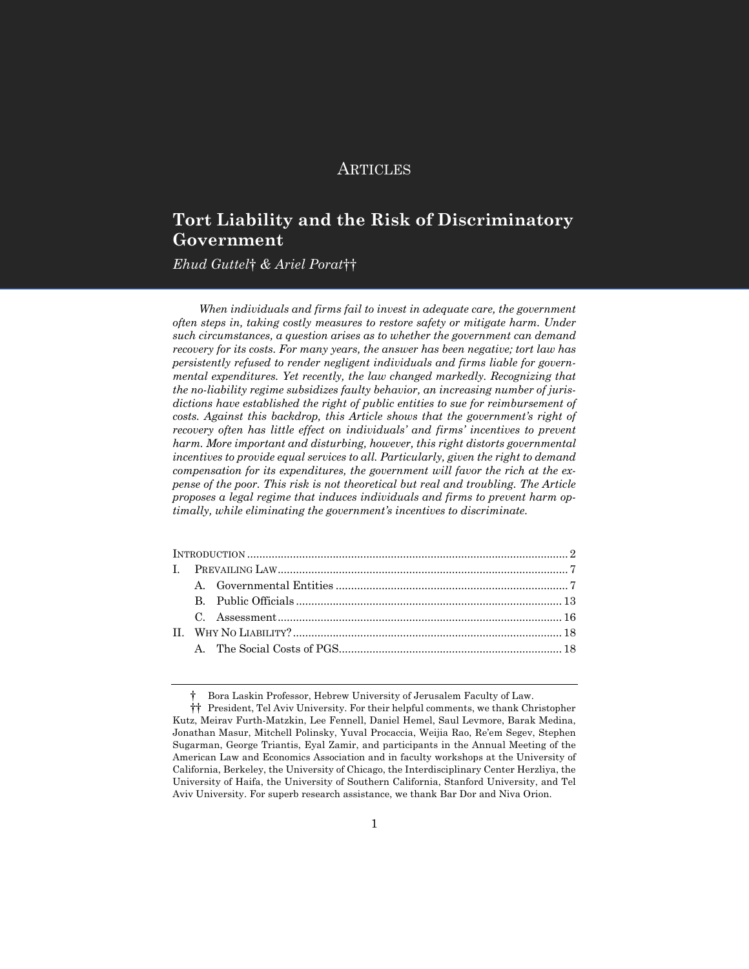# **ARTICLES**

# **Tort Liability and the Risk of Discriminatory Government**

*Ehud Guttel*† *& Ariel Porat*††

*When individuals and firms fail to invest in adequate care, the government often steps in, taking costly measures to restore safety or mitigate harm. Under such circumstances, a question arises as to whether the government can demand recovery for its costs. For many years, the answer has been negative; tort law has persistently refused to render negligent individuals and firms liable for governmental expenditures. Yet recently, the law changed markedly. Recognizing that the no-liability regime subsidizes faulty behavior, an increasing number of jurisdictions have established the right of public entities to sue for reimbursement of costs. Against this backdrop, this Article shows that the government's right of recovery often has little effect on individuals' and firms' incentives to prevent harm. More important and disturbing, however, this right distorts governmental incentives to provide equal services to all. Particularly, given the right to demand compensation for its expenditures, the government will favor the rich at the expense of the poor. This risk is not theoretical but real and troubling. The Article proposes a legal regime that induces individuals and firms to prevent harm optimally, while eliminating the government's incentives to discriminate.*

<sup>†</sup> Bora Laskin Professor, Hebrew University of Jerusalem Faculty of Law.

<sup>††</sup> President, Tel Aviv University. For their helpful comments, we thank Christopher Kutz, Meirav Furth-Matzkin, Lee Fennell, Daniel Hemel, Saul Levmore, Barak Medina, Jonathan Masur, Mitchell Polinsky, Yuval Procaccia, Weijia Rao, Re'em Segev, Stephen Sugarman, George Triantis, Eyal Zamir, and participants in the Annual Meeting of the American Law and Economics Association and in faculty workshops at the University of California, Berkeley, the University of Chicago, the Interdisciplinary Center Herzliya, the University of Haifa, the University of Southern California, Stanford University, and Tel Aviv University. For superb research assistance, we thank Bar Dor and Niva Orion.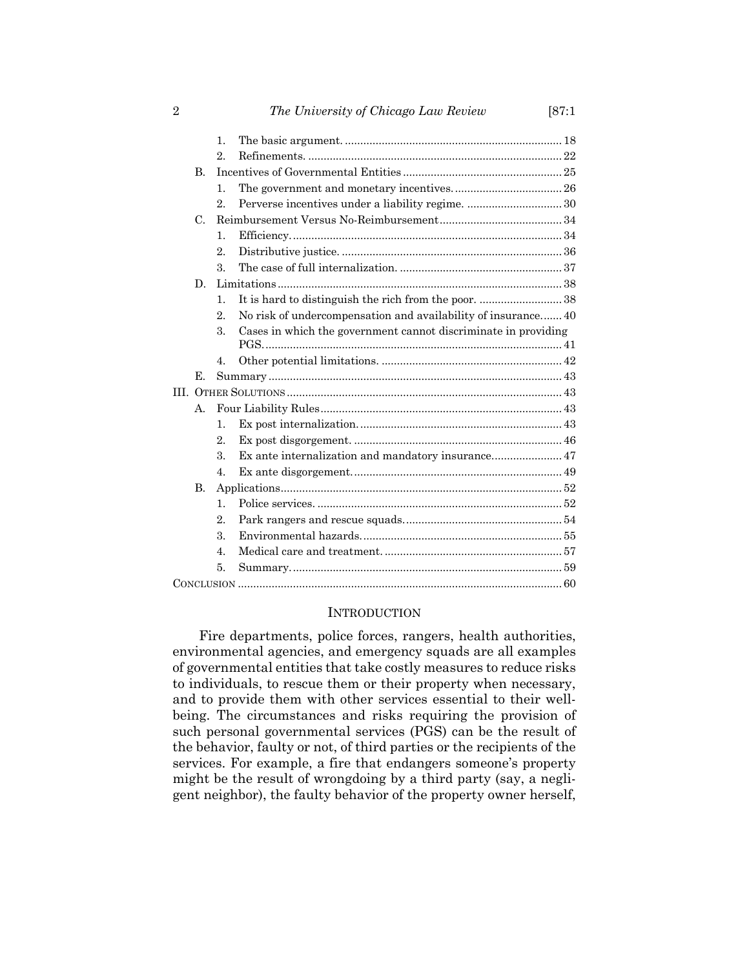|              | $\mathbf{1}$ .   |                                                                |  |
|--------------|------------------|----------------------------------------------------------------|--|
|              | $2$ .            |                                                                |  |
| $\mathbf{B}$ |                  |                                                                |  |
|              | $\mathbf{1}$ .   |                                                                |  |
|              | 2 <sup>1</sup>   | Perverse incentives under a liability regime.  30              |  |
| $C_{\cdot}$  |                  |                                                                |  |
|              | $\mathbf{1}$ .   |                                                                |  |
|              | $2$ .            |                                                                |  |
|              | 3.               |                                                                |  |
| D.           |                  |                                                                |  |
|              | $\mathbf{1}$ .   | It is hard to distinguish the rich from the poor.  38          |  |
|              | $2_{-}$          | No risk of undercompensation and availability of insurance 40  |  |
|              | 3.               | Cases in which the government cannot discriminate in providing |  |
|              | $4_{-}$          |                                                                |  |
| Е.           |                  |                                                                |  |
|              |                  |                                                                |  |
| $A_{-}$      |                  |                                                                |  |
|              | $\mathbf{1}$ .   |                                                                |  |
|              | $2$ .            |                                                                |  |
|              | 3.               | Ex ante internalization and mandatory insurance 47             |  |
|              | 4.               |                                                                |  |
| <b>B.</b>    |                  |                                                                |  |
|              | $\mathbf{1}$ .   |                                                                |  |
|              | $\overline{2}$ . |                                                                |  |
|              | 3.               |                                                                |  |
|              | $\overline{4}$ . |                                                                |  |
|              | 5.               |                                                                |  |
|              |                  |                                                                |  |
|              |                  |                                                                |  |

# INTRODUCTION

Fire departments, police forces, rangers, health authorities, environmental agencies, and emergency squads are all examples of governmental entities that take costly measures to reduce risks to individuals, to rescue them or their property when necessary, and to provide them with other services essential to their wellbeing. The circumstances and risks requiring the provision of such personal governmental services (PGS) can be the result of the behavior, faulty or not, of third parties or the recipients of the services. For example, a fire that endangers someone's property might be the result of wrongdoing by a third party (say, a negligent neighbor), the faulty behavior of the property owner herself,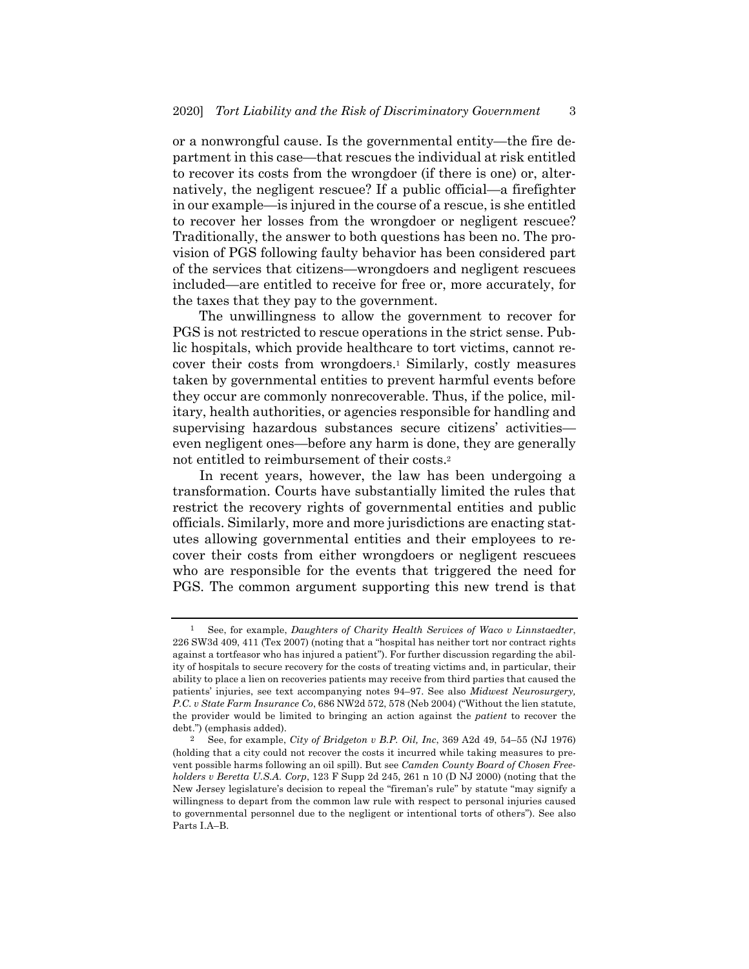or a nonwrongful cause. Is the governmental entity—the fire department in this case—that rescues the individual at risk entitled to recover its costs from the wrongdoer (if there is one) or, alternatively, the negligent rescuee? If a public official—a firefighter in our example—is injured in the course of a rescue, is she entitled to recover her losses from the wrongdoer or negligent rescuee? Traditionally, the answer to both questions has been no. The provision of PGS following faulty behavior has been considered part of the services that citizens—wrongdoers and negligent rescuees included—are entitled to receive for free or, more accurately, for the taxes that they pay to the government.

The unwillingness to allow the government to recover for PGS is not restricted to rescue operations in the strict sense. Public hospitals, which provide healthcare to tort victims, cannot recover their costs from wrongdoers.1 Similarly, costly measures taken by governmental entities to prevent harmful events before they occur are commonly nonrecoverable. Thus, if the police, military, health authorities, or agencies responsible for handling and supervising hazardous substances secure citizens' activities even negligent ones—before any harm is done, they are generally not entitled to reimbursement of their costs.2

In recent years, however, the law has been undergoing a transformation. Courts have substantially limited the rules that restrict the recovery rights of governmental entities and public officials. Similarly, more and more jurisdictions are enacting statutes allowing governmental entities and their employees to recover their costs from either wrongdoers or negligent rescuees who are responsible for the events that triggered the need for PGS. The common argument supporting this new trend is that

<sup>1</sup> See, for example, *Daughters of Charity Health Services of Waco v Linnstaedter*, 226 SW3d 409, 411 (Tex 2007) (noting that a "hospital has neither tort nor contract rights against a tortfeasor who has injured a patient"). For further discussion regarding the ability of hospitals to secure recovery for the costs of treating victims and, in particular, their ability to place a lien on recoveries patients may receive from third parties that caused the patients' injuries, see text accompanying notes 94–97. See also *Midwest Neurosurgery, P.C. v State Farm Insurance Co*, 686 NW2d 572, 578 (Neb 2004) ("Without the lien statute, the provider would be limited to bringing an action against the *patient* to recover the debt.") (emphasis added).

<sup>2</sup> See, for example, *City of Bridgeton v B.P. Oil, Inc*, 369 A2d 49, 54–55 (NJ 1976) (holding that a city could not recover the costs it incurred while taking measures to prevent possible harms following an oil spill). But see *Camden County Board of Chosen Freeholders v Beretta U.S.A. Corp*, 123 F Supp 2d 245, 261 n 10 (D NJ 2000) (noting that the New Jersey legislature's decision to repeal the "fireman's rule" by statute "may signify a willingness to depart from the common law rule with respect to personal injuries caused to governmental personnel due to the negligent or intentional torts of others"). See also Parts I.A–B.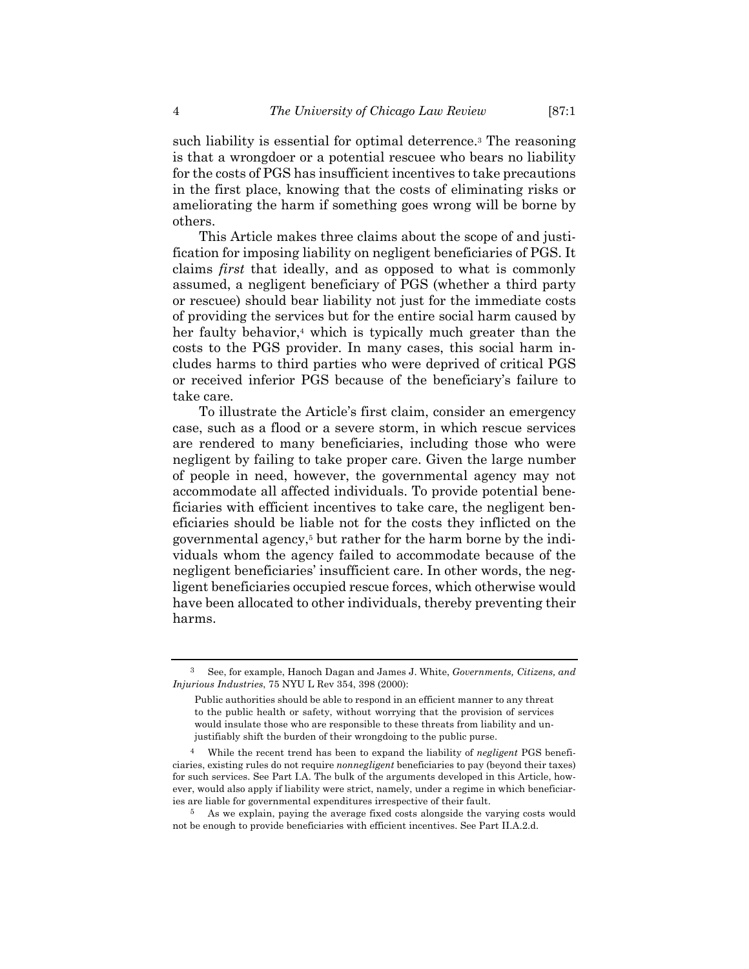such liability is essential for optimal deterrence.3 The reasoning is that a wrongdoer or a potential rescuee who bears no liability for the costs of PGS has insufficient incentives to take precautions in the first place, knowing that the costs of eliminating risks or ameliorating the harm if something goes wrong will be borne by others.

This Article makes three claims about the scope of and justification for imposing liability on negligent beneficiaries of PGS. It claims *first* that ideally, and as opposed to what is commonly assumed, a negligent beneficiary of PGS (whether a third party or rescuee) should bear liability not just for the immediate costs of providing the services but for the entire social harm caused by her faulty behavior,<sup>4</sup> which is typically much greater than the costs to the PGS provider. In many cases, this social harm includes harms to third parties who were deprived of critical PGS or received inferior PGS because of the beneficiary's failure to take care.

To illustrate the Article's first claim, consider an emergency case, such as a flood or a severe storm, in which rescue services are rendered to many beneficiaries, including those who were negligent by failing to take proper care. Given the large number of people in need, however, the governmental agency may not accommodate all affected individuals. To provide potential beneficiaries with efficient incentives to take care, the negligent beneficiaries should be liable not for the costs they inflicted on the governmental agency,5 but rather for the harm borne by the individuals whom the agency failed to accommodate because of the negligent beneficiaries' insufficient care. In other words, the negligent beneficiaries occupied rescue forces, which otherwise would have been allocated to other individuals, thereby preventing their harms.

<sup>3</sup> See, for example, Hanoch Dagan and James J. White, *Governments, Citizens, and Injurious Industries*, 75 NYU L Rev 354, 398 (2000):

Public authorities should be able to respond in an efficient manner to any threat to the public health or safety, without worrying that the provision of services would insulate those who are responsible to these threats from liability and unjustifiably shift the burden of their wrongdoing to the public purse.

<sup>4</sup> While the recent trend has been to expand the liability of *negligent* PGS beneficiaries, existing rules do not require *nonnegligent* beneficiaries to pay (beyond their taxes) for such services. See Part I.A. The bulk of the arguments developed in this Article, however, would also apply if liability were strict, namely, under a regime in which beneficiaries are liable for governmental expenditures irrespective of their fault.

<sup>5</sup> As we explain, paying the average fixed costs alongside the varying costs would not be enough to provide beneficiaries with efficient incentives. See Part II.A.2.d.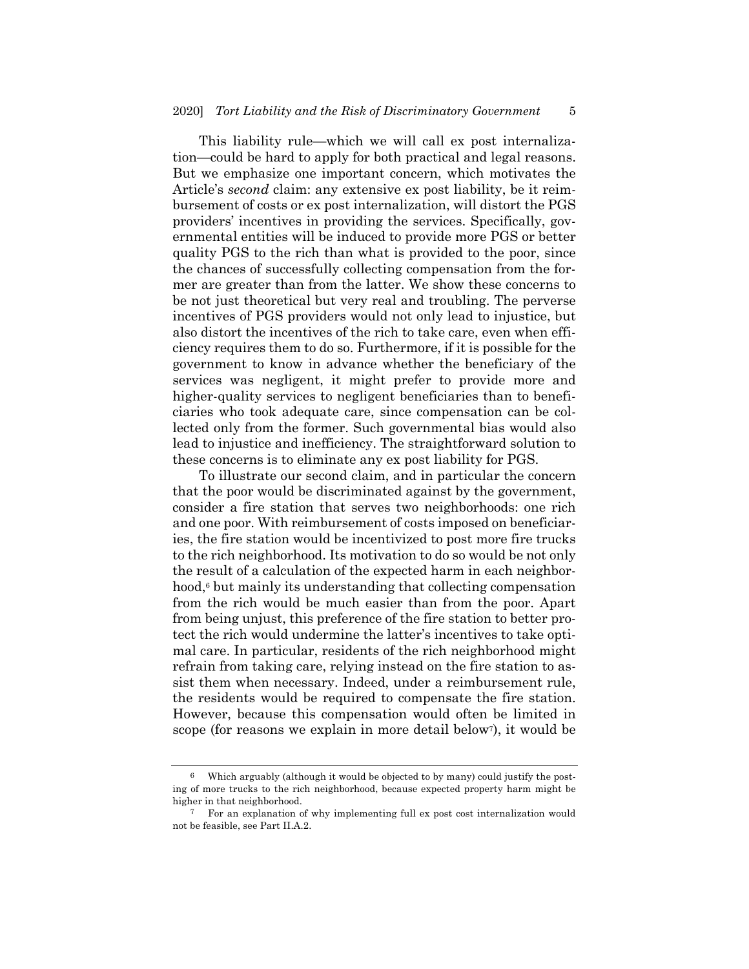This liability rule—which we will call ex post internalization—could be hard to apply for both practical and legal reasons. But we emphasize one important concern, which motivates the Article's *second* claim: any extensive ex post liability, be it reimbursement of costs or ex post internalization, will distort the PGS providers' incentives in providing the services. Specifically, governmental entities will be induced to provide more PGS or better quality PGS to the rich than what is provided to the poor, since the chances of successfully collecting compensation from the former are greater than from the latter. We show these concerns to be not just theoretical but very real and troubling. The perverse incentives of PGS providers would not only lead to injustice, but also distort the incentives of the rich to take care, even when efficiency requires them to do so. Furthermore, if it is possible for the government to know in advance whether the beneficiary of the services was negligent, it might prefer to provide more and higher-quality services to negligent beneficiaries than to beneficiaries who took adequate care, since compensation can be collected only from the former. Such governmental bias would also lead to injustice and inefficiency. The straightforward solution to these concerns is to eliminate any ex post liability for PGS.

To illustrate our second claim, and in particular the concern that the poor would be discriminated against by the government, consider a fire station that serves two neighborhoods: one rich and one poor. With reimbursement of costs imposed on beneficiaries, the fire station would be incentivized to post more fire trucks to the rich neighborhood. Its motivation to do so would be not only the result of a calculation of the expected harm in each neighborhood,<sup>6</sup> but mainly its understanding that collecting compensation from the rich would be much easier than from the poor. Apart from being unjust, this preference of the fire station to better protect the rich would undermine the latter's incentives to take optimal care. In particular, residents of the rich neighborhood might refrain from taking care, relying instead on the fire station to assist them when necessary. Indeed, under a reimbursement rule, the residents would be required to compensate the fire station. However, because this compensation would often be limited in scope (for reasons we explain in more detail below<sup>7</sup>), it would be

Which arguably (although it would be objected to by many) could justify the posting of more trucks to the rich neighborhood, because expected property harm might be higher in that neighborhood.

<sup>7</sup> For an explanation of why implementing full ex post cost internalization would not be feasible, see Part II.A.2.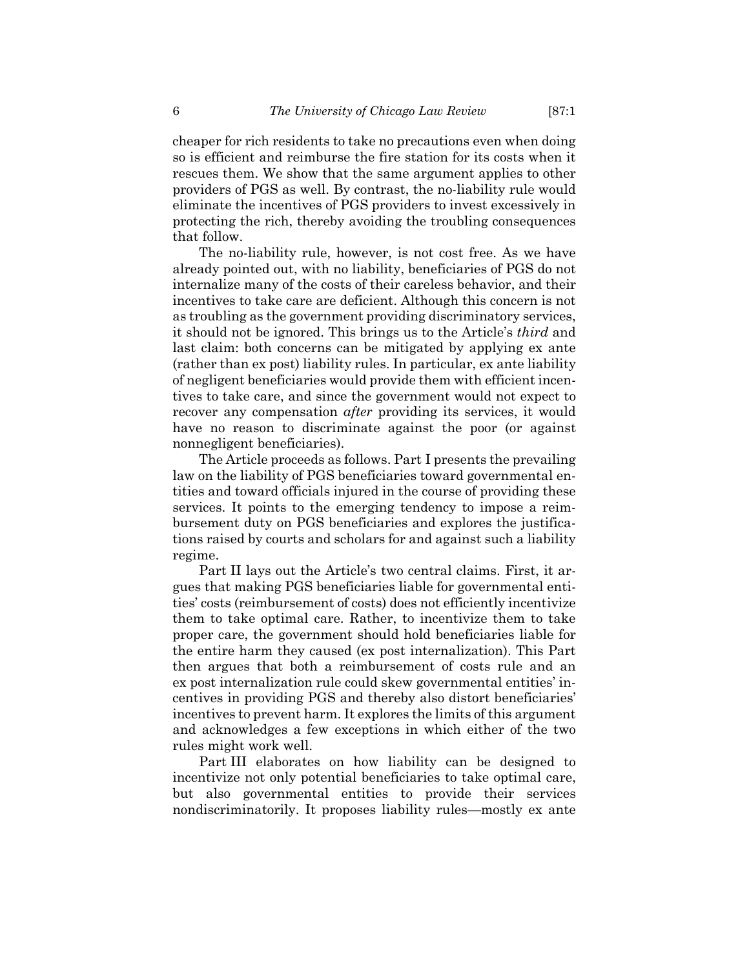cheaper for rich residents to take no precautions even when doing so is efficient and reimburse the fire station for its costs when it rescues them. We show that the same argument applies to other providers of PGS as well. By contrast, the no-liability rule would eliminate the incentives of PGS providers to invest excessively in protecting the rich, thereby avoiding the troubling consequences that follow.

The no-liability rule, however, is not cost free. As we have already pointed out, with no liability, beneficiaries of PGS do not internalize many of the costs of their careless behavior, and their incentives to take care are deficient. Although this concern is not as troubling as the government providing discriminatory services, it should not be ignored. This brings us to the Article's *third* and last claim: both concerns can be mitigated by applying ex ante (rather than ex post) liability rules. In particular, ex ante liability of negligent beneficiaries would provide them with efficient incentives to take care, and since the government would not expect to recover any compensation *after* providing its services, it would have no reason to discriminate against the poor (or against nonnegligent beneficiaries).

The Article proceeds as follows. Part I presents the prevailing law on the liability of PGS beneficiaries toward governmental entities and toward officials injured in the course of providing these services. It points to the emerging tendency to impose a reimbursement duty on PGS beneficiaries and explores the justifications raised by courts and scholars for and against such a liability regime.

Part II lays out the Article's two central claims. First, it argues that making PGS beneficiaries liable for governmental entities' costs (reimbursement of costs) does not efficiently incentivize them to take optimal care. Rather, to incentivize them to take proper care, the government should hold beneficiaries liable for the entire harm they caused (ex post internalization). This Part then argues that both a reimbursement of costs rule and an ex post internalization rule could skew governmental entities' incentives in providing PGS and thereby also distort beneficiaries' incentives to prevent harm. It explores the limits of this argument and acknowledges a few exceptions in which either of the two rules might work well.

Part III elaborates on how liability can be designed to incentivize not only potential beneficiaries to take optimal care, but also governmental entities to provide their services nondiscriminatorily. It proposes liability rules—mostly ex ante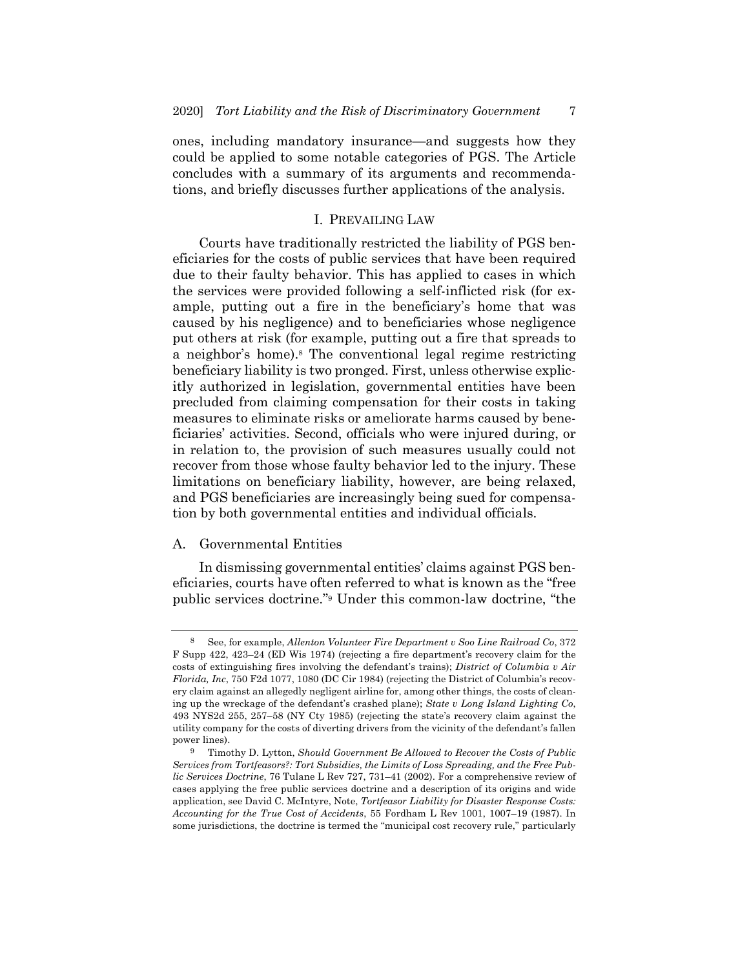ones, including mandatory insurance—and suggests how they could be applied to some notable categories of PGS. The Article concludes with a summary of its arguments and recommendations, and briefly discusses further applications of the analysis.

## I. PREVAILING LAW

Courts have traditionally restricted the liability of PGS beneficiaries for the costs of public services that have been required due to their faulty behavior. This has applied to cases in which the services were provided following a self-inflicted risk (for example, putting out a fire in the beneficiary's home that was caused by his negligence) and to beneficiaries whose negligence put others at risk (for example, putting out a fire that spreads to a neighbor's home).8 The conventional legal regime restricting beneficiary liability is two pronged. First, unless otherwise explicitly authorized in legislation, governmental entities have been precluded from claiming compensation for their costs in taking measures to eliminate risks or ameliorate harms caused by beneficiaries' activities. Second, officials who were injured during, or in relation to, the provision of such measures usually could not recover from those whose faulty behavior led to the injury. These limitations on beneficiary liability, however, are being relaxed, and PGS beneficiaries are increasingly being sued for compensation by both governmental entities and individual officials.

### A. Governmental Entities

In dismissing governmental entities' claims against PGS beneficiaries, courts have often referred to what is known as the "free public services doctrine."9 Under this common-law doctrine, "the

<sup>8</sup> See, for example, *Allenton Volunteer Fire Department v Soo Line Railroad Co*, 372 F Supp 422, 423–24 (ED Wis 1974) (rejecting a fire department's recovery claim for the costs of extinguishing fires involving the defendant's trains); *District of Columbia v Air Florida, Inc*, 750 F2d 1077, 1080 (DC Cir 1984) (rejecting the District of Columbia's recovery claim against an allegedly negligent airline for, among other things, the costs of cleaning up the wreckage of the defendant's crashed plane); *State v Long Island Lighting Co*, 493 NYS2d 255, 257–58 (NY Cty 1985) (rejecting the state's recovery claim against the utility company for the costs of diverting drivers from the vicinity of the defendant's fallen power lines).

<sup>9</sup> Timothy D. Lytton, *Should Government Be Allowed to Recover the Costs of Public Services from Tortfeasors?: Tort Subsidies, the Limits of Loss Spreading, and the Free Public Services Doctrine*, 76 Tulane L Rev 727, 731–41 (2002). For a comprehensive review of cases applying the free public services doctrine and a description of its origins and wide application, see David C. McIntyre, Note, *Tortfeasor Liability for Disaster Response Costs: Accounting for the True Cost of Accidents*, 55 Fordham L Rev 1001, 1007–19 (1987). In some jurisdictions, the doctrine is termed the "municipal cost recovery rule," particularly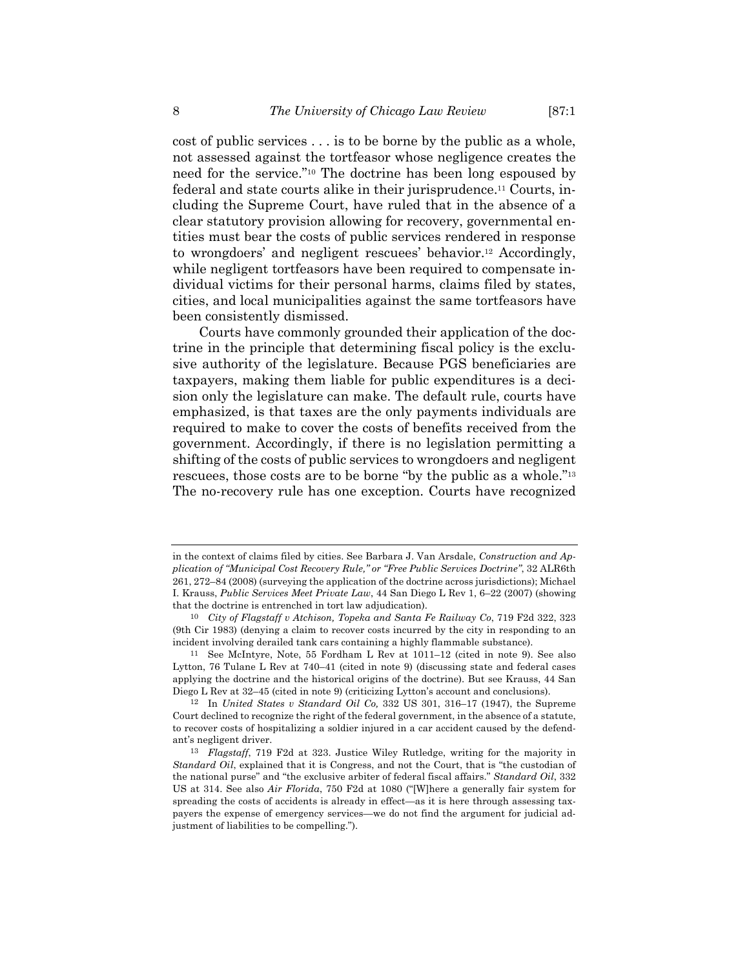cost of public services . . . is to be borne by the public as a whole, not assessed against the tortfeasor whose negligence creates the need for the service."10 The doctrine has been long espoused by federal and state courts alike in their jurisprudence.11 Courts, including the Supreme Court, have ruled that in the absence of a clear statutory provision allowing for recovery, governmental entities must bear the costs of public services rendered in response to wrongdoers' and negligent rescuees' behavior.12 Accordingly, while negligent tortfeasors have been required to compensate individual victims for their personal harms, claims filed by states, cities, and local municipalities against the same tortfeasors have been consistently dismissed.

Courts have commonly grounded their application of the doctrine in the principle that determining fiscal policy is the exclusive authority of the legislature. Because PGS beneficiaries are taxpayers, making them liable for public expenditures is a decision only the legislature can make. The default rule, courts have emphasized, is that taxes are the only payments individuals are required to make to cover the costs of benefits received from the government. Accordingly, if there is no legislation permitting a shifting of the costs of public services to wrongdoers and negligent rescuees, those costs are to be borne "by the public as a whole."13 The no-recovery rule has one exception. Courts have recognized

in the context of claims filed by cities. See Barbara J. Van Arsdale, *Construction and Application of "Municipal Cost Recovery Rule," or "Free Public Services Doctrine"*, 32 ALR6th 261, 272–84 (2008) (surveying the application of the doctrine across jurisdictions); Michael I. Krauss, *Public Services Meet Private Law*, 44 San Diego L Rev 1, 6–22 (2007) (showing that the doctrine is entrenched in tort law adjudication).

<sup>10</sup> *City of Flagstaff v Atchison, Topeka and Santa Fe Railway Co*, 719 F2d 322, 323 (9th Cir 1983) (denying a claim to recover costs incurred by the city in responding to an incident involving derailed tank cars containing a highly flammable substance).

<sup>11</sup> See McIntyre, Note, 55 Fordham L Rev at 1011–12 (cited in note 9). See also Lytton, 76 Tulane L Rev at 740–41 (cited in note 9) (discussing state and federal cases applying the doctrine and the historical origins of the doctrine). But see Krauss, 44 San Diego L Rev at 32–45 (cited in note 9) (criticizing Lytton's account and conclusions).

<sup>12</sup> In *United States v Standard Oil Co,* 332 US 301, 316–17 (1947), the Supreme Court declined to recognize the right of the federal government, in the absence of a statute, to recover costs of hospitalizing a soldier injured in a car accident caused by the defendant's negligent driver.

<sup>13</sup> *Flagstaff*, 719 F2d at 323. Justice Wiley Rutledge, writing for the majority in *Standard Oil*, explained that it is Congress, and not the Court, that is "the custodian of the national purse" and "the exclusive arbiter of federal fiscal affairs." *Standard Oil*, 332 US at 314. See also *Air Florida*, 750 F2d at 1080 ("[W]here a generally fair system for spreading the costs of accidents is already in effect—as it is here through assessing taxpayers the expense of emergency services—we do not find the argument for judicial adjustment of liabilities to be compelling.").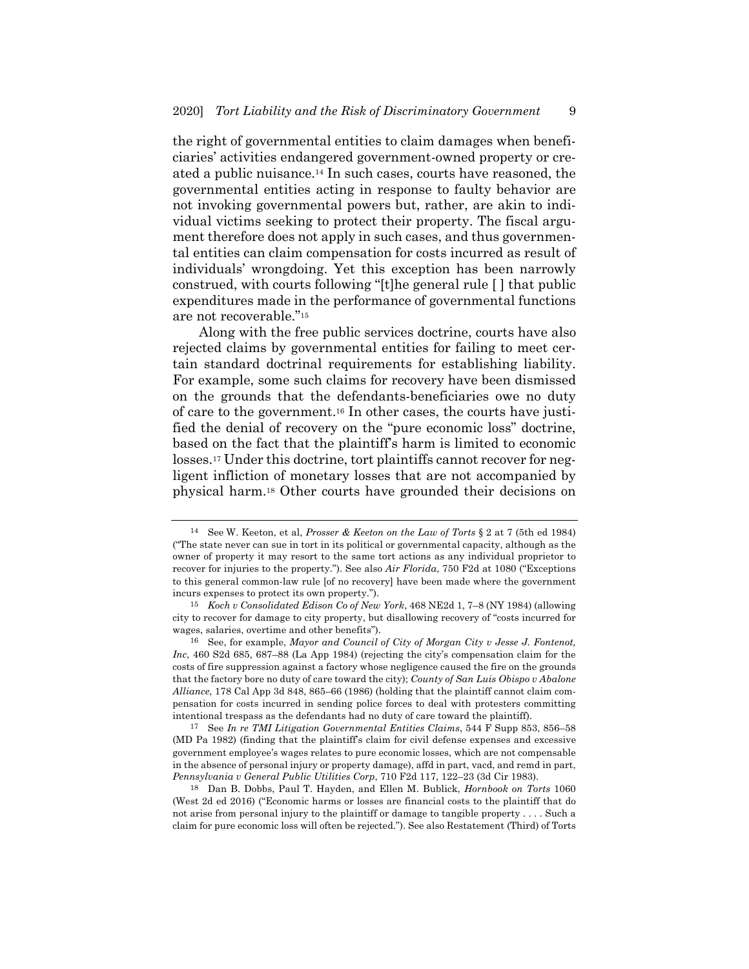the right of governmental entities to claim damages when beneficiaries' activities endangered government-owned property or created a public nuisance.14 In such cases, courts have reasoned, the governmental entities acting in response to faulty behavior are not invoking governmental powers but, rather, are akin to individual victims seeking to protect their property. The fiscal argument therefore does not apply in such cases, and thus governmental entities can claim compensation for costs incurred as result of individuals' wrongdoing. Yet this exception has been narrowly construed, with courts following "[t]he general rule [ ] that public expenditures made in the performance of governmental functions are not recoverable."15

Along with the free public services doctrine, courts have also rejected claims by governmental entities for failing to meet certain standard doctrinal requirements for establishing liability. For example, some such claims for recovery have been dismissed on the grounds that the defendants-beneficiaries owe no duty of care to the government.16 In other cases, the courts have justified the denial of recovery on the "pure economic loss" doctrine, based on the fact that the plaintiff's harm is limited to economic losses.17 Under this doctrine, tort plaintiffs cannot recover for negligent infliction of monetary losses that are not accompanied by physical harm.18 Other courts have grounded their decisions on

<sup>14</sup> See W. Keeton, et al, *Prosser & Keeton on the Law of Torts* § 2 at 7 (5th ed 1984) ("The state never can sue in tort in its political or governmental capacity, although as the owner of property it may resort to the same tort actions as any individual proprietor to recover for injuries to the property."). See also *Air Florida*, 750 F2d at 1080 ("Exceptions to this general common-law rule [of no recovery] have been made where the government incurs expenses to protect its own property.").

<sup>15</sup> *Koch v Consolidated Edison Co of New York*, 468 NE2d 1, 7–8 (NY 1984) (allowing city to recover for damage to city property, but disallowing recovery of "costs incurred for wages, salaries, overtime and other benefits").

<sup>16</sup> See, for example, *Mayor and Council of City of Morgan City v Jesse J. Fontenot, Inc*, 460 S2d 685, 687–88 (La App 1984) (rejecting the city's compensation claim for the costs of fire suppression against a factory whose negligence caused the fire on the grounds that the factory bore no duty of care toward the city); *County of San Luis Obispo v Abalone Alliance*, 178 Cal App 3d 848, 865–66 (1986) (holding that the plaintiff cannot claim compensation for costs incurred in sending police forces to deal with protesters committing intentional trespass as the defendants had no duty of care toward the plaintiff).

<sup>17</sup> See *In re TMI Litigation Governmental Entities Claims*, 544 F Supp 853, 856–58 (MD Pa 1982) (finding that the plaintiff's claim for civil defense expenses and excessive government employee's wages relates to pure economic losses, which are not compensable in the absence of personal injury or property damage), affd in part, vacd, and remd in part, *Pennsylvania v General Public Utilities Corp*, 710 F2d 117, 122–23 (3d Cir 1983).

<sup>18</sup> Dan B. Dobbs, Paul T. Hayden, and Ellen M. Bublick, *Hornbook on Torts* 1060 (West 2d ed 2016) ("Economic harms or losses are financial costs to the plaintiff that do not arise from personal injury to the plaintiff or damage to tangible property . . . . Such a claim for pure economic loss will often be rejected."). See also Restatement (Third) of Torts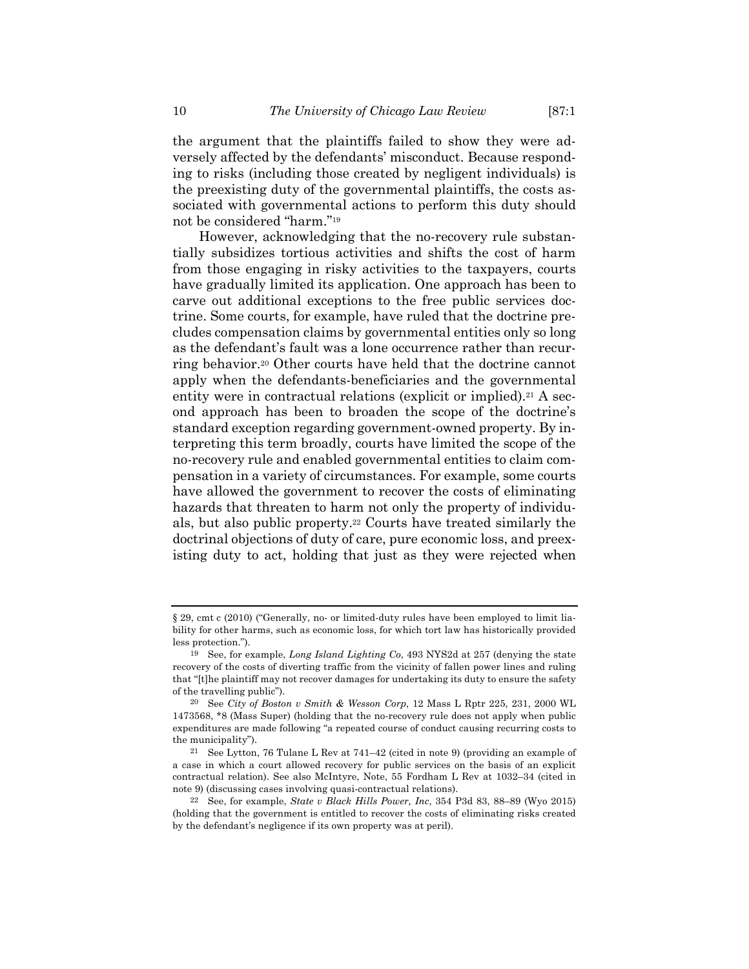the argument that the plaintiffs failed to show they were adversely affected by the defendants' misconduct. Because responding to risks (including those created by negligent individuals) is the preexisting duty of the governmental plaintiffs, the costs associated with governmental actions to perform this duty should not be considered "harm."19

However, acknowledging that the no-recovery rule substantially subsidizes tortious activities and shifts the cost of harm from those engaging in risky activities to the taxpayers, courts have gradually limited its application. One approach has been to carve out additional exceptions to the free public services doctrine. Some courts, for example, have ruled that the doctrine precludes compensation claims by governmental entities only so long as the defendant's fault was a lone occurrence rather than recurring behavior.20 Other courts have held that the doctrine cannot apply when the defendants-beneficiaries and the governmental entity were in contractual relations (explicit or implied).<sup>21</sup> A second approach has been to broaden the scope of the doctrine's standard exception regarding government-owned property. By interpreting this term broadly, courts have limited the scope of the no-recovery rule and enabled governmental entities to claim compensation in a variety of circumstances. For example, some courts have allowed the government to recover the costs of eliminating hazards that threaten to harm not only the property of individuals, but also public property.22 Courts have treated similarly the doctrinal objections of duty of care, pure economic loss, and preexisting duty to act, holding that just as they were rejected when

<sup>§</sup> 29, cmt c (2010) ("Generally, no- or limited-duty rules have been employed to limit liability for other harms, such as economic loss, for which tort law has historically provided less protection.").

<sup>19</sup> See, for example, *Long Island Lighting Co*, 493 NYS2d at 257 (denying the state recovery of the costs of diverting traffic from the vicinity of fallen power lines and ruling that "[t]he plaintiff may not recover damages for undertaking its duty to ensure the safety of the travelling public").

<sup>20</sup> See *City of Boston v Smith & Wesson Corp*, 12 Mass L Rptr 225, 231, 2000 WL 1473568, \*8 (Mass Super) (holding that the no-recovery rule does not apply when public expenditures are made following "a repeated course of conduct causing recurring costs to the municipality").

<sup>21</sup> See Lytton, 76 Tulane L Rev at 741–42 (cited in note 9) (providing an example of a case in which a court allowed recovery for public services on the basis of an explicit contractual relation). See also McIntyre, Note, 55 Fordham L Rev at 1032–34 (cited in note 9) (discussing cases involving quasi-contractual relations).

<sup>22</sup> See, for example, *State v Black Hills Power, Inc*, 354 P3d 83, 88–89 (Wyo 2015) (holding that the government is entitled to recover the costs of eliminating risks created by the defendant's negligence if its own property was at peril).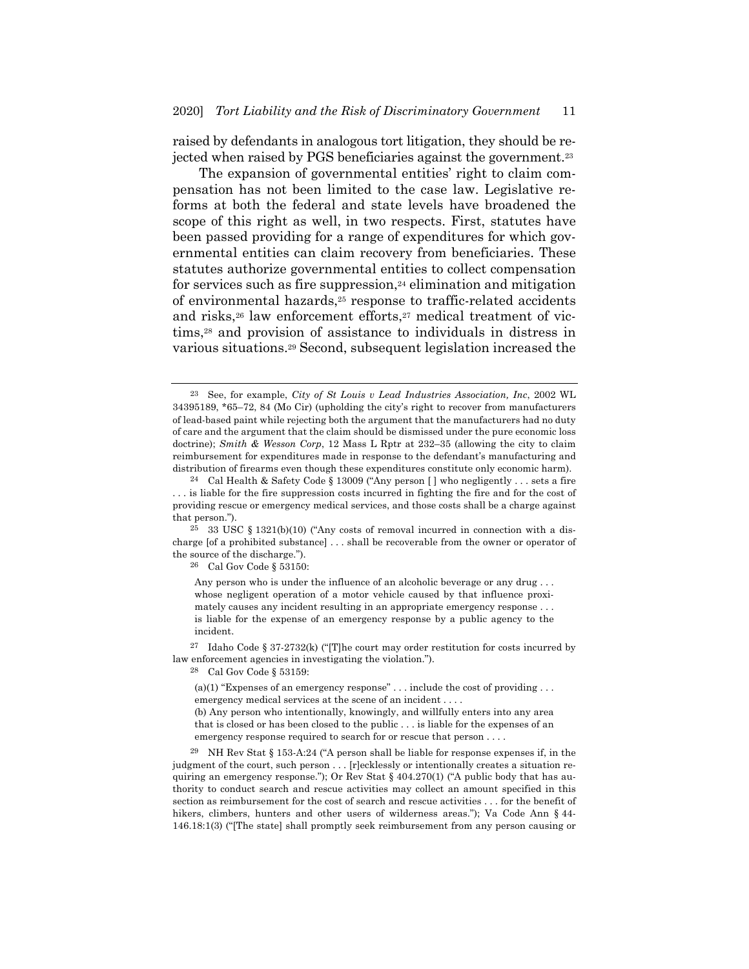raised by defendants in analogous tort litigation, they should be rejected when raised by PGS beneficiaries against the government.23

The expansion of governmental entities' right to claim compensation has not been limited to the case law. Legislative reforms at both the federal and state levels have broadened the scope of this right as well, in two respects. First, statutes have been passed providing for a range of expenditures for which governmental entities can claim recovery from beneficiaries. These statutes authorize governmental entities to collect compensation for services such as fire suppression, $24$  elimination and mitigation of environmental hazards,25 response to traffic-related accidents and risks,<sup>26</sup> law enforcement efforts,<sup>27</sup> medical treatment of victims,28 and provision of assistance to individuals in distress in various situations.29 Second, subsequent legislation increased the

 $25$  33 USC § 1321(b)(10) ("Any costs of removal incurred in connection with a discharge [of a prohibited substance] . . . shall be recoverable from the owner or operator of the source of the discharge.").

26 Cal Gov Code § 53150:

Any person who is under the influence of an alcoholic beverage or any drug... whose negligent operation of a motor vehicle caused by that influence proximately causes any incident resulting in an appropriate emergency response . . . is liable for the expense of an emergency response by a public agency to the incident.

27 Idaho Code § 37-2732(k) ("[T]he court may order restitution for costs incurred by law enforcement agencies in investigating the violation.").

28 Cal Gov Code § 53159:

(a)(1) "Expenses of an emergency response" . . . include the cost of providing . . . emergency medical services at the scene of an incident . . . .

(b) Any person who intentionally, knowingly, and willfully enters into any area that is closed or has been closed to the public . . . is liable for the expenses of an emergency response required to search for or rescue that person . . . .

29 NH Rev Stat § 153-A:24 ("A person shall be liable for response expenses if, in the judgment of the court, such person . . . [r]ecklessly or intentionally creates a situation requiring an emergency response."); Or Rev Stat  $\S$  404.270(1) ("A public body that has authority to conduct search and rescue activities may collect an amount specified in this section as reimbursement for the cost of search and rescue activities . . . for the benefit of hikers, climbers, hunters and other users of wilderness areas."); Va Code Ann § 44- 146.18:1(3) ("[The state] shall promptly seek reimbursement from any person causing or

<sup>23</sup> See, for example, *City of St Louis v Lead Industries Association, Inc*, 2002 WL 34395189, \*65–72, 84 (Mo Cir) (upholding the city's right to recover from manufacturers of lead-based paint while rejecting both the argument that the manufacturers had no duty of care and the argument that the claim should be dismissed under the pure economic loss doctrine); *Smith & Wesson Corp*, 12 Mass L Rptr at 232–35 (allowing the city to claim reimbursement for expenditures made in response to the defendant's manufacturing and distribution of firearms even though these expenditures constitute only economic harm).

<sup>24</sup> Cal Health & Safety Code § 13009 ("Any person [ ] who negligently . . . sets a fire . . . is liable for the fire suppression costs incurred in fighting the fire and for the cost of providing rescue or emergency medical services, and those costs shall be a charge against that person.").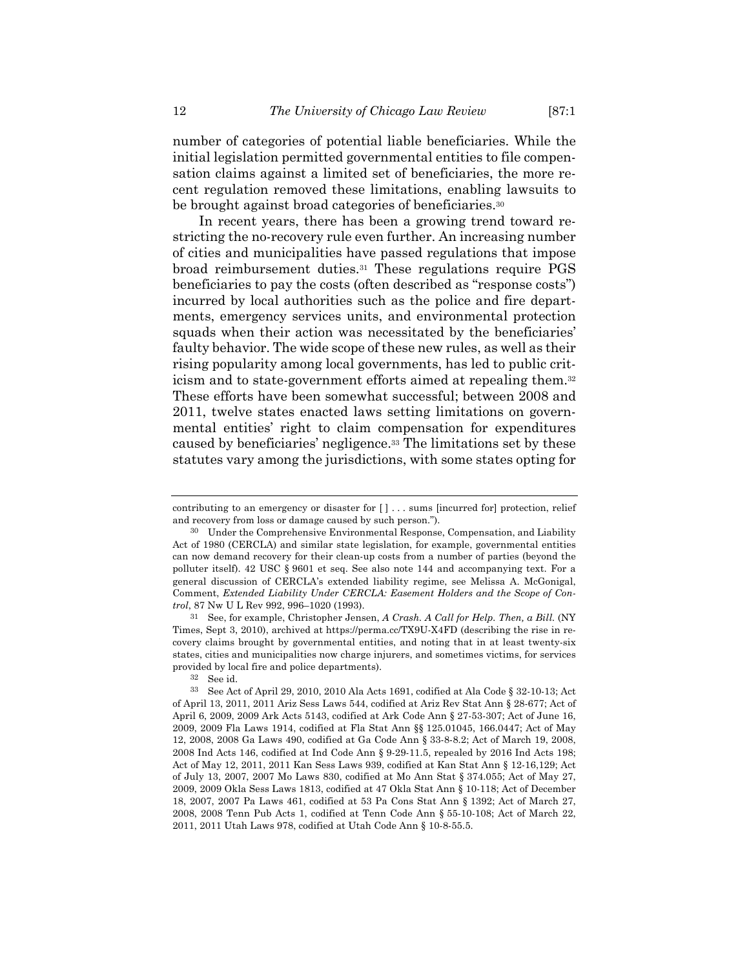number of categories of potential liable beneficiaries. While the initial legislation permitted governmental entities to file compensation claims against a limited set of beneficiaries, the more recent regulation removed these limitations, enabling lawsuits to be brought against broad categories of beneficiaries.<sup>30</sup>

In recent years, there has been a growing trend toward restricting the no-recovery rule even further. An increasing number of cities and municipalities have passed regulations that impose broad reimbursement duties.31 These regulations require PGS beneficiaries to pay the costs (often described as "response costs") incurred by local authorities such as the police and fire departments, emergency services units, and environmental protection squads when their action was necessitated by the beneficiaries' faulty behavior. The wide scope of these new rules, as well as their rising popularity among local governments, has led to public criticism and to state-government efforts aimed at repealing them.32 These efforts have been somewhat successful; between 2008 and 2011, twelve states enacted laws setting limitations on governmental entities' right to claim compensation for expenditures caused by beneficiaries' negligence.33 The limitations set by these statutes vary among the jurisdictions, with some states opting for

31 See, for example, Christopher Jensen, *A Crash. A Call for Help. Then, a Bill.* (NY Times, Sept 3, 2010), archived at https://perma.cc/TX9U-X4FD (describing the rise in recovery claims brought by governmental entities, and noting that in at least twenty-six states, cities and municipalities now charge injurers, and sometimes victims, for services provided by local fire and police departments).

contributing to an emergency or disaster for [ ] . . . sums [incurred for] protection, relief and recovery from loss or damage caused by such person.").

<sup>30</sup> Under the Comprehensive Environmental Response, Compensation, and Liability Act of 1980 (CERCLA) and similar state legislation, for example, governmental entities can now demand recovery for their clean-up costs from a number of parties (beyond the polluter itself). 42 USC § 9601 et seq. See also note 144 and accompanying text. For a general discussion of CERCLA's extended liability regime, see Melissa A. McGonigal, Comment, *Extended Liability Under CERCLA: Easement Holders and the Scope of Control*, 87 Nw U L Rev 992, 996–1020 (1993).

<sup>32</sup> See id.

<sup>33</sup> See Act of April 29, 2010, 2010 Ala Acts 1691, codified at Ala Code § 32-10-13; Act of April 13, 2011, 2011 Ariz Sess Laws 544, codified at Ariz Rev Stat Ann § 28-677; Act of April 6, 2009, 2009 Ark Acts 5143, codified at Ark Code Ann § 27-53-307; Act of June 16, 2009, 2009 Fla Laws 1914, codified at Fla Stat Ann §§ 125.01045, 166.0447; Act of May 12, 2008, 2008 Ga Laws 490, codified at Ga Code Ann § 33-8-8.2; Act of March 19, 2008, 2008 Ind Acts 146, codified at Ind Code Ann § 9-29-11.5, repealed by 2016 Ind Acts 198; Act of May 12, 2011, 2011 Kan Sess Laws 939, codified at Kan Stat Ann § 12-16,129; Act of July 13, 2007, 2007 Mo Laws 830, codified at Mo Ann Stat § 374.055; Act of May 27, 2009, 2009 Okla Sess Laws 1813, codified at 47 Okla Stat Ann § 10-118; Act of December 18, 2007, 2007 Pa Laws 461, codified at 53 Pa Cons Stat Ann § 1392; Act of March 27, 2008, 2008 Tenn Pub Acts 1, codified at Tenn Code Ann § 55-10-108; Act of March 22, 2011, 2011 Utah Laws 978, codified at Utah Code Ann § 10-8-55.5.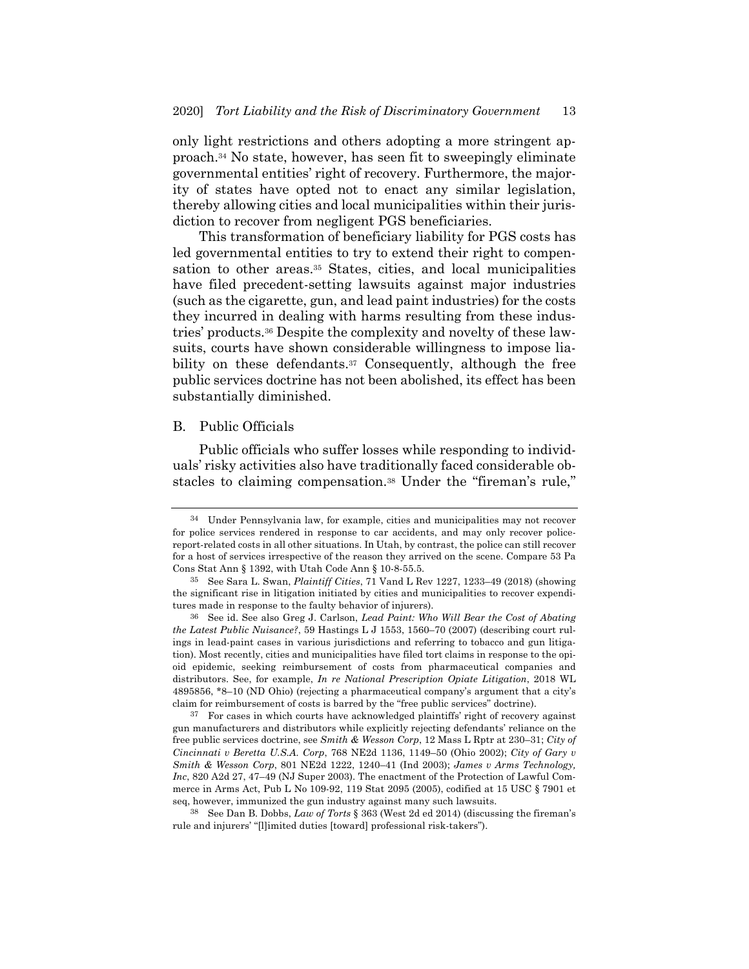only light restrictions and others adopting a more stringent approach.34 No state, however, has seen fit to sweepingly eliminate governmental entities' right of recovery. Furthermore, the majority of states have opted not to enact any similar legislation, thereby allowing cities and local municipalities within their jurisdiction to recover from negligent PGS beneficiaries.

This transformation of beneficiary liability for PGS costs has led governmental entities to try to extend their right to compensation to other areas.<sup>35</sup> States, cities, and local municipalities have filed precedent-setting lawsuits against major industries (such as the cigarette, gun, and lead paint industries) for the costs they incurred in dealing with harms resulting from these industries' products.36 Despite the complexity and novelty of these lawsuits, courts have shown considerable willingness to impose liability on these defendants.<sup>37</sup> Consequently, although the free public services doctrine has not been abolished, its effect has been substantially diminished.

## B. Public Officials

Public officials who suffer losses while responding to individuals' risky activities also have traditionally faced considerable obstacles to claiming compensation.38 Under the "fireman's rule,"

<sup>34</sup> Under Pennsylvania law, for example, cities and municipalities may not recover for police services rendered in response to car accidents, and may only recover policereport-related costs in all other situations. In Utah, by contrast, the police can still recover for a host of services irrespective of the reason they arrived on the scene. Compare 53 Pa Cons Stat Ann § 1392, with Utah Code Ann § 10-8-55.5.

<sup>35</sup> See Sara L. Swan, *Plaintiff Cities*, 71 Vand L Rev 1227, 1233–49 (2018) (showing the significant rise in litigation initiated by cities and municipalities to recover expenditures made in response to the faulty behavior of injurers).

<sup>36</sup> See id. See also Greg J. Carlson, *Lead Paint: Who Will Bear the Cost of Abating the Latest Public Nuisance?*, 59 Hastings L J 1553, 1560–70 (2007) (describing court rulings in lead-paint cases in various jurisdictions and referring to tobacco and gun litigation). Most recently, cities and municipalities have filed tort claims in response to the opioid epidemic, seeking reimbursement of costs from pharmaceutical companies and distributors. See, for example, *In re National Prescription Opiate Litigation*, 2018 WL 4895856, \*8–10 (ND Ohio) (rejecting a pharmaceutical company's argument that a city's claim for reimbursement of costs is barred by the "free public services" doctrine).

<sup>37</sup> For cases in which courts have acknowledged plaintiffs' right of recovery against gun manufacturers and distributors while explicitly rejecting defendants' reliance on the free public services doctrine, see *Smith & Wesson Corp*, 12 Mass L Rptr at 230–31; *City of Cincinnati v Beretta U.S.A. Corp*, 768 NE2d 1136, 1149–50 (Ohio 2002); *City of Gary v Smith & Wesson Corp*, 801 NE2d 1222, 1240–41 (Ind 2003); *James v Arms Technology, Inc*, 820 A2d 27, 47–49 (NJ Super 2003). The enactment of the Protection of Lawful Commerce in Arms Act, Pub L No 109-92, 119 Stat 2095 (2005), codified at 15 USC § 7901 et seq, however, immunized the gun industry against many such lawsuits.

<sup>38</sup> See Dan B. Dobbs, *Law of Torts* § 363 (West 2d ed 2014) (discussing the fireman's rule and injurers' "[l]imited duties [toward] professional risk-takers").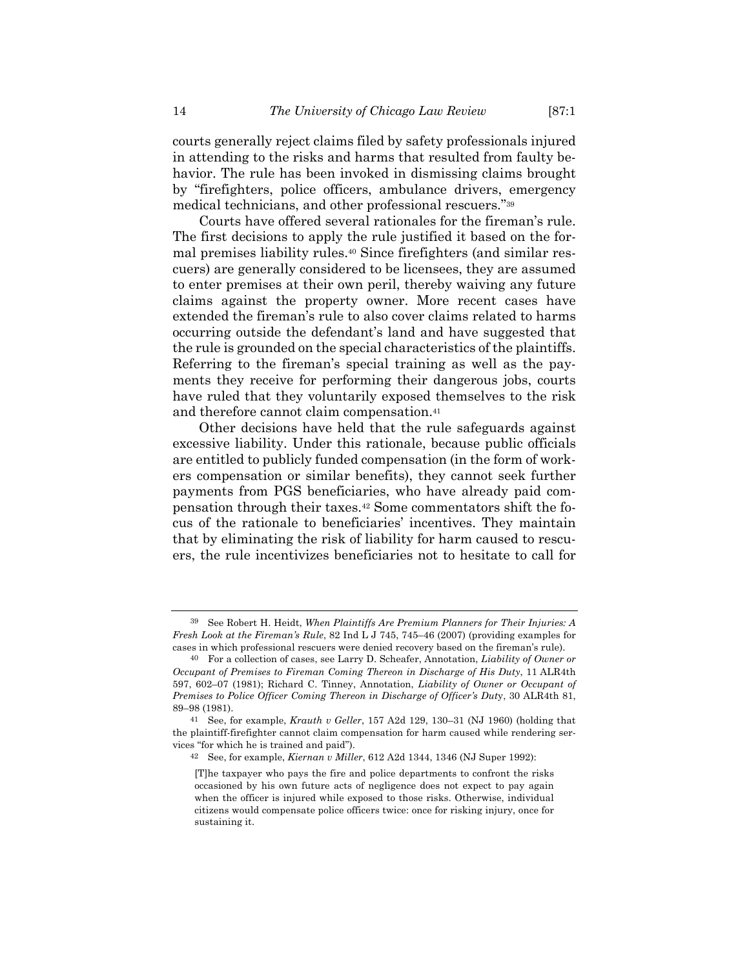courts generally reject claims filed by safety professionals injured in attending to the risks and harms that resulted from faulty behavior. The rule has been invoked in dismissing claims brought by "firefighters, police officers, ambulance drivers, emergency medical technicians, and other professional rescuers."39

Courts have offered several rationales for the fireman's rule. The first decisions to apply the rule justified it based on the formal premises liability rules.40 Since firefighters (and similar rescuers) are generally considered to be licensees, they are assumed to enter premises at their own peril, thereby waiving any future claims against the property owner. More recent cases have extended the fireman's rule to also cover claims related to harms occurring outside the defendant's land and have suggested that the rule is grounded on the special characteristics of the plaintiffs. Referring to the fireman's special training as well as the payments they receive for performing their dangerous jobs, courts have ruled that they voluntarily exposed themselves to the risk and therefore cannot claim compensation.41

Other decisions have held that the rule safeguards against excessive liability. Under this rationale, because public officials are entitled to publicly funded compensation (in the form of workers compensation or similar benefits), they cannot seek further payments from PGS beneficiaries, who have already paid compensation through their taxes.42 Some commentators shift the focus of the rationale to beneficiaries' incentives. They maintain that by eliminating the risk of liability for harm caused to rescuers, the rule incentivizes beneficiaries not to hesitate to call for

<sup>39</sup> See Robert H. Heidt, *When Plaintiffs Are Premium Planners for Their Injuries: A Fresh Look at the Fireman's Rule*, 82 Ind L J 745, 745–46 (2007) (providing examples for cases in which professional rescuers were denied recovery based on the fireman's rule).

<sup>40</sup> For a collection of cases, see Larry D. Scheafer, Annotation, *Liability of Owner or Occupant of Premises to Fireman Coming Thereon in Discharge of His Duty*, 11 ALR4th 597, 602–07 (1981); Richard C. Tinney, Annotation, *Liability of Owner or Occupant of Premises to Police Officer Coming Thereon in Discharge of Officer's Dut*y, 30 ALR4th 81, 89–98 (1981).

<sup>41</sup> See, for example, *Krauth v Geller*, 157 A2d 129, 130–31 (NJ 1960) (holding that the plaintiff-firefighter cannot claim compensation for harm caused while rendering services "for which he is trained and paid").

<sup>42</sup> See, for example, *Kiernan v Miller*, 612 A2d 1344, 1346 (NJ Super 1992):

<sup>[</sup>T]he taxpayer who pays the fire and police departments to confront the risks occasioned by his own future acts of negligence does not expect to pay again when the officer is injured while exposed to those risks. Otherwise, individual citizens would compensate police officers twice: once for risking injury, once for sustaining it.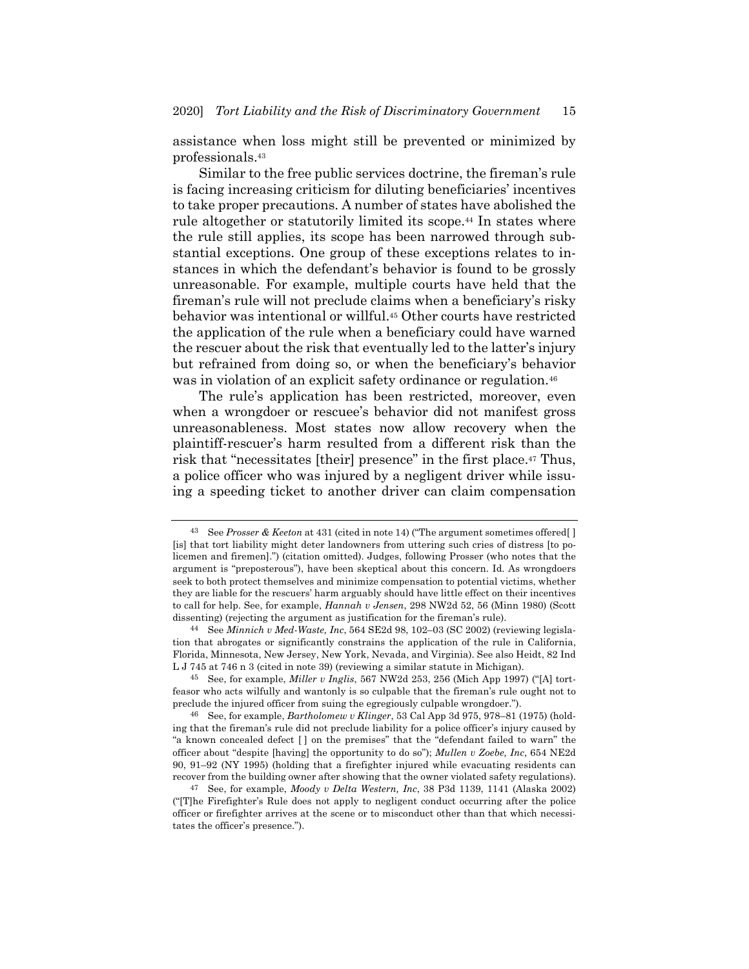assistance when loss might still be prevented or minimized by professionals.43

Similar to the free public services doctrine, the fireman's rule is facing increasing criticism for diluting beneficiaries' incentives to take proper precautions. A number of states have abolished the rule altogether or statutorily limited its scope.<sup>44</sup> In states where the rule still applies, its scope has been narrowed through substantial exceptions. One group of these exceptions relates to instances in which the defendant's behavior is found to be grossly unreasonable. For example, multiple courts have held that the fireman's rule will not preclude claims when a beneficiary's risky behavior was intentional or willful.45 Other courts have restricted the application of the rule when a beneficiary could have warned the rescuer about the risk that eventually led to the latter's injury but refrained from doing so, or when the beneficiary's behavior was in violation of an explicit safety ordinance or regulation.<sup>46</sup>

The rule's application has been restricted, moreover, even when a wrongdoer or rescuee's behavior did not manifest gross unreasonableness. Most states now allow recovery when the plaintiff-rescuer's harm resulted from a different risk than the risk that "necessitates [their] presence" in the first place.<sup>47</sup> Thus, a police officer who was injured by a negligent driver while issuing a speeding ticket to another driver can claim compensation

44 See *Minnich v Med-Waste, Inc*, 564 SE2d 98, 102–03 (SC 2002) (reviewing legislation that abrogates or significantly constrains the application of the rule in California, Florida, Minnesota, New Jersey, New York, Nevada, and Virginia). See also Heidt, 82 Ind L J 745 at 746 n 3 (cited in note 39) (reviewing a similar statute in Michigan).

<sup>43</sup> See *Prosser & Keeton* at 431 (cited in note 14) ("The argument sometimes offered[ ] [is] that tort liability might deter landowners from uttering such cries of distress [to policemen and firemen].") (citation omitted). Judges, following Prosser (who notes that the argument is "preposterous"), have been skeptical about this concern. Id. As wrongdoers seek to both protect themselves and minimize compensation to potential victims, whether they are liable for the rescuers' harm arguably should have little effect on their incentives to call for help. See, for example, *Hannah v Jensen*, 298 NW2d 52, 56 (Minn 1980) (Scott dissenting) (rejecting the argument as justification for the fireman's rule).

<sup>45</sup> See, for example, *Miller v Inglis*, 567 NW2d 253, 256 (Mich App 1997) ("[A] tortfeasor who acts wilfully and wantonly is so culpable that the fireman's rule ought not to preclude the injured officer from suing the egregiously culpable wrongdoer.").

<sup>46</sup> See, for example, *Bartholomew v Klinger*, 53 Cal App 3d 975, 978–81 (1975) (holding that the fireman's rule did not preclude liability for a police officer's injury caused by "a known concealed defect [ ] on the premises" that the "defendant failed to warn" the officer about "despite [having] the opportunity to do so"); *Mullen v Zoebe, Inc*, 654 NE2d 90, 91–92 (NY 1995) (holding that a firefighter injured while evacuating residents can recover from the building owner after showing that the owner violated safety regulations).

<sup>47</sup> See, for example, *Moody v Delta Western, Inc*, 38 P3d 1139, 1141 (Alaska 2002) ("[T]he Firefighter's Rule does not apply to negligent conduct occurring after the police officer or firefighter arrives at the scene or to misconduct other than that which necessitates the officer's presence.").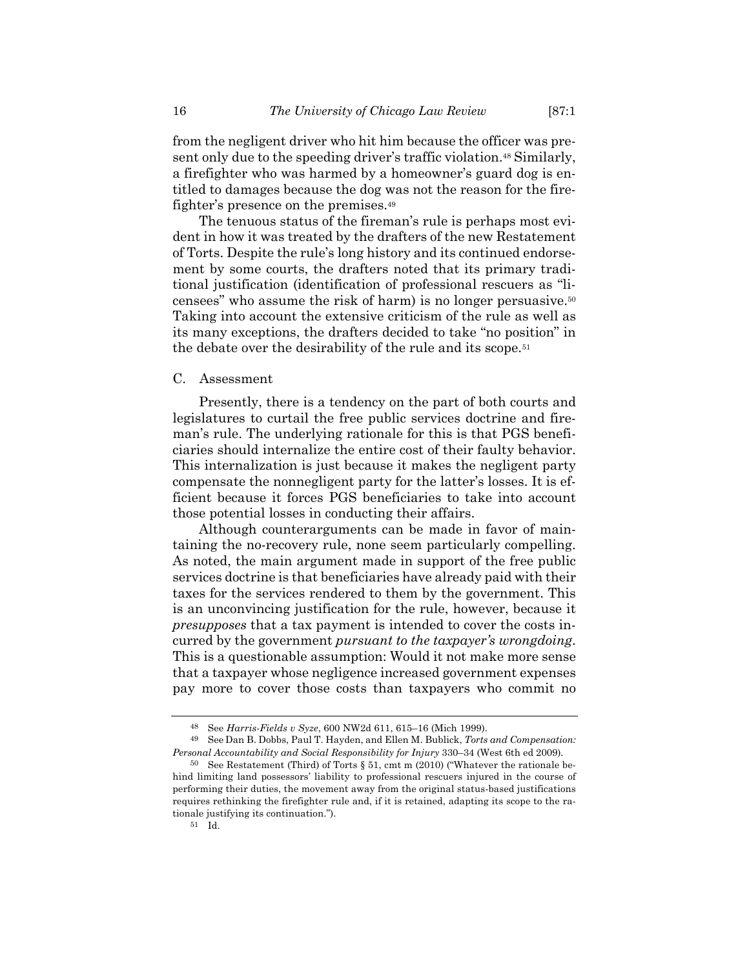from the negligent driver who hit him because the officer was present only due to the speeding driver's traffic violation.48 Similarly, a firefighter who was harmed by a homeowner's guard dog is entitled to damages because the dog was not the reason for the firefighter's presence on the premises.49

The tenuous status of the fireman's rule is perhaps most evident in how it was treated by the drafters of the new Restatement of Torts. Despite the rule's long history and its continued endorsement by some courts, the drafters noted that its primary traditional justification (identification of professional rescuers as "licensees" who assume the risk of harm) is no longer persuasive.50 Taking into account the extensive criticism of the rule as well as its many exceptions, the drafters decided to take "no position" in the debate over the desirability of the rule and its scope.51

#### C. Assessment

Presently, there is a tendency on the part of both courts and legislatures to curtail the free public services doctrine and fireman's rule. The underlying rationale for this is that PGS beneficiaries should internalize the entire cost of their faulty behavior. This internalization is just because it makes the negligent party compensate the nonnegligent party for the latter's losses. It is efficient because it forces PGS beneficiaries to take into account those potential losses in conducting their affairs.

Although counterarguments can be made in favor of maintaining the no-recovery rule, none seem particularly compelling. As noted, the main argument made in support of the free public services doctrine is that beneficiaries have already paid with their taxes for the services rendered to them by the government. This is an unconvincing justification for the rule, however, because it *presupposes* that a tax payment is intended to cover the costs incurred by the government *pursuant to the taxpayer's wrongdoing*. This is a questionable assumption: Would it not make more sense that a taxpayer whose negligence increased government expenses pay more to cover those costs than taxpayers who commit no

<sup>48</sup> See *Harris-Fields v Syze*, 600 NW2d 611, 615–16 (Mich 1999).

<sup>49</sup> See Dan B. Dobbs, Paul T. Hayden, and Ellen M. Bublick, *Torts and Compensation: Personal Accountability and Social Responsibility for Injury* 330–34 (West 6th ed 2009).

<sup>50</sup> See Restatement (Third) of Torts § 51, cmt m (2010) ("Whatever the rationale behind limiting land possessors' liability to professional rescuers injured in the course of performing their duties, the movement away from the original status-based justifications requires rethinking the firefighter rule and, if it is retained, adapting its scope to the rationale justifying its continuation.").

<sup>51</sup> Id.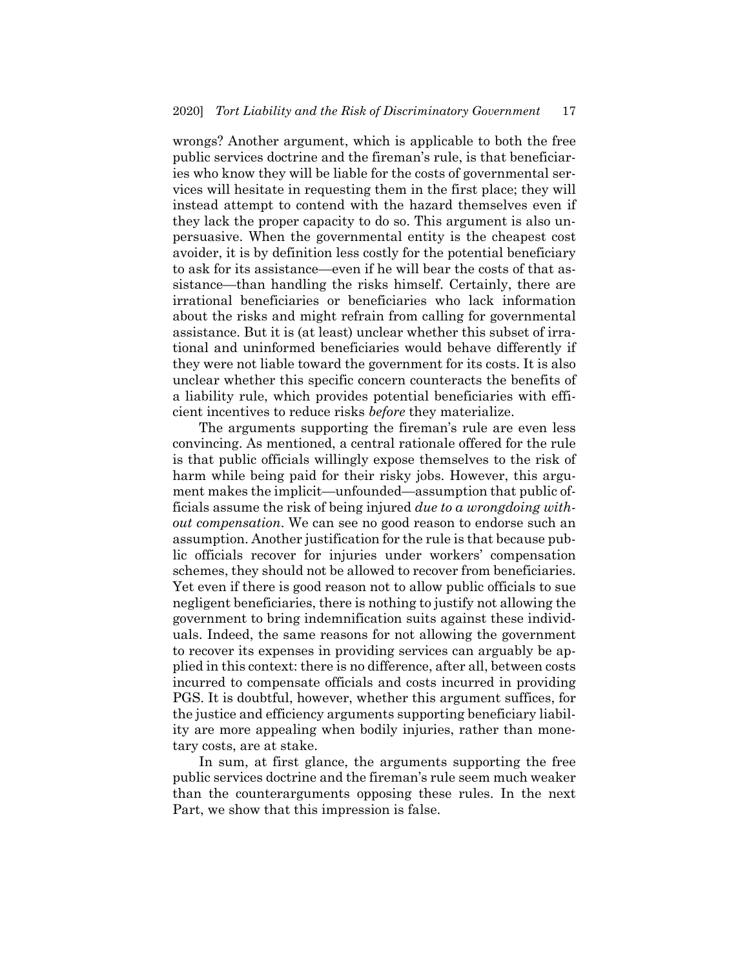wrongs? Another argument, which is applicable to both the free public services doctrine and the fireman's rule, is that beneficiaries who know they will be liable for the costs of governmental services will hesitate in requesting them in the first place; they will instead attempt to contend with the hazard themselves even if they lack the proper capacity to do so. This argument is also unpersuasive. When the governmental entity is the cheapest cost avoider, it is by definition less costly for the potential beneficiary to ask for its assistance—even if he will bear the costs of that assistance—than handling the risks himself. Certainly, there are irrational beneficiaries or beneficiaries who lack information about the risks and might refrain from calling for governmental assistance. But it is (at least) unclear whether this subset of irrational and uninformed beneficiaries would behave differently if they were not liable toward the government for its costs. It is also unclear whether this specific concern counteracts the benefits of a liability rule, which provides potential beneficiaries with efficient incentives to reduce risks *before* they materialize.

The arguments supporting the fireman's rule are even less convincing. As mentioned, a central rationale offered for the rule is that public officials willingly expose themselves to the risk of harm while being paid for their risky jobs. However, this argument makes the implicit—unfounded—assumption that public officials assume the risk of being injured *due to a wrongdoing without compensation*. We can see no good reason to endorse such an assumption. Another justification for the rule is that because public officials recover for injuries under workers' compensation schemes, they should not be allowed to recover from beneficiaries. Yet even if there is good reason not to allow public officials to sue negligent beneficiaries, there is nothing to justify not allowing the government to bring indemnification suits against these individuals. Indeed, the same reasons for not allowing the government to recover its expenses in providing services can arguably be applied in this context: there is no difference, after all, between costs incurred to compensate officials and costs incurred in providing PGS. It is doubtful, however, whether this argument suffices, for the justice and efficiency arguments supporting beneficiary liability are more appealing when bodily injuries, rather than monetary costs, are at stake.

In sum, at first glance, the arguments supporting the free public services doctrine and the fireman's rule seem much weaker than the counterarguments opposing these rules. In the next Part, we show that this impression is false.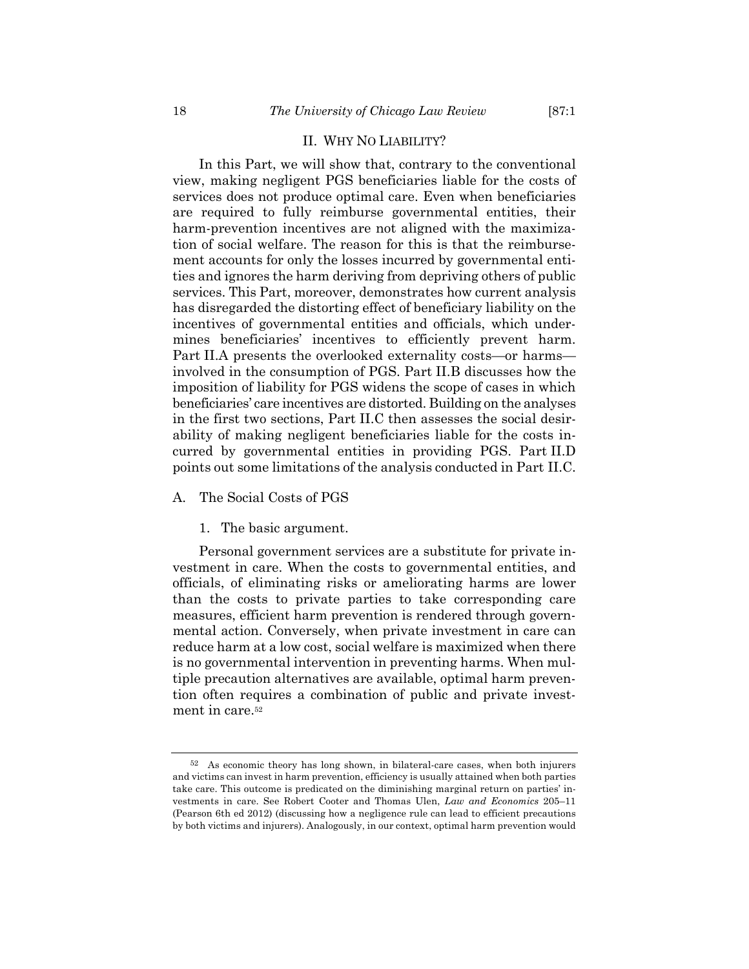## II. WHY NO LIABILITY?

In this Part, we will show that, contrary to the conventional view, making negligent PGS beneficiaries liable for the costs of services does not produce optimal care. Even when beneficiaries are required to fully reimburse governmental entities, their harm-prevention incentives are not aligned with the maximization of social welfare. The reason for this is that the reimbursement accounts for only the losses incurred by governmental entities and ignores the harm deriving from depriving others of public services. This Part, moreover, demonstrates how current analysis has disregarded the distorting effect of beneficiary liability on the incentives of governmental entities and officials, which undermines beneficiaries' incentives to efficiently prevent harm. Part II.A presents the overlooked externality costs—or harms involved in the consumption of PGS. Part II.B discusses how the imposition of liability for PGS widens the scope of cases in which beneficiaries' care incentives are distorted. Building on the analyses in the first two sections, Part II.C then assesses the social desirability of making negligent beneficiaries liable for the costs incurred by governmental entities in providing PGS. Part II.D points out some limitations of the analysis conducted in Part II.C.

# A. The Social Costs of PGS

#### 1. The basic argument.

Personal government services are a substitute for private investment in care. When the costs to governmental entities, and officials, of eliminating risks or ameliorating harms are lower than the costs to private parties to take corresponding care measures, efficient harm prevention is rendered through governmental action. Conversely, when private investment in care can reduce harm at a low cost, social welfare is maximized when there is no governmental intervention in preventing harms. When multiple precaution alternatives are available, optimal harm prevention often requires a combination of public and private investment in care.52

<sup>52</sup> As economic theory has long shown, in bilateral-care cases, when both injurers and victims can invest in harm prevention, efficiency is usually attained when both parties take care. This outcome is predicated on the diminishing marginal return on parties' investments in care. See Robert Cooter and Thomas Ulen, *Law and Economics* 205–11 (Pearson 6th ed 2012) (discussing how a negligence rule can lead to efficient precautions by both victims and injurers). Analogously, in our context, optimal harm prevention would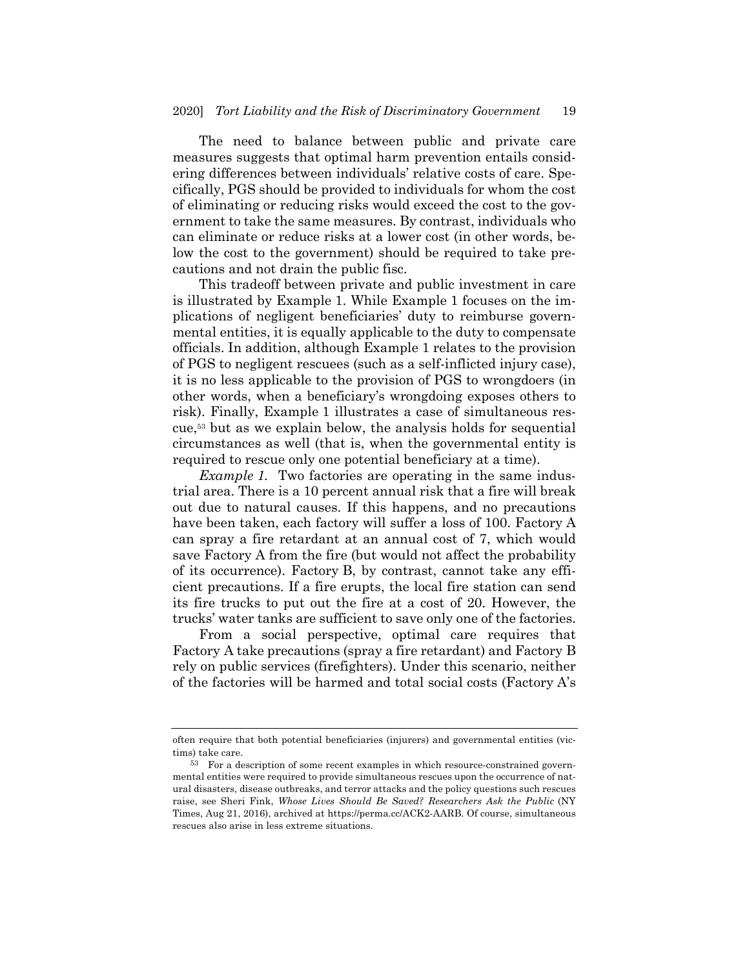The need to balance between public and private care measures suggests that optimal harm prevention entails considering differences between individuals' relative costs of care. Specifically, PGS should be provided to individuals for whom the cost of eliminating or reducing risks would exceed the cost to the government to take the same measures. By contrast, individuals who can eliminate or reduce risks at a lower cost (in other words, below the cost to the government) should be required to take precautions and not drain the public fisc.

This tradeoff between private and public investment in care is illustrated by Example 1. While Example 1 focuses on the implications of negligent beneficiaries' duty to reimburse governmental entities, it is equally applicable to the duty to compensate officials. In addition, although Example 1 relates to the provision of PGS to negligent rescuees (such as a self-inflicted injury case), it is no less applicable to the provision of PGS to wrongdoers (in other words, when a beneficiary's wrongdoing exposes others to risk). Finally, Example 1 illustrates a case of simultaneous rescue,53 but as we explain below, the analysis holds for sequential circumstances as well (that is, when the governmental entity is required to rescue only one potential beneficiary at a time).

*Example 1.* Two factories are operating in the same industrial area. There is a 10 percent annual risk that a fire will break out due to natural causes. If this happens, and no precautions have been taken, each factory will suffer a loss of 100. Factory A can spray a fire retardant at an annual cost of 7, which would save Factory A from the fire (but would not affect the probability of its occurrence). Factory B, by contrast, cannot take any efficient precautions. If a fire erupts, the local fire station can send its fire trucks to put out the fire at a cost of 20. However, the trucks' water tanks are sufficient to save only one of the factories.

From a social perspective, optimal care requires that Factory A take precautions (spray a fire retardant) and Factory B rely on public services (firefighters). Under this scenario, neither of the factories will be harmed and total social costs (Factory A's

often require that both potential beneficiaries (injurers) and governmental entities (victims) take care.

<sup>53</sup> For a description of some recent examples in which resource-constrained governmental entities were required to provide simultaneous rescues upon the occurrence of natural disasters, disease outbreaks, and terror attacks and the policy questions such rescues raise, see Sheri Fink, *Whose Lives Should Be Saved? Researchers Ask the Public* (NY Times, Aug 21, 2016), archived at https://perma.cc/ACK2-AARB. Of course, simultaneous rescues also arise in less extreme situations.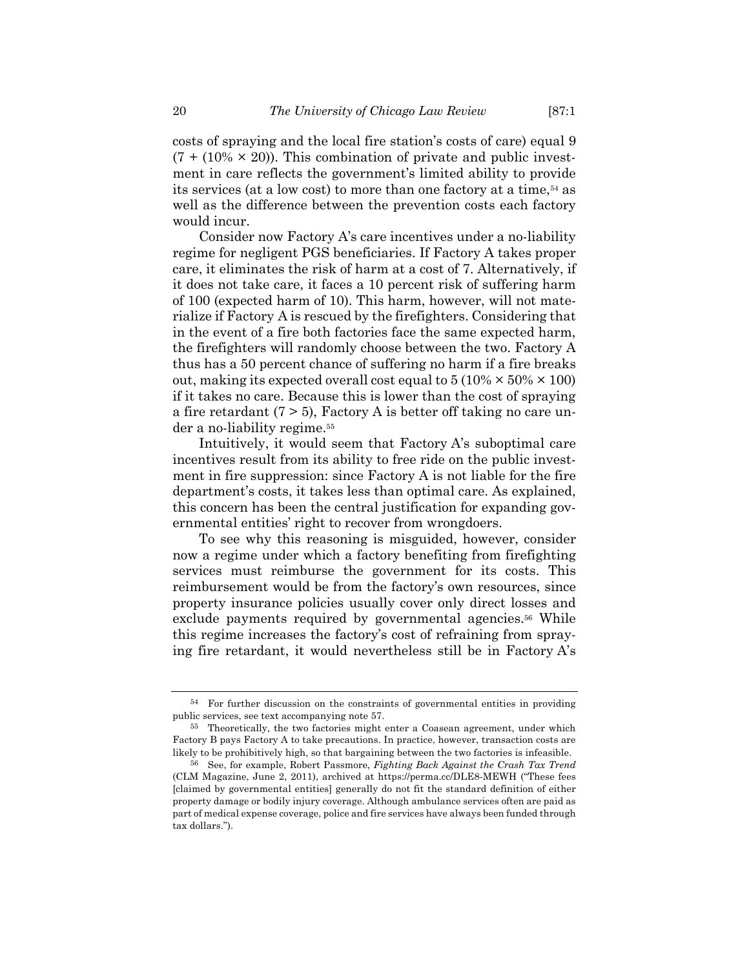costs of spraying and the local fire station's costs of care) equal 9  $(7 + (10\% \times 20))$ . This combination of private and public investment in care reflects the government's limited ability to provide its services (at a low cost) to more than one factory at a time,<sup>54</sup> as well as the difference between the prevention costs each factory would incur.

Consider now Factory A's care incentives under a no-liability regime for negligent PGS beneficiaries. If Factory A takes proper care, it eliminates the risk of harm at a cost of 7. Alternatively, if it does not take care, it faces a 10 percent risk of suffering harm of 100 (expected harm of 10). This harm, however, will not materialize if Factory A is rescued by the firefighters. Considering that in the event of a fire both factories face the same expected harm, the firefighters will randomly choose between the two. Factory A thus has a 50 percent chance of suffering no harm if a fire breaks out, making its expected overall cost equal to  $5(10\% \times 50\% \times 100)$ if it takes no care. Because this is lower than the cost of spraying a fire retardant  $(7 > 5)$ , Factory A is better off taking no care under a no-liability regime.55

Intuitively, it would seem that Factory A's suboptimal care incentives result from its ability to free ride on the public investment in fire suppression: since Factory A is not liable for the fire department's costs, it takes less than optimal care. As explained, this concern has been the central justification for expanding governmental entities' right to recover from wrongdoers.

To see why this reasoning is misguided, however, consider now a regime under which a factory benefiting from firefighting services must reimburse the government for its costs. This reimbursement would be from the factory's own resources, since property insurance policies usually cover only direct losses and exclude payments required by governmental agencies.<sup>56</sup> While this regime increases the factory's cost of refraining from spraying fire retardant, it would nevertheless still be in Factory A's

<sup>54</sup> For further discussion on the constraints of governmental entities in providing public services, see text accompanying note 57.

<sup>55</sup> Theoretically, the two factories might enter a Coasean agreement, under which Factory B pays Factory A to take precautions. In practice, however, transaction costs are likely to be prohibitively high, so that bargaining between the two factories is infeasible.

<sup>56</sup> See, for example, Robert Passmore, *Fighting Back Against the Crash Tax Trend* (CLM Magazine, June 2, 2011), archived at https://perma.cc/DLE8-MEWH ("These fees [claimed by governmental entities] generally do not fit the standard definition of either property damage or bodily injury coverage. Although ambulance services often are paid as part of medical expense coverage, police and fire services have always been funded through tax dollars.").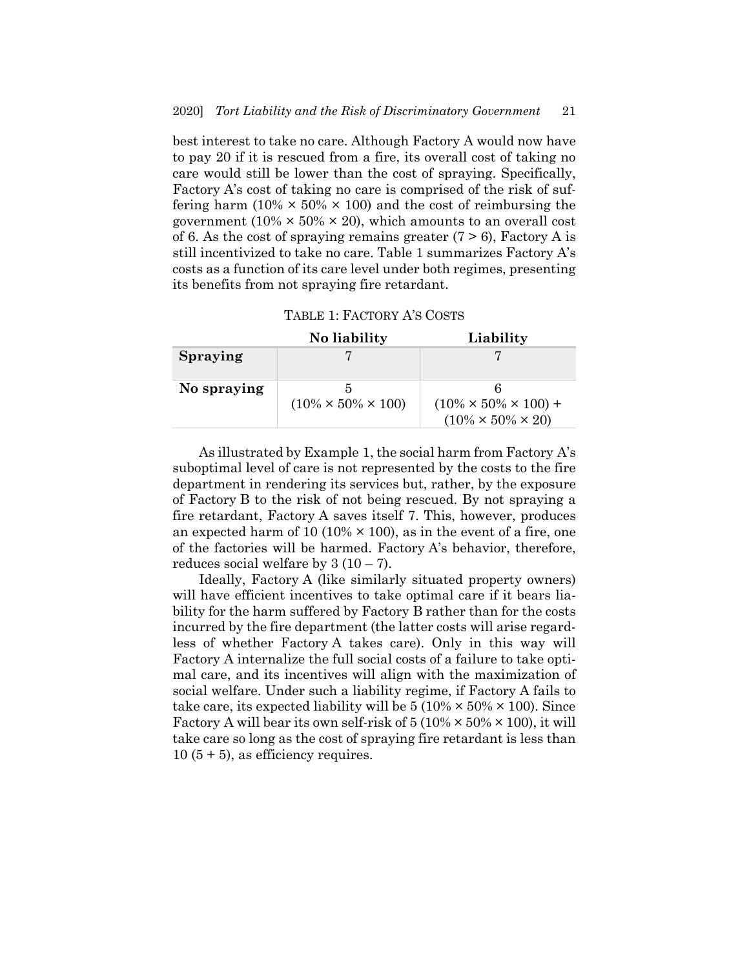best interest to take no care. Although Factory A would now have to pay 20 if it is rescued from a fire, its overall cost of taking no care would still be lower than the cost of spraying. Specifically, Factory A's cost of taking no care is comprised of the risk of suffering harm  $(10\% \times 50\% \times 100)$  and the cost of reimbursing the government (10%  $\times$  50%  $\times$  20), which amounts to an overall cost of 6. As the cost of spraying remains greater  $(7 > 6)$ , Factory A is still incentivized to take no care. Table 1 summarizes Factory A's costs as a function of its care level under both regimes, presenting its benefits from not spraying fire retardant.

| TABLE 1: FACTORY A'S COSTS |  |  |
|----------------------------|--|--|
|----------------------------|--|--|

|                 | No liability                    | Liability                                                           |  |  |
|-----------------|---------------------------------|---------------------------------------------------------------------|--|--|
| <b>Spraying</b> |                                 |                                                                     |  |  |
| No spraying     | $(10\% \times 50\% \times 100)$ | $(10\% \times 50\% \times 100) +$<br>$(10\% \times 50\% \times 20)$ |  |  |

As illustrated by Example 1, the social harm from Factory A's suboptimal level of care is not represented by the costs to the fire department in rendering its services but, rather, by the exposure of Factory B to the risk of not being rescued. By not spraying a fire retardant, Factory A saves itself 7. This, however, produces an expected harm of 10 (10%  $\times$  100), as in the event of a fire, one of the factories will be harmed. Factory A's behavior, therefore, reduces social welfare by  $3(10-7)$ .

Ideally, Factory A (like similarly situated property owners) will have efficient incentives to take optimal care if it bears liability for the harm suffered by Factory B rather than for the costs incurred by the fire department (the latter costs will arise regardless of whether Factory A takes care). Only in this way will Factory A internalize the full social costs of a failure to take optimal care, and its incentives will align with the maximization of social welfare. Under such a liability regime, if Factory A fails to take care, its expected liability will be  $5 (10\% \times 50\% \times 100)$ . Since Factory A will bear its own self-risk of  $5(10\% \times 50\% \times 100)$ , it will take care so long as the cost of spraying fire retardant is less than  $10 (5 + 5)$ , as efficiency requires.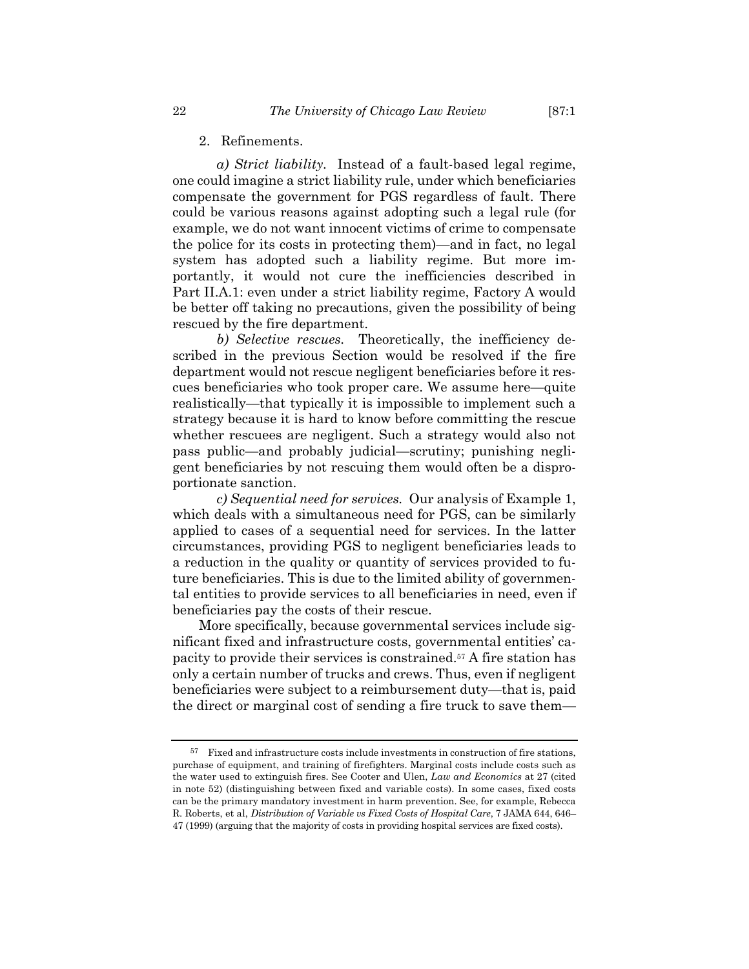2. Refinements.

*a) Strict liability.* Instead of a fault-based legal regime, one could imagine a strict liability rule, under which beneficiaries compensate the government for PGS regardless of fault. There could be various reasons against adopting such a legal rule (for example, we do not want innocent victims of crime to compensate the police for its costs in protecting them)—and in fact, no legal system has adopted such a liability regime. But more importantly, it would not cure the inefficiencies described in Part II.A.1: even under a strict liability regime, Factory A would be better off taking no precautions, given the possibility of being rescued by the fire department.

*b) Selective rescues.* Theoretically, the inefficiency described in the previous Section would be resolved if the fire department would not rescue negligent beneficiaries before it rescues beneficiaries who took proper care. We assume here—quite realistically—that typically it is impossible to implement such a strategy because it is hard to know before committing the rescue whether rescuees are negligent. Such a strategy would also not pass public—and probably judicial—scrutiny; punishing negligent beneficiaries by not rescuing them would often be a disproportionate sanction.

*c) Sequential need for services.* Our analysis of Example 1, which deals with a simultaneous need for PGS, can be similarly applied to cases of a sequential need for services. In the latter circumstances, providing PGS to negligent beneficiaries leads to a reduction in the quality or quantity of services provided to future beneficiaries. This is due to the limited ability of governmental entities to provide services to all beneficiaries in need, even if beneficiaries pay the costs of their rescue.

More specifically, because governmental services include significant fixed and infrastructure costs, governmental entities' capacity to provide their services is constrained.57 A fire station has only a certain number of trucks and crews. Thus, even if negligent beneficiaries were subject to a reimbursement duty—that is, paid the direct or marginal cost of sending a fire truck to save them—

<sup>57</sup> Fixed and infrastructure costs include investments in construction of fire stations, purchase of equipment, and training of firefighters. Marginal costs include costs such as the water used to extinguish fires. See Cooter and Ulen, *Law and Economics* at 27 (cited in note 52) (distinguishing between fixed and variable costs). In some cases, fixed costs can be the primary mandatory investment in harm prevention. See, for example, Rebecca R. Roberts, et al, *Distribution of Variable vs Fixed Costs of Hospital Care*, 7 JAMA 644, 646– 47 (1999) (arguing that the majority of costs in providing hospital services are fixed costs).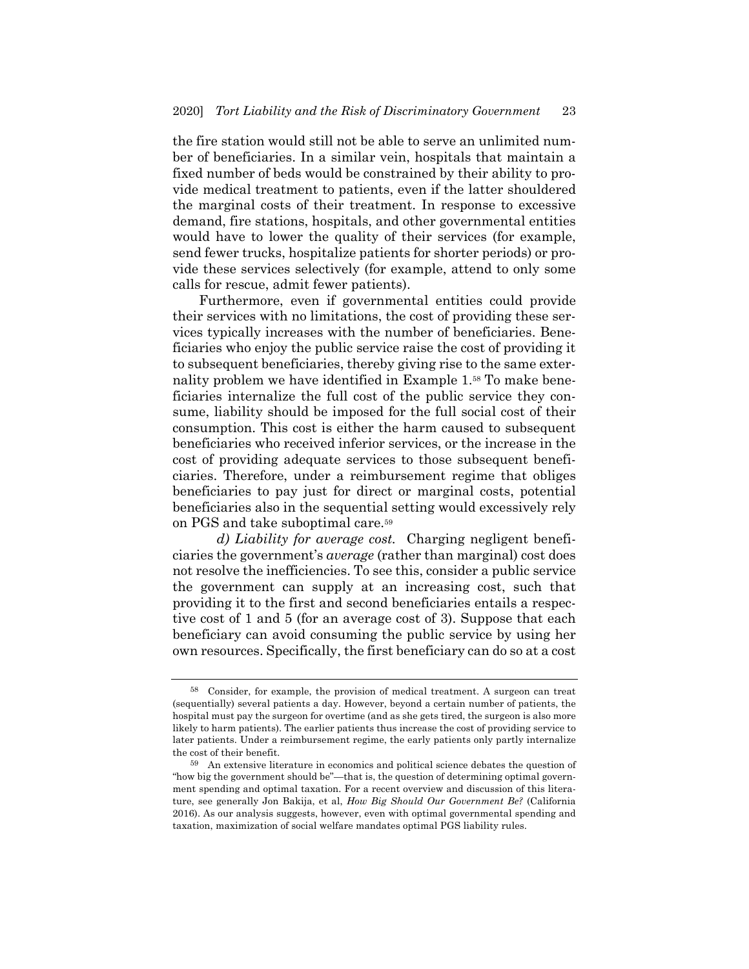the fire station would still not be able to serve an unlimited number of beneficiaries. In a similar vein, hospitals that maintain a fixed number of beds would be constrained by their ability to provide medical treatment to patients, even if the latter shouldered the marginal costs of their treatment. In response to excessive demand, fire stations, hospitals, and other governmental entities would have to lower the quality of their services (for example, send fewer trucks, hospitalize patients for shorter periods) or provide these services selectively (for example, attend to only some calls for rescue, admit fewer patients).

Furthermore, even if governmental entities could provide their services with no limitations, the cost of providing these services typically increases with the number of beneficiaries. Beneficiaries who enjoy the public service raise the cost of providing it to subsequent beneficiaries, thereby giving rise to the same externality problem we have identified in Example 1.58 To make beneficiaries internalize the full cost of the public service they consume, liability should be imposed for the full social cost of their consumption. This cost is either the harm caused to subsequent beneficiaries who received inferior services, or the increase in the cost of providing adequate services to those subsequent beneficiaries. Therefore, under a reimbursement regime that obliges beneficiaries to pay just for direct or marginal costs, potential beneficiaries also in the sequential setting would excessively rely on PGS and take suboptimal care.59

*d) Liability for average cost.* Charging negligent beneficiaries the government's *average* (rather than marginal) cost does not resolve the inefficiencies. To see this, consider a public service the government can supply at an increasing cost, such that providing it to the first and second beneficiaries entails a respective cost of 1 and 5 (for an average cost of 3). Suppose that each beneficiary can avoid consuming the public service by using her own resources. Specifically, the first beneficiary can do so at a cost

<sup>58</sup> Consider, for example, the provision of medical treatment. A surgeon can treat (sequentially) several patients a day. However, beyond a certain number of patients, the hospital must pay the surgeon for overtime (and as she gets tired, the surgeon is also more likely to harm patients). The earlier patients thus increase the cost of providing service to later patients. Under a reimbursement regime, the early patients only partly internalize the cost of their benefit.

<sup>59</sup> An extensive literature in economics and political science debates the question of "how big the government should be"—that is, the question of determining optimal government spending and optimal taxation. For a recent overview and discussion of this literature, see generally Jon Bakija, et al, *How Big Should Our Government Be?* (California 2016). As our analysis suggests, however, even with optimal governmental spending and taxation, maximization of social welfare mandates optimal PGS liability rules.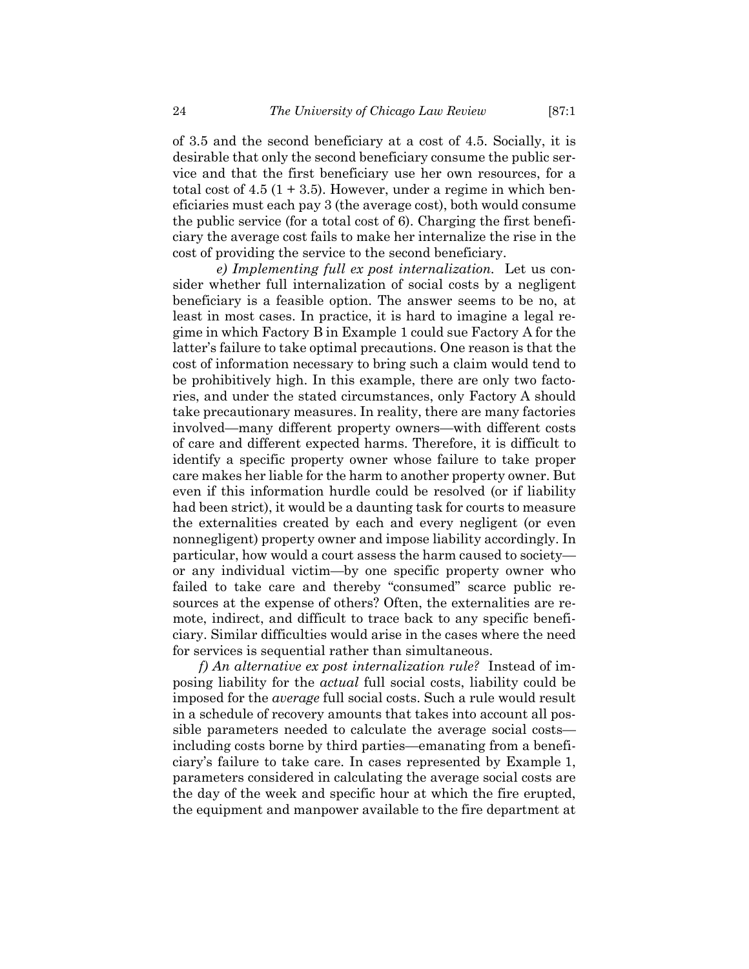of 3.5 and the second beneficiary at a cost of 4.5. Socially, it is desirable that only the second beneficiary consume the public service and that the first beneficiary use her own resources, for a total cost of  $4.5$  (1 + 3.5). However, under a regime in which beneficiaries must each pay 3 (the average cost), both would consume the public service (for a total cost of 6). Charging the first beneficiary the average cost fails to make her internalize the rise in the cost of providing the service to the second beneficiary.

*e) Implementing full ex post internalization.* Let us consider whether full internalization of social costs by a negligent beneficiary is a feasible option. The answer seems to be no, at least in most cases. In practice, it is hard to imagine a legal regime in which Factory B in Example 1 could sue Factory A for the latter's failure to take optimal precautions. One reason is that the cost of information necessary to bring such a claim would tend to be prohibitively high. In this example, there are only two factories, and under the stated circumstances, only Factory A should take precautionary measures. In reality, there are many factories involved—many different property owners—with different costs of care and different expected harms. Therefore, it is difficult to identify a specific property owner whose failure to take proper care makes her liable for the harm to another property owner. But even if this information hurdle could be resolved (or if liability had been strict), it would be a daunting task for courts to measure the externalities created by each and every negligent (or even nonnegligent) property owner and impose liability accordingly. In particular, how would a court assess the harm caused to society or any individual victim—by one specific property owner who failed to take care and thereby "consumed" scarce public resources at the expense of others? Often, the externalities are remote, indirect, and difficult to trace back to any specific beneficiary. Similar difficulties would arise in the cases where the need for services is sequential rather than simultaneous.

*f) An alternative ex post internalization rule?* Instead of imposing liability for the *actual* full social costs, liability could be imposed for the *average* full social costs. Such a rule would result in a schedule of recovery amounts that takes into account all possible parameters needed to calculate the average social costs including costs borne by third parties—emanating from a beneficiary's failure to take care. In cases represented by Example 1, parameters considered in calculating the average social costs are the day of the week and specific hour at which the fire erupted, the equipment and manpower available to the fire department at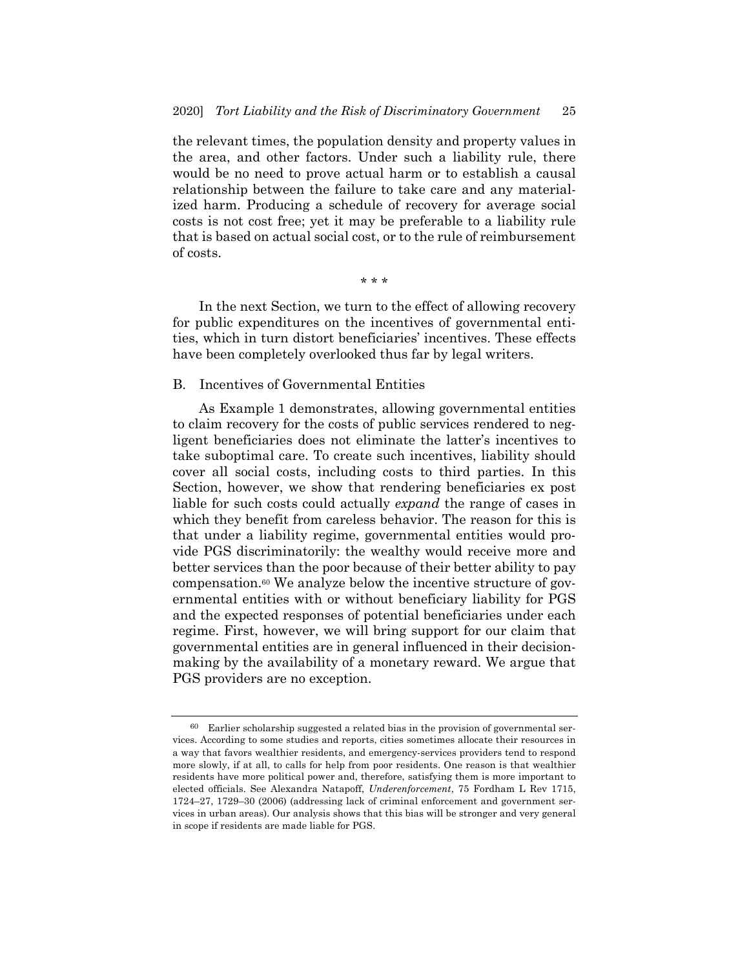the relevant times, the population density and property values in the area, and other factors. Under such a liability rule, there would be no need to prove actual harm or to establish a causal relationship between the failure to take care and any materialized harm. Producing a schedule of recovery for average social costs is not cost free; yet it may be preferable to a liability rule that is based on actual social cost, or to the rule of reimbursement of costs.

\* \* \*

In the next Section, we turn to the effect of allowing recovery for public expenditures on the incentives of governmental entities, which in turn distort beneficiaries' incentives. These effects have been completely overlooked thus far by legal writers.

## B. Incentives of Governmental Entities

As Example 1 demonstrates, allowing governmental entities to claim recovery for the costs of public services rendered to negligent beneficiaries does not eliminate the latter's incentives to take suboptimal care. To create such incentives, liability should cover all social costs, including costs to third parties. In this Section, however, we show that rendering beneficiaries ex post liable for such costs could actually *expand* the range of cases in which they benefit from careless behavior. The reason for this is that under a liability regime, governmental entities would provide PGS discriminatorily: the wealthy would receive more and better services than the poor because of their better ability to pay compensation.60 We analyze below the incentive structure of governmental entities with or without beneficiary liability for PGS and the expected responses of potential beneficiaries under each regime. First, however, we will bring support for our claim that governmental entities are in general influenced in their decisionmaking by the availability of a monetary reward. We argue that PGS providers are no exception.

<sup>60</sup> Earlier scholarship suggested a related bias in the provision of governmental services. According to some studies and reports, cities sometimes allocate their resources in a way that favors wealthier residents, and emergency-services providers tend to respond more slowly, if at all, to calls for help from poor residents. One reason is that wealthier residents have more political power and, therefore, satisfying them is more important to elected officials. See Alexandra Natapoff, *Underenforcement*, 75 Fordham L Rev 1715, 1724–27, 1729–30 (2006) (addressing lack of criminal enforcement and government services in urban areas). Our analysis shows that this bias will be stronger and very general in scope if residents are made liable for PGS.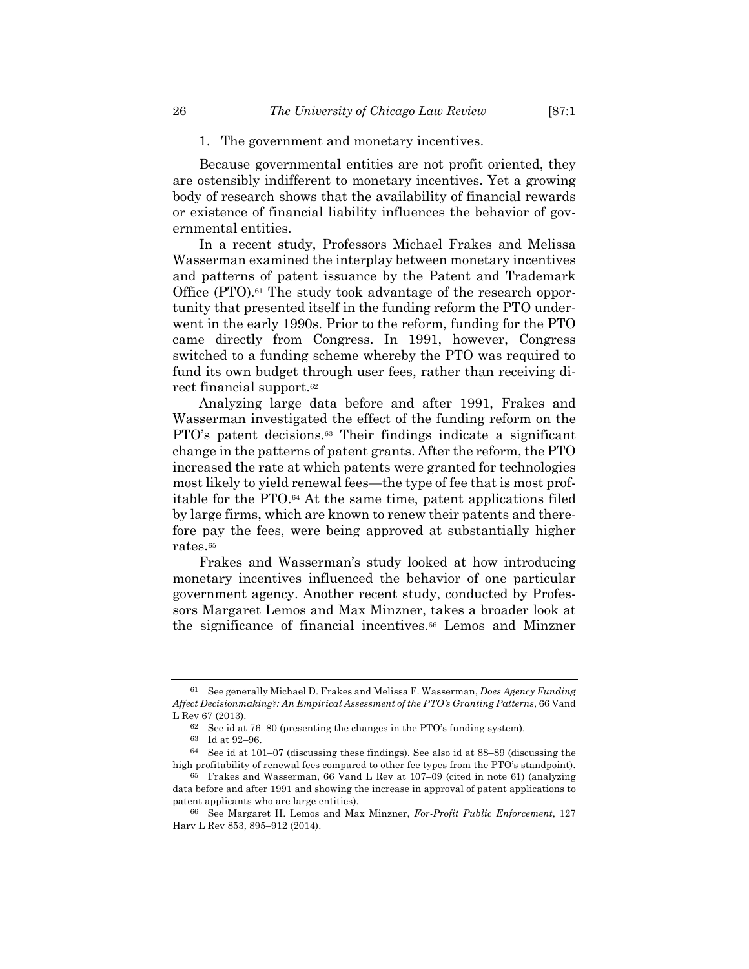Because governmental entities are not profit oriented, they are ostensibly indifferent to monetary incentives. Yet a growing body of research shows that the availability of financial rewards or existence of financial liability influences the behavior of governmental entities.

In a recent study, Professors Michael Frakes and Melissa Wasserman examined the interplay between monetary incentives and patterns of patent issuance by the Patent and Trademark Office (PTO).<sup>61</sup> The study took advantage of the research opportunity that presented itself in the funding reform the PTO underwent in the early 1990s. Prior to the reform, funding for the PTO came directly from Congress. In 1991, however, Congress switched to a funding scheme whereby the PTO was required to fund its own budget through user fees, rather than receiving direct financial support.62

Analyzing large data before and after 1991, Frakes and Wasserman investigated the effect of the funding reform on the PTO's patent decisions.63 Their findings indicate a significant change in the patterns of patent grants. After the reform, the PTO increased the rate at which patents were granted for technologies most likely to yield renewal fees—the type of fee that is most profitable for the PTO.64 At the same time, patent applications filed by large firms, which are known to renew their patents and therefore pay the fees, were being approved at substantially higher rates.65

Frakes and Wasserman's study looked at how introducing monetary incentives influenced the behavior of one particular government agency. Another recent study, conducted by Professors Margaret Lemos and Max Minzner, takes a broader look at the significance of financial incentives.66 Lemos and Minzner

<sup>61</sup> See generally Michael D. Frakes and Melissa F. Wasserman, *Does Agency Funding Affect Decisionmaking?: An Empirical Assessment of the PTO's Granting Patterns*, 66 Vand L Rev 67 (2013).

<sup>62</sup> See id at 76–80 (presenting the changes in the PTO's funding system).

<sup>63</sup> Id at 92–96.

<sup>64</sup> See id at 101–07 (discussing these findings). See also id at 88–89 (discussing the high profitability of renewal fees compared to other fee types from the PTO's standpoint).

<sup>65</sup> Frakes and Wasserman, 66 Vand L Rev at 107–09 (cited in note 61) (analyzing data before and after 1991 and showing the increase in approval of patent applications to patent applicants who are large entities).

<sup>66</sup> See Margaret H. Lemos and Max Minzner, *For-Profit Public Enforcement*, 127 Harv L Rev 853, 895–912 (2014).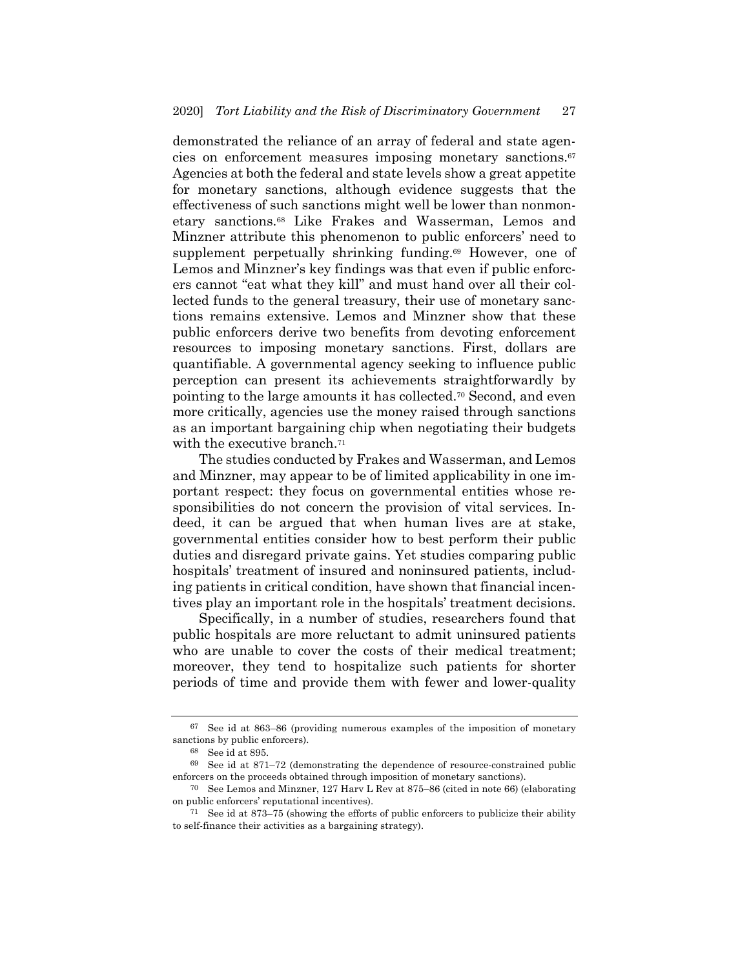demonstrated the reliance of an array of federal and state agencies on enforcement measures imposing monetary sanctions.67 Agencies at both the federal and state levels show a great appetite for monetary sanctions, although evidence suggests that the effectiveness of such sanctions might well be lower than nonmonetary sanctions.68 Like Frakes and Wasserman, Lemos and Minzner attribute this phenomenon to public enforcers' need to supplement perpetually shrinking funding.69 However, one of Lemos and Minzner's key findings was that even if public enforcers cannot "eat what they kill" and must hand over all their collected funds to the general treasury, their use of monetary sanctions remains extensive. Lemos and Minzner show that these public enforcers derive two benefits from devoting enforcement resources to imposing monetary sanctions. First, dollars are quantifiable. A governmental agency seeking to influence public perception can present its achievements straightforwardly by pointing to the large amounts it has collected.70 Second, and even more critically, agencies use the money raised through sanctions as an important bargaining chip when negotiating their budgets with the executive branch.<sup>71</sup>

The studies conducted by Frakes and Wasserman, and Lemos and Minzner, may appear to be of limited applicability in one important respect: they focus on governmental entities whose responsibilities do not concern the provision of vital services. Indeed, it can be argued that when human lives are at stake, governmental entities consider how to best perform their public duties and disregard private gains. Yet studies comparing public hospitals' treatment of insured and noninsured patients, including patients in critical condition, have shown that financial incentives play an important role in the hospitals' treatment decisions.

Specifically, in a number of studies, researchers found that public hospitals are more reluctant to admit uninsured patients who are unable to cover the costs of their medical treatment; moreover, they tend to hospitalize such patients for shorter periods of time and provide them with fewer and lower-quality

<sup>67</sup> See id at 863–86 (providing numerous examples of the imposition of monetary sanctions by public enforcers).

<sup>68</sup> See id at 895.

<sup>69</sup> See id at 871–72 (demonstrating the dependence of resource-constrained public enforcers on the proceeds obtained through imposition of monetary sanctions).

<sup>70</sup> See Lemos and Minzner, 127 Harv L Rev at 875–86 (cited in note 66) (elaborating on public enforcers' reputational incentives).

<sup>71</sup> See id at 873–75 (showing the efforts of public enforcers to publicize their ability to self-finance their activities as a bargaining strategy).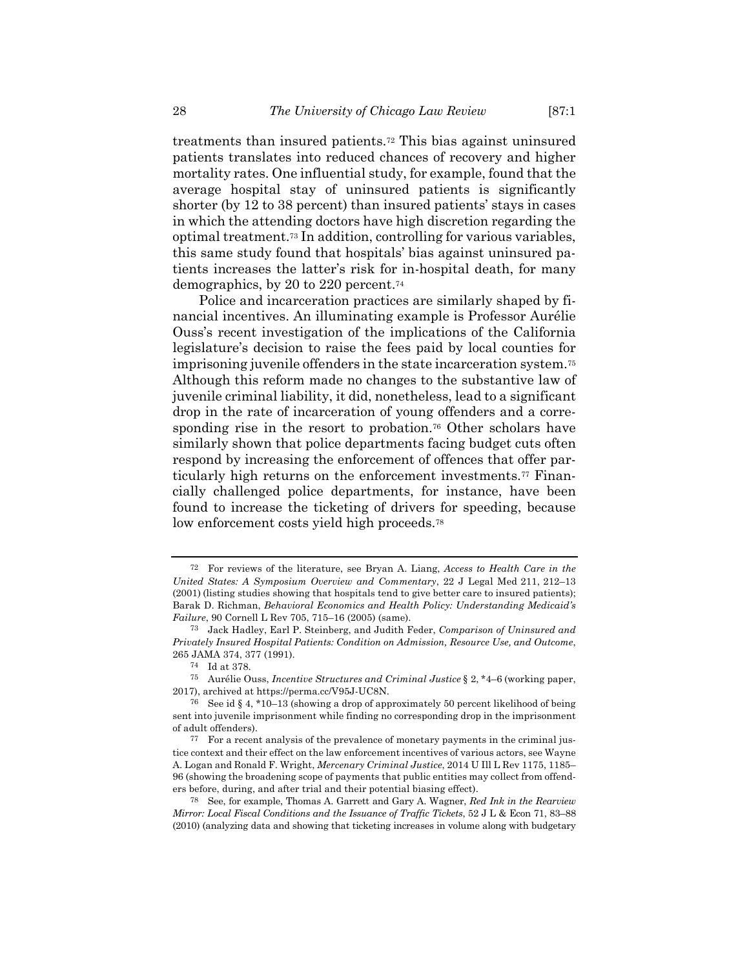treatments than insured patients.72 This bias against uninsured patients translates into reduced chances of recovery and higher mortality rates. One influential study, for example, found that the average hospital stay of uninsured patients is significantly shorter (by 12 to 38 percent) than insured patients' stays in cases in which the attending doctors have high discretion regarding the optimal treatment.73 In addition, controlling for various variables, this same study found that hospitals' bias against uninsured patients increases the latter's risk for in-hospital death, for many demographics, by 20 to 220 percent.74

Police and incarceration practices are similarly shaped by financial incentives. An illuminating example is Professor Aurélie Ouss's recent investigation of the implications of the California legislature's decision to raise the fees paid by local counties for imprisoning juvenile offenders in the state incarceration system.75 Although this reform made no changes to the substantive law of juvenile criminal liability, it did, nonetheless, lead to a significant drop in the rate of incarceration of young offenders and a corresponding rise in the resort to probation.<sup>76</sup> Other scholars have similarly shown that police departments facing budget cuts often respond by increasing the enforcement of offences that offer particularly high returns on the enforcement investments.77 Financially challenged police departments, for instance, have been found to increase the ticketing of drivers for speeding, because low enforcement costs yield high proceeds.<sup>78</sup>

<sup>72</sup> For reviews of the literature, see Bryan A. Liang, *Access to Health Care in the United States: A Symposium Overview and Commentary*, 22 J Legal Med 211, 212–13 (2001) (listing studies showing that hospitals tend to give better care to insured patients); Barak D. Richman, *Behavioral Economics and Health Policy: Understanding Medicaid's Failure*, 90 Cornell L Rev 705, 715–16 (2005) (same).

<sup>73</sup> Jack Hadley, Earl P. Steinberg, and Judith Feder, *Comparison of Uninsured and Privately Insured Hospital Patients: Condition on Admission, Resource Use, and Outcome*, 265 JAMA 374, 377 (1991).

<sup>74</sup> Id at 378.

<sup>75</sup> Aurélie Ouss, *Incentive Structures and Criminal Justice* § 2, \*4–6 (working paper, 2017), archived at https://perma.cc/V95J-UC8N.

<sup>76</sup> See id § 4, \*10–13 (showing a drop of approximately 50 percent likelihood of being sent into juvenile imprisonment while finding no corresponding drop in the imprisonment of adult offenders).

<sup>77</sup> For a recent analysis of the prevalence of monetary payments in the criminal justice context and their effect on the law enforcement incentives of various actors, see Wayne A. Logan and Ronald F. Wright, *Mercenary Criminal Justice*, 2014 U Ill L Rev 1175, 1185– 96 (showing the broadening scope of payments that public entities may collect from offenders before, during, and after trial and their potential biasing effect).

<sup>78</sup> See, for example, Thomas A. Garrett and Gary A. Wagner, *Red Ink in the Rearview Mirror: Local Fiscal Conditions and the Issuance of Traffic Tickets*, 52 J L & Econ 71, 83–88 (2010) (analyzing data and showing that ticketing increases in volume along with budgetary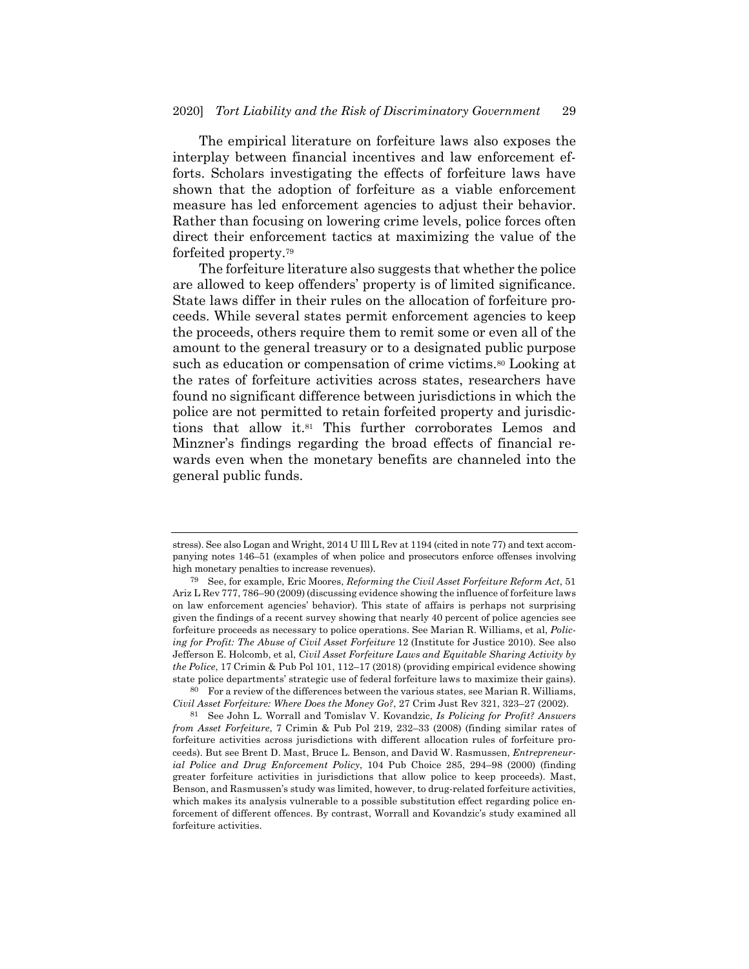The empirical literature on forfeiture laws also exposes the interplay between financial incentives and law enforcement efforts. Scholars investigating the effects of forfeiture laws have shown that the adoption of forfeiture as a viable enforcement measure has led enforcement agencies to adjust their behavior. Rather than focusing on lowering crime levels, police forces often direct their enforcement tactics at maximizing the value of the forfeited property.79

The forfeiture literature also suggests that whether the police are allowed to keep offenders' property is of limited significance. State laws differ in their rules on the allocation of forfeiture proceeds. While several states permit enforcement agencies to keep the proceeds, others require them to remit some or even all of the amount to the general treasury or to a designated public purpose such as education or compensation of crime victims.<sup>80</sup> Looking at the rates of forfeiture activities across states, researchers have found no significant difference between jurisdictions in which the police are not permitted to retain forfeited property and jurisdictions that allow it.81 This further corroborates Lemos and Minzner's findings regarding the broad effects of financial rewards even when the monetary benefits are channeled into the general public funds.

80 For a review of the differences between the various states, see Marian R. Williams, *Civil Asset Forfeiture: Where Does the Money Go?*, 27 Crim Just Rev 321, 323–27 (2002).

81 See John L. Worrall and Tomislav V. Kovandzic, *Is Policing for Profit? Answers from Asset Forfeiture*, 7 Crimin & Pub Pol 219, 232–33 (2008) (finding similar rates of forfeiture activities across jurisdictions with different allocation rules of forfeiture proceeds). But see Brent D. Mast, Bruce L. Benson, and David W. Rasmussen, *Entrepreneurial Police and Drug Enforcement Policy*, 104 Pub Choice 285, 294–98 (2000) (finding greater forfeiture activities in jurisdictions that allow police to keep proceeds). Mast, Benson, and Rasmussen's study was limited, however, to drug-related forfeiture activities, which makes its analysis vulnerable to a possible substitution effect regarding police enforcement of different offences. By contrast, Worrall and Kovandzic's study examined all forfeiture activities.

stress). See also Logan and Wright, 2014 U Ill L Rev at 1194 (cited in note 77) and text accompanying notes 146–51 (examples of when police and prosecutors enforce offenses involving high monetary penalties to increase revenues).

<sup>79</sup> See, for example, Eric Moores, *Reforming the Civil Asset Forfeiture Reform Act*, 51 Ariz L Rev 777, 786–90 (2009) (discussing evidence showing the influence of forfeiture laws on law enforcement agencies' behavior). This state of affairs is perhaps not surprising given the findings of a recent survey showing that nearly 40 percent of police agencies see forfeiture proceeds as necessary to police operations. See Marian R. Williams, et al, *Policing for Profit: The Abuse of Civil Asset Forfeiture* 12 (Institute for Justice 2010). See also Jefferson E. Holcomb, et al, *Civil Asset Forfeiture Laws and Equitable Sharing Activity by the Police*, 17 Crimin & Pub Pol 101, 112–17 (2018) (providing empirical evidence showing state police departments' strategic use of federal forfeiture laws to maximize their gains).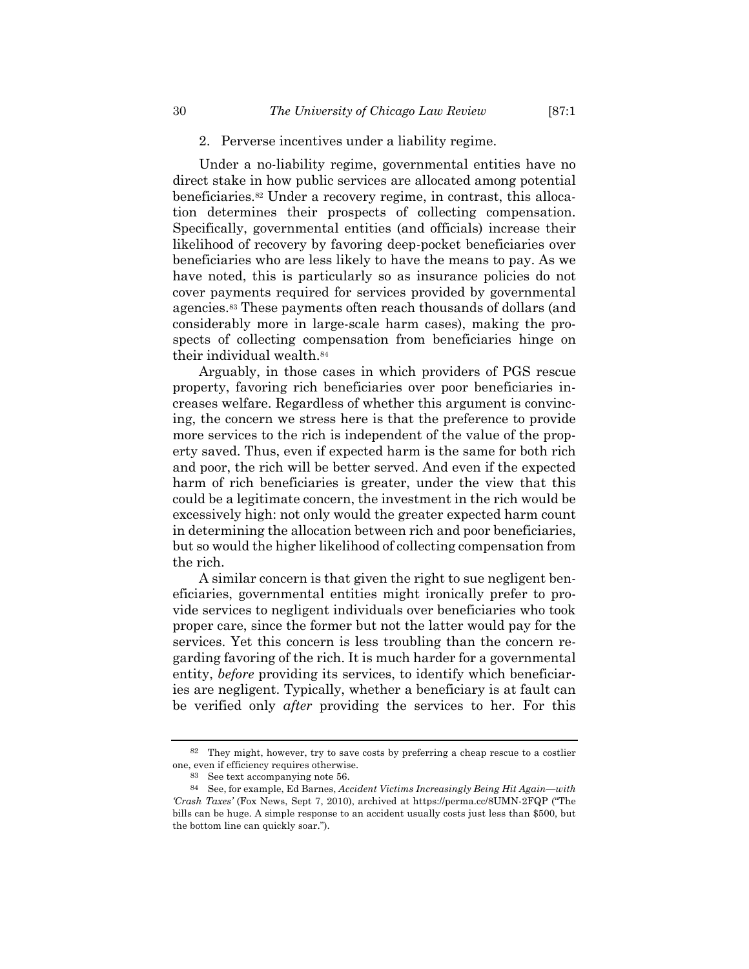Under a no-liability regime, governmental entities have no direct stake in how public services are allocated among potential beneficiaries.82 Under a recovery regime, in contrast, this allocation determines their prospects of collecting compensation. Specifically, governmental entities (and officials) increase their likelihood of recovery by favoring deep-pocket beneficiaries over beneficiaries who are less likely to have the means to pay. As we have noted, this is particularly so as insurance policies do not cover payments required for services provided by governmental agencies.83 These payments often reach thousands of dollars (and considerably more in large-scale harm cases), making the prospects of collecting compensation from beneficiaries hinge on their individual wealth.84

Arguably, in those cases in which providers of PGS rescue property, favoring rich beneficiaries over poor beneficiaries increases welfare. Regardless of whether this argument is convincing, the concern we stress here is that the preference to provide more services to the rich is independent of the value of the property saved. Thus, even if expected harm is the same for both rich and poor, the rich will be better served. And even if the expected harm of rich beneficiaries is greater, under the view that this could be a legitimate concern, the investment in the rich would be excessively high: not only would the greater expected harm count in determining the allocation between rich and poor beneficiaries, but so would the higher likelihood of collecting compensation from the rich.

A similar concern is that given the right to sue negligent beneficiaries, governmental entities might ironically prefer to provide services to negligent individuals over beneficiaries who took proper care, since the former but not the latter would pay for the services. Yet this concern is less troubling than the concern regarding favoring of the rich. It is much harder for a governmental entity, *before* providing its services, to identify which beneficiaries are negligent. Typically, whether a beneficiary is at fault can be verified only *after* providing the services to her. For this

<sup>82</sup> They might, however, try to save costs by preferring a cheap rescue to a costlier one, even if efficiency requires otherwise.

<sup>83</sup> See text accompanying note 56.

<sup>84</sup> See, for example, Ed Barnes, *Accident Victims Increasingly Being Hit Again—with 'Crash Taxes'* (Fox News, Sept 7, 2010), archived at https://perma.cc/8UMN-2FQP ("The bills can be huge. A simple response to an accident usually costs just less than \$500, but the bottom line can quickly soar.").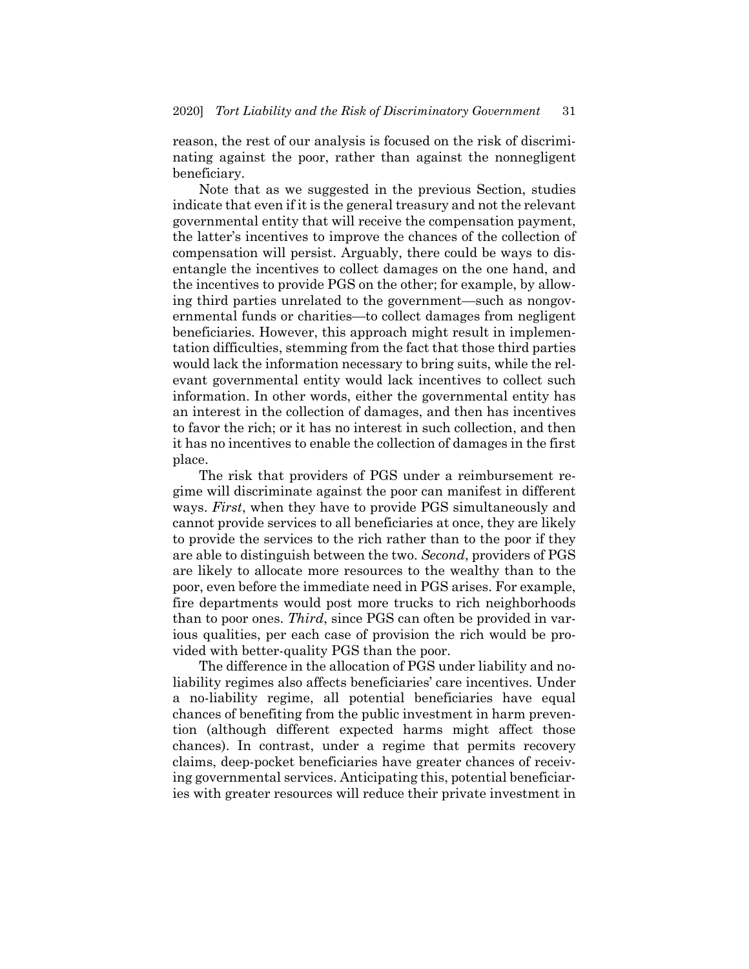reason, the rest of our analysis is focused on the risk of discriminating against the poor, rather than against the nonnegligent beneficiary.

Note that as we suggested in the previous Section, studies indicate that even if it is the general treasury and not the relevant governmental entity that will receive the compensation payment, the latter's incentives to improve the chances of the collection of compensation will persist. Arguably, there could be ways to disentangle the incentives to collect damages on the one hand, and the incentives to provide PGS on the other; for example, by allowing third parties unrelated to the government—such as nongovernmental funds or charities—to collect damages from negligent beneficiaries. However, this approach might result in implementation difficulties, stemming from the fact that those third parties would lack the information necessary to bring suits, while the relevant governmental entity would lack incentives to collect such information. In other words, either the governmental entity has an interest in the collection of damages, and then has incentives to favor the rich; or it has no interest in such collection, and then it has no incentives to enable the collection of damages in the first place.

The risk that providers of PGS under a reimbursement regime will discriminate against the poor can manifest in different ways. *First*, when they have to provide PGS simultaneously and cannot provide services to all beneficiaries at once, they are likely to provide the services to the rich rather than to the poor if they are able to distinguish between the two. *Second*, providers of PGS are likely to allocate more resources to the wealthy than to the poor, even before the immediate need in PGS arises. For example, fire departments would post more trucks to rich neighborhoods than to poor ones. *Third*, since PGS can often be provided in various qualities, per each case of provision the rich would be provided with better-quality PGS than the poor.

The difference in the allocation of PGS under liability and noliability regimes also affects beneficiaries' care incentives. Under a no-liability regime, all potential beneficiaries have equal chances of benefiting from the public investment in harm prevention (although different expected harms might affect those chances). In contrast, under a regime that permits recovery claims, deep-pocket beneficiaries have greater chances of receiving governmental services. Anticipating this, potential beneficiaries with greater resources will reduce their private investment in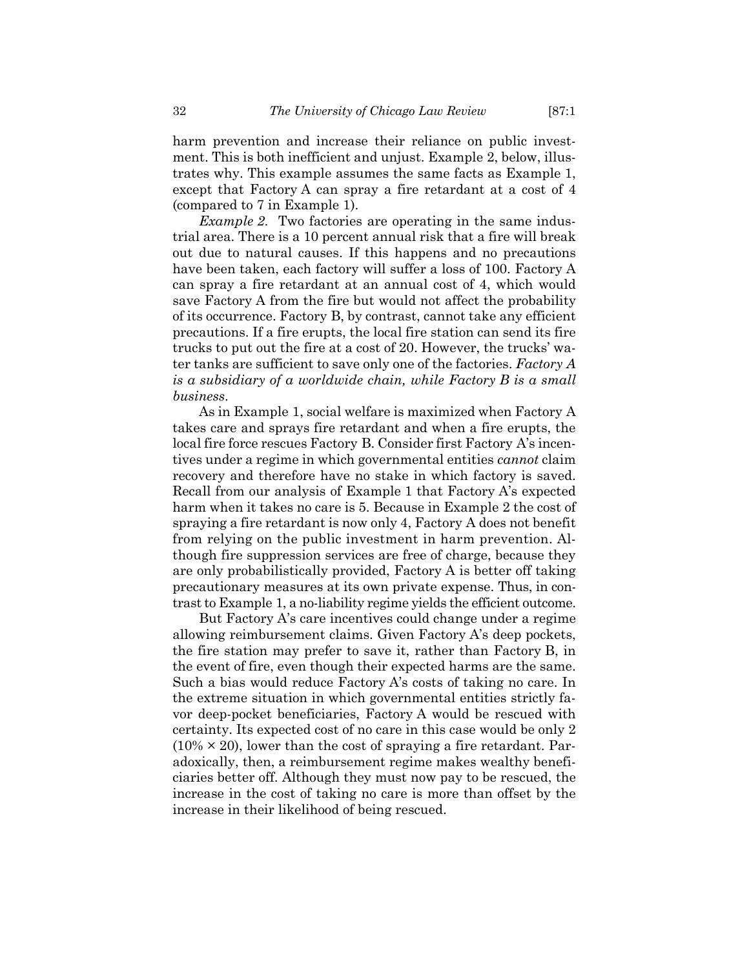harm prevention and increase their reliance on public investment. This is both inefficient and unjust. Example 2, below, illustrates why. This example assumes the same facts as Example 1, except that Factory A can spray a fire retardant at a cost of 4 (compared to 7 in Example 1).

*Example 2*. Two factories are operating in the same industrial area. There is a 10 percent annual risk that a fire will break out due to natural causes. If this happens and no precautions have been taken, each factory will suffer a loss of 100. Factory A can spray a fire retardant at an annual cost of 4, which would save Factory A from the fire but would not affect the probability of its occurrence. Factory B, by contrast, cannot take any efficient precautions. If a fire erupts, the local fire station can send its fire trucks to put out the fire at a cost of 20. However, the trucks' water tanks are sufficient to save only one of the factories. *Factory A is a subsidiary of a worldwide chain, while Factory B is a small business*.

As in Example 1, social welfare is maximized when Factory A takes care and sprays fire retardant and when a fire erupts, the local fire force rescues Factory B. Consider first Factory A's incentives under a regime in which governmental entities *cannot* claim recovery and therefore have no stake in which factory is saved. Recall from our analysis of Example 1 that Factory A's expected harm when it takes no care is 5. Because in Example 2 the cost of spraying a fire retardant is now only 4, Factory A does not benefit from relying on the public investment in harm prevention. Although fire suppression services are free of charge, because they are only probabilistically provided, Factory A is better off taking precautionary measures at its own private expense. Thus, in contrast to Example 1, a no-liability regime yields the efficient outcome.

But Factory A's care incentives could change under a regime allowing reimbursement claims. Given Factory A's deep pockets, the fire station may prefer to save it, rather than Factory B, in the event of fire, even though their expected harms are the same. Such a bias would reduce Factory A's costs of taking no care. In the extreme situation in which governmental entities strictly favor deep-pocket beneficiaries, Factory A would be rescued with certainty. Its expected cost of no care in this case would be only 2  $(10\% \times 20)$ , lower than the cost of spraying a fire retardant. Paradoxically, then, a reimbursement regime makes wealthy beneficiaries better off. Although they must now pay to be rescued, the increase in the cost of taking no care is more than offset by the increase in their likelihood of being rescued.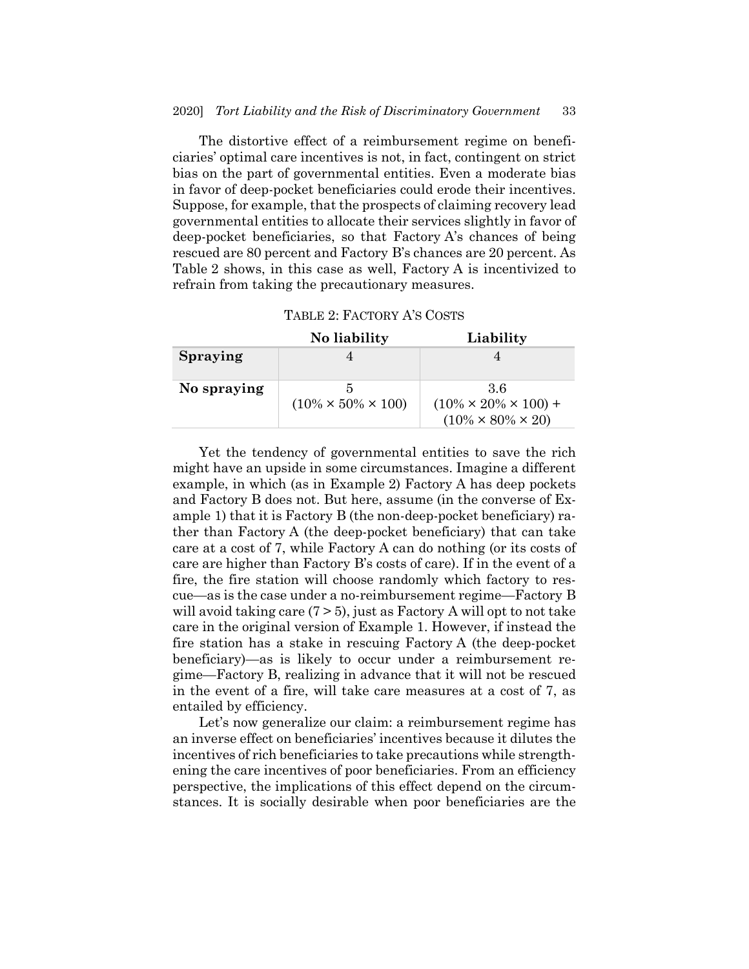The distortive effect of a reimbursement regime on beneficiaries' optimal care incentives is not, in fact, contingent on strict bias on the part of governmental entities. Even a moderate bias in favor of deep-pocket beneficiaries could erode their incentives. Suppose, for example, that the prospects of claiming recovery lead governmental entities to allocate their services slightly in favor of deep-pocket beneficiaries, so that Factory A's chances of being rescued are 80 percent and Factory B's chances are 20 percent. As Table 2 shows, in this case as well, Factory A is incentivized to refrain from taking the precautionary measures.

| TABLE 2: FACTORY A'S COSTS |  |
|----------------------------|--|
|----------------------------|--|

|                 | No liability                    | Liability                         |  |  |
|-----------------|---------------------------------|-----------------------------------|--|--|
| <b>Spraying</b> |                                 |                                   |  |  |
|                 |                                 |                                   |  |  |
| No spraying     |                                 | -36                               |  |  |
|                 | $(10\% \times 50\% \times 100)$ | $(10\% \times 20\% \times 100) +$ |  |  |
|                 |                                 | $(10\% \times 80\% \times 20)$    |  |  |

Yet the tendency of governmental entities to save the rich might have an upside in some circumstances. Imagine a different example, in which (as in Example 2) Factory A has deep pockets and Factory B does not. But here, assume (in the converse of Example 1) that it is Factory B (the non-deep-pocket beneficiary) rather than Factory A (the deep-pocket beneficiary) that can take care at a cost of 7, while Factory A can do nothing (or its costs of care are higher than Factory B's costs of care). If in the event of a fire, the fire station will choose randomly which factory to rescue—as is the case under a no-reimbursement regime—Factory B will avoid taking care  $(7 > 5)$ , just as Factory A will opt to not take care in the original version of Example 1. However, if instead the fire station has a stake in rescuing Factory A (the deep-pocket beneficiary)—as is likely to occur under a reimbursement regime—Factory B, realizing in advance that it will not be rescued in the event of a fire, will take care measures at a cost of 7, as entailed by efficiency.

Let's now generalize our claim: a reimbursement regime has an inverse effect on beneficiaries' incentives because it dilutes the incentives of rich beneficiaries to take precautions while strengthening the care incentives of poor beneficiaries. From an efficiency perspective, the implications of this effect depend on the circumstances. It is socially desirable when poor beneficiaries are the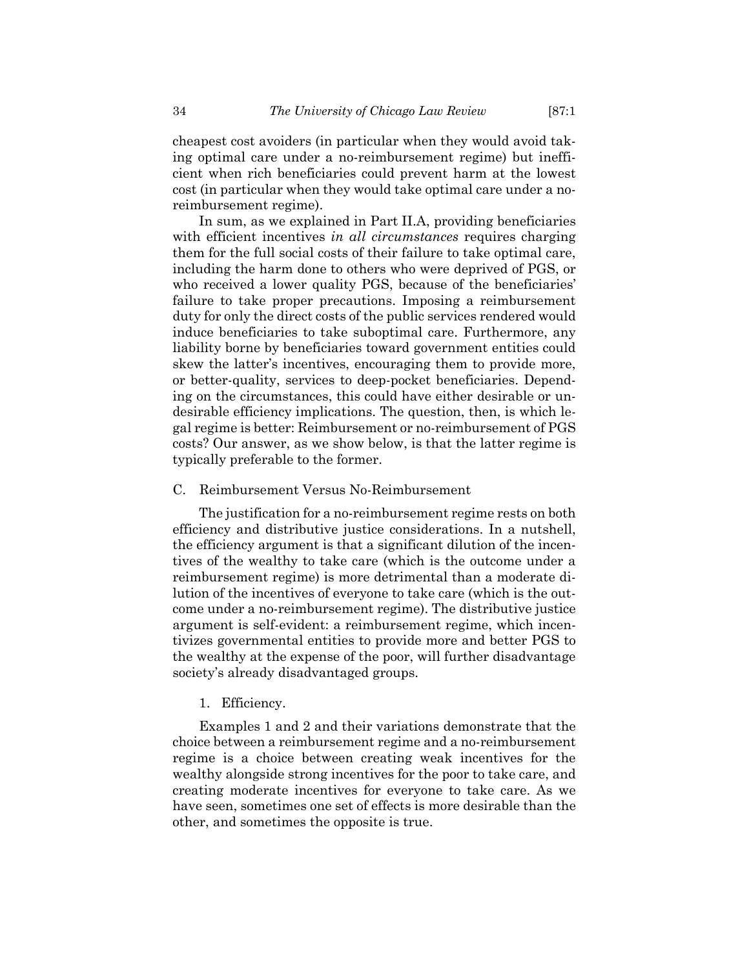cheapest cost avoiders (in particular when they would avoid taking optimal care under a no-reimbursement regime) but inefficient when rich beneficiaries could prevent harm at the lowest cost (in particular when they would take optimal care under a noreimbursement regime).

In sum, as we explained in Part II.A, providing beneficiaries with efficient incentives *in all circumstances* requires charging them for the full social costs of their failure to take optimal care, including the harm done to others who were deprived of PGS, or who received a lower quality PGS, because of the beneficiaries' failure to take proper precautions. Imposing a reimbursement duty for only the direct costs of the public services rendered would induce beneficiaries to take suboptimal care. Furthermore, any liability borne by beneficiaries toward government entities could skew the latter's incentives, encouraging them to provide more, or better-quality, services to deep-pocket beneficiaries. Depending on the circumstances, this could have either desirable or undesirable efficiency implications. The question, then, is which legal regime is better: Reimbursement or no-reimbursement of PGS costs? Our answer, as we show below, is that the latter regime is typically preferable to the former.

# C. Reimbursement Versus No-Reimbursement

The justification for a no-reimbursement regime rests on both efficiency and distributive justice considerations. In a nutshell, the efficiency argument is that a significant dilution of the incentives of the wealthy to take care (which is the outcome under a reimbursement regime) is more detrimental than a moderate dilution of the incentives of everyone to take care (which is the outcome under a no-reimbursement regime). The distributive justice argument is self-evident: a reimbursement regime, which incentivizes governmental entities to provide more and better PGS to the wealthy at the expense of the poor, will further disadvantage society's already disadvantaged groups.

#### 1. Efficiency.

Examples 1 and 2 and their variations demonstrate that the choice between a reimbursement regime and a no-reimbursement regime is a choice between creating weak incentives for the wealthy alongside strong incentives for the poor to take care, and creating moderate incentives for everyone to take care. As we have seen, sometimes one set of effects is more desirable than the other, and sometimes the opposite is true.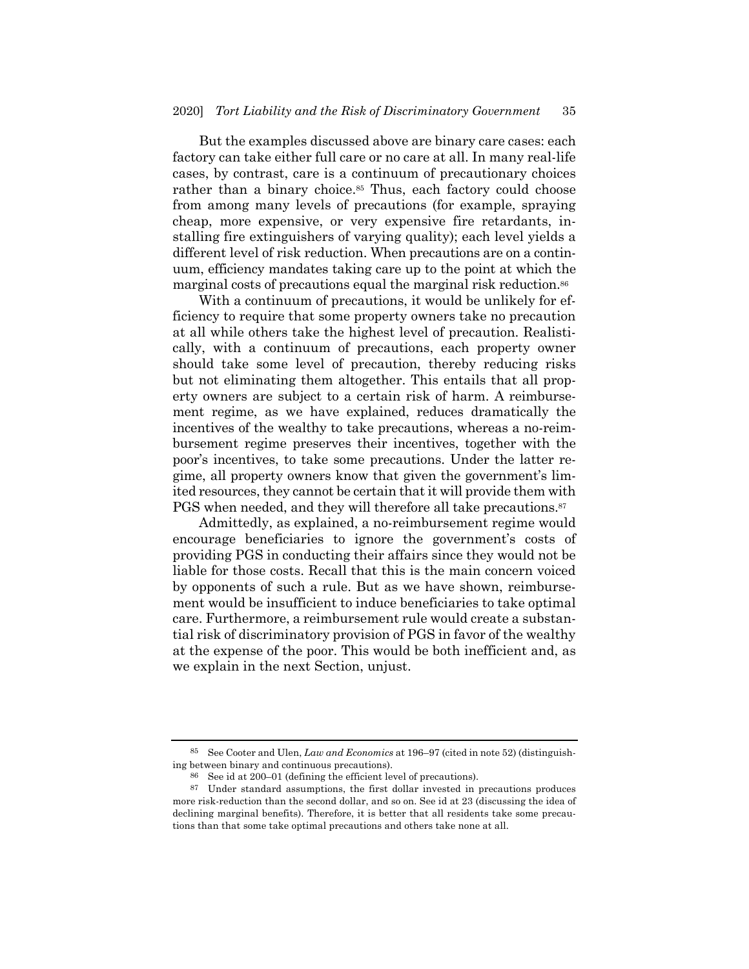But the examples discussed above are binary care cases: each factory can take either full care or no care at all. In many real-life cases, by contrast, care is a continuum of precautionary choices rather than a binary choice.<sup>85</sup> Thus, each factory could choose from among many levels of precautions (for example, spraying cheap, more expensive, or very expensive fire retardants, installing fire extinguishers of varying quality); each level yields a different level of risk reduction. When precautions are on a continuum, efficiency mandates taking care up to the point at which the marginal costs of precautions equal the marginal risk reduction.86

With a continuum of precautions, it would be unlikely for efficiency to require that some property owners take no precaution at all while others take the highest level of precaution. Realistically, with a continuum of precautions, each property owner should take some level of precaution, thereby reducing risks but not eliminating them altogether. This entails that all property owners are subject to a certain risk of harm. A reimbursement regime, as we have explained, reduces dramatically the incentives of the wealthy to take precautions, whereas a no-reimbursement regime preserves their incentives, together with the poor's incentives, to take some precautions. Under the latter regime, all property owners know that given the government's limited resources, they cannot be certain that it will provide them with PGS when needed, and they will therefore all take precautions.<sup>87</sup>

Admittedly, as explained, a no-reimbursement regime would encourage beneficiaries to ignore the government's costs of providing PGS in conducting their affairs since they would not be liable for those costs. Recall that this is the main concern voiced by opponents of such a rule. But as we have shown, reimbursement would be insufficient to induce beneficiaries to take optimal care. Furthermore, a reimbursement rule would create a substantial risk of discriminatory provision of PGS in favor of the wealthy at the expense of the poor. This would be both inefficient and, as we explain in the next Section, unjust.

<sup>85</sup> See Cooter and Ulen, *Law and Economics* at 196–97 (cited in note 52) (distinguishing between binary and continuous precautions).

<sup>86</sup> See id at 200–01 (defining the efficient level of precautions).

<sup>87</sup> Under standard assumptions, the first dollar invested in precautions produces more risk-reduction than the second dollar, and so on. See id at 23 (discussing the idea of declining marginal benefits). Therefore, it is better that all residents take some precautions than that some take optimal precautions and others take none at all.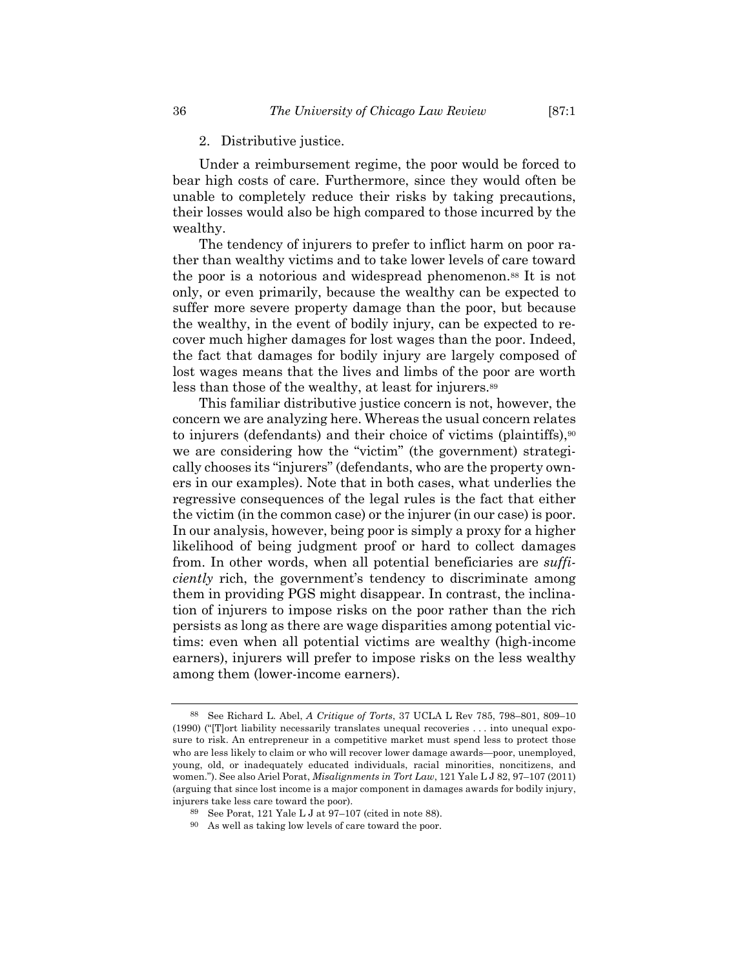#### 2. Distributive justice.

Under a reimbursement regime, the poor would be forced to bear high costs of care. Furthermore, since they would often be unable to completely reduce their risks by taking precautions, their losses would also be high compared to those incurred by the wealthy.

The tendency of injurers to prefer to inflict harm on poor rather than wealthy victims and to take lower levels of care toward the poor is a notorious and widespread phenomenon.<sup>88</sup> It is not only, or even primarily, because the wealthy can be expected to suffer more severe property damage than the poor, but because the wealthy, in the event of bodily injury, can be expected to recover much higher damages for lost wages than the poor. Indeed, the fact that damages for bodily injury are largely composed of lost wages means that the lives and limbs of the poor are worth less than those of the wealthy, at least for injurers.89

This familiar distributive justice concern is not, however, the concern we are analyzing here. Whereas the usual concern relates to injurers (defendants) and their choice of victims (plaintiffs), $90$ we are considering how the "victim" (the government) strategically chooses its "injurers" (defendants, who are the property owners in our examples). Note that in both cases, what underlies the regressive consequences of the legal rules is the fact that either the victim (in the common case) or the injurer (in our case) is poor. In our analysis, however, being poor is simply a proxy for a higher likelihood of being judgment proof or hard to collect damages from. In other words, when all potential beneficiaries are *sufficiently* rich, the government's tendency to discriminate among them in providing PGS might disappear. In contrast, the inclination of injurers to impose risks on the poor rather than the rich persists as long as there are wage disparities among potential victims: even when all potential victims are wealthy (high-income earners), injurers will prefer to impose risks on the less wealthy among them (lower-income earners).

<sup>88</sup> See Richard L. Abel, *A Critique of Torts*, 37 UCLA L Rev 785, 798–801, 809–10 (1990) ("[T]ort liability necessarily translates unequal recoveries . . . into unequal exposure to risk. An entrepreneur in a competitive market must spend less to protect those who are less likely to claim or who will recover lower damage awards—poor, unemployed, young, old, or inadequately educated individuals, racial minorities, noncitizens, and women."). See also Ariel Porat, *Misalignments in Tort Law*, 121 Yale L J 82, 97–107 (2011) (arguing that since lost income is a major component in damages awards for bodily injury, injurers take less care toward the poor).

<sup>89</sup> See Porat, 121 Yale L J at 97–107 (cited in note 88).

<sup>90</sup> As well as taking low levels of care toward the poor.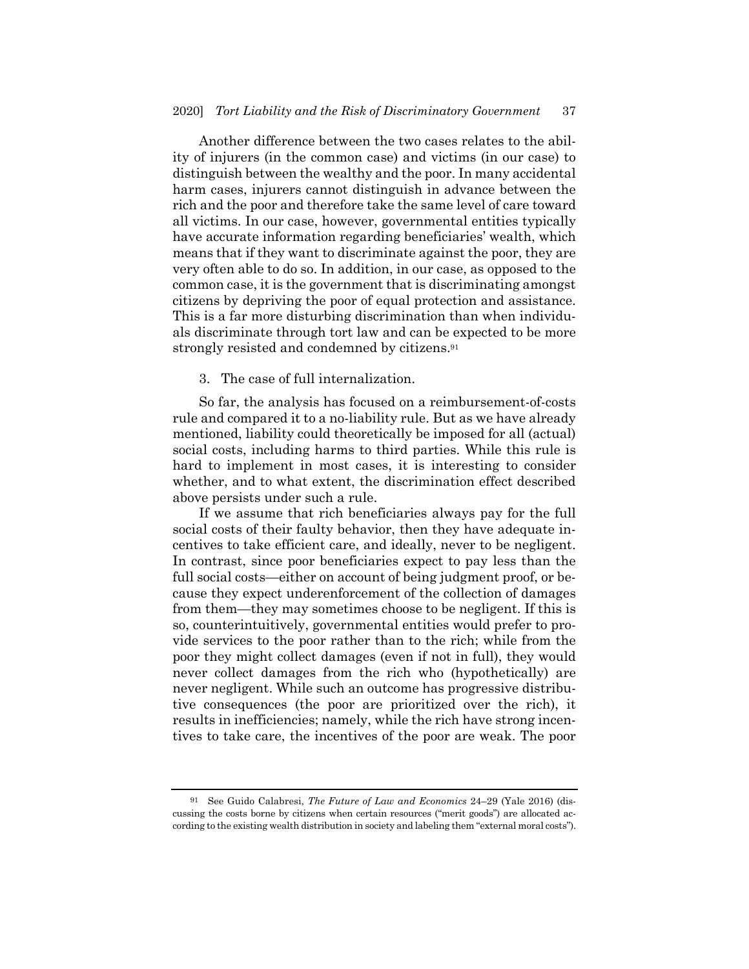Another difference between the two cases relates to the ability of injurers (in the common case) and victims (in our case) to distinguish between the wealthy and the poor. In many accidental harm cases, injurers cannot distinguish in advance between the rich and the poor and therefore take the same level of care toward all victims. In our case, however, governmental entities typically have accurate information regarding beneficiaries' wealth, which means that if they want to discriminate against the poor, they are very often able to do so. In addition, in our case, as opposed to the common case, it is the government that is discriminating amongst citizens by depriving the poor of equal protection and assistance. This is a far more disturbing discrimination than when individuals discriminate through tort law and can be expected to be more strongly resisted and condemned by citizens.91

3. The case of full internalization.

So far, the analysis has focused on a reimbursement-of-costs rule and compared it to a no-liability rule. But as we have already mentioned, liability could theoretically be imposed for all (actual) social costs, including harms to third parties. While this rule is hard to implement in most cases, it is interesting to consider whether, and to what extent, the discrimination effect described above persists under such a rule.

If we assume that rich beneficiaries always pay for the full social costs of their faulty behavior, then they have adequate incentives to take efficient care, and ideally, never to be negligent. In contrast, since poor beneficiaries expect to pay less than the full social costs—either on account of being judgment proof, or because they expect underenforcement of the collection of damages from them—they may sometimes choose to be negligent. If this is so, counterintuitively, governmental entities would prefer to provide services to the poor rather than to the rich; while from the poor they might collect damages (even if not in full), they would never collect damages from the rich who (hypothetically) are never negligent. While such an outcome has progressive distributive consequences (the poor are prioritized over the rich), it results in inefficiencies; namely, while the rich have strong incentives to take care, the incentives of the poor are weak. The poor

<sup>91</sup> See Guido Calabresi, *The Future of Law and Economics* 24–29 (Yale 2016) (discussing the costs borne by citizens when certain resources ("merit goods") are allocated according to the existing wealth distribution in society and labeling them "external moral costs").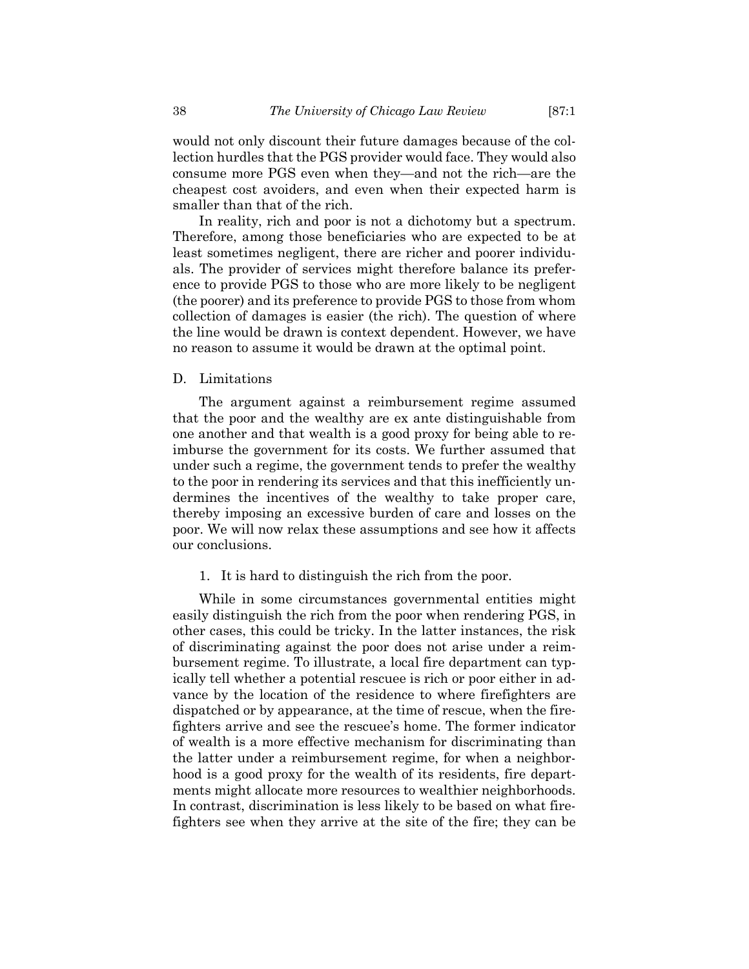would not only discount their future damages because of the collection hurdles that the PGS provider would face. They would also consume more PGS even when they—and not the rich—are the cheapest cost avoiders, and even when their expected harm is smaller than that of the rich.

In reality, rich and poor is not a dichotomy but a spectrum. Therefore, among those beneficiaries who are expected to be at least sometimes negligent, there are richer and poorer individuals. The provider of services might therefore balance its preference to provide PGS to those who are more likely to be negligent (the poorer) and its preference to provide PGS to those from whom collection of damages is easier (the rich). The question of where the line would be drawn is context dependent. However, we have no reason to assume it would be drawn at the optimal point.

#### D. Limitations

The argument against a reimbursement regime assumed that the poor and the wealthy are ex ante distinguishable from one another and that wealth is a good proxy for being able to reimburse the government for its costs. We further assumed that under such a regime, the government tends to prefer the wealthy to the poor in rendering its services and that this inefficiently undermines the incentives of the wealthy to take proper care, thereby imposing an excessive burden of care and losses on the poor. We will now relax these assumptions and see how it affects our conclusions.

1. It is hard to distinguish the rich from the poor.

While in some circumstances governmental entities might easily distinguish the rich from the poor when rendering PGS, in other cases, this could be tricky. In the latter instances, the risk of discriminating against the poor does not arise under a reimbursement regime. To illustrate, a local fire department can typically tell whether a potential rescuee is rich or poor either in advance by the location of the residence to where firefighters are dispatched or by appearance, at the time of rescue, when the firefighters arrive and see the rescuee's home. The former indicator of wealth is a more effective mechanism for discriminating than the latter under a reimbursement regime, for when a neighborhood is a good proxy for the wealth of its residents, fire departments might allocate more resources to wealthier neighborhoods. In contrast, discrimination is less likely to be based on what firefighters see when they arrive at the site of the fire; they can be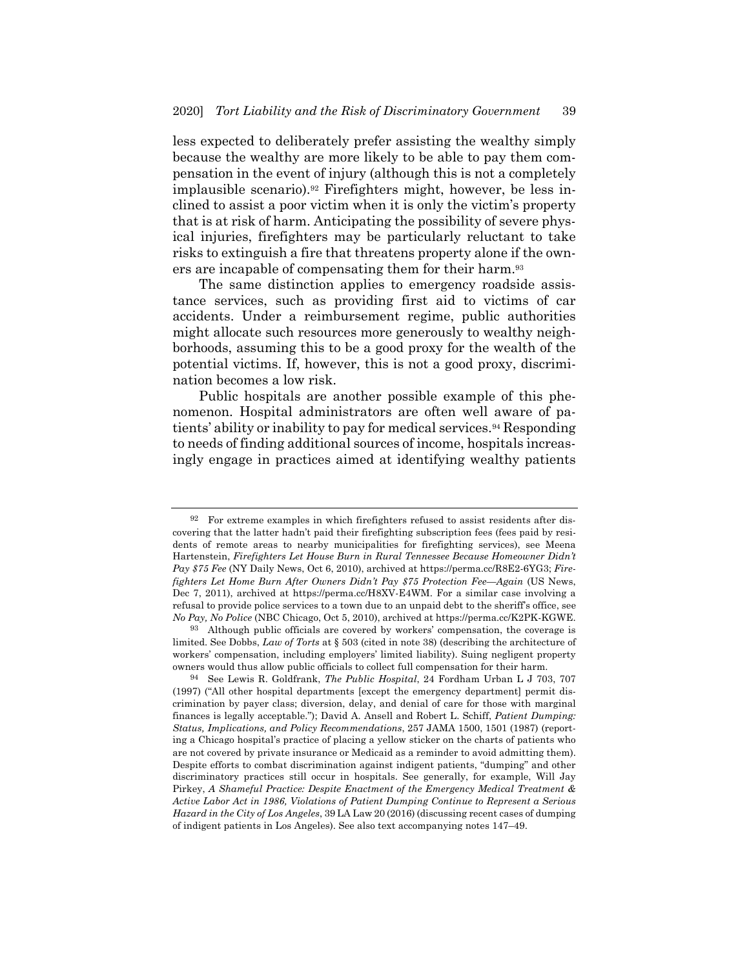less expected to deliberately prefer assisting the wealthy simply because the wealthy are more likely to be able to pay them compensation in the event of injury (although this is not a completely implausible scenario).92 Firefighters might, however, be less inclined to assist a poor victim when it is only the victim's property that is at risk of harm. Anticipating the possibility of severe physical injuries, firefighters may be particularly reluctant to take risks to extinguish a fire that threatens property alone if the owners are incapable of compensating them for their harm.<sup>93</sup>

The same distinction applies to emergency roadside assistance services, such as providing first aid to victims of car accidents. Under a reimbursement regime, public authorities might allocate such resources more generously to wealthy neighborhoods, assuming this to be a good proxy for the wealth of the potential victims. If, however, this is not a good proxy, discrimination becomes a low risk.

Public hospitals are another possible example of this phenomenon. Hospital administrators are often well aware of patients' ability or inability to pay for medical services.94 Responding to needs of finding additional sources of income, hospitals increasingly engage in practices aimed at identifying wealthy patients

<sup>92</sup> For extreme examples in which firefighters refused to assist residents after discovering that the latter hadn't paid their firefighting subscription fees (fees paid by residents of remote areas to nearby municipalities for firefighting services), see Meena Hartenstein, *Firefighters Let House Burn in Rural Tennessee Because Homeowner Didn't Pay \$75 Fee* (NY Daily News, Oct 6, 2010), archived at https://perma.cc/R8E2-6YG3; *Firefighters Let Home Burn After Owners Didn't Pay \$75 Protection Fee—Again* (US News, Dec 7, 2011), archived at https://perma.cc/H8XV-E4WM. For a similar case involving a refusal to provide police services to a town due to an unpaid debt to the sheriff's office, see *No Pay, No Police* (NBC Chicago, Oct 5, 2010), archived at https://perma.cc/K2PK-KGWE.

<sup>93</sup> Although public officials are covered by workers' compensation, the coverage is limited. See Dobbs, *Law of Torts* at § 503 (cited in note 38) (describing the architecture of workers' compensation, including employers' limited liability). Suing negligent property owners would thus allow public officials to collect full compensation for their harm.

<sup>94</sup> See Lewis R. Goldfrank, *The Public Hospital*, 24 Fordham Urban L J 703, 707 (1997) ("All other hospital departments [except the emergency department] permit discrimination by payer class; diversion, delay, and denial of care for those with marginal finances is legally acceptable."); David A. Ansell and Robert L. Schiff, *Patient Dumping: Status, Implications, and Policy Recommendations*, 257 JAMA 1500, 1501 (1987) (reporting a Chicago hospital's practice of placing a yellow sticker on the charts of patients who are not covered by private insurance or Medicaid as a reminder to avoid admitting them). Despite efforts to combat discrimination against indigent patients, "dumping" and other discriminatory practices still occur in hospitals. See generally, for example, Will Jay Pirkey, *A Shameful Practice: Despite Enactment of the Emergency Medical Treatment & Active Labor Act in 1986, Violations of Patient Dumping Continue to Represent a Serious Hazard in the City of Los Angeles*, 39 LA Law 20 (2016) (discussing recent cases of dumping of indigent patients in Los Angeles). See also text accompanying notes 147–49.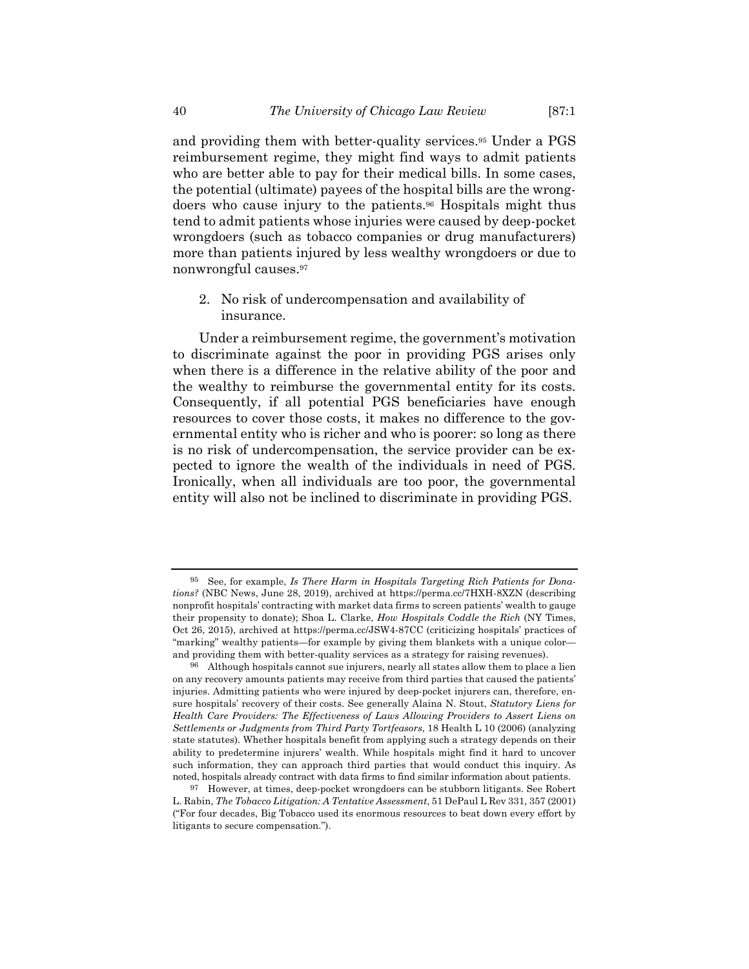and providing them with better-quality services.95 Under a PGS reimbursement regime, they might find ways to admit patients who are better able to pay for their medical bills. In some cases, the potential (ultimate) payees of the hospital bills are the wrongdoers who cause injury to the patients.96 Hospitals might thus tend to admit patients whose injuries were caused by deep-pocket wrongdoers (such as tobacco companies or drug manufacturers) more than patients injured by less wealthy wrongdoers or due to nonwrongful causes.97

2. No risk of undercompensation and availability of insurance.

Under a reimbursement regime, the government's motivation to discriminate against the poor in providing PGS arises only when there is a difference in the relative ability of the poor and the wealthy to reimburse the governmental entity for its costs. Consequently, if all potential PGS beneficiaries have enough resources to cover those costs, it makes no difference to the governmental entity who is richer and who is poorer: so long as there is no risk of undercompensation, the service provider can be expected to ignore the wealth of the individuals in need of PGS. Ironically, when all individuals are too poor, the governmental entity will also not be inclined to discriminate in providing PGS.

<sup>95</sup> See, for example, *Is There Harm in Hospitals Targeting Rich Patients for Donations?* (NBC News, June 28, 2019), archived at https://perma.cc/7HXH-8XZN (describing nonprofit hospitals' contracting with market data firms to screen patients' wealth to gauge their propensity to donate); Shoa L. Clarke, *How Hospitals Coddle the Rich* (NY Times, Oct 26, 2015), archived at https://perma.cc/JSW4-87CC (criticizing hospitals' practices of "marking" wealthy patients—for example by giving them blankets with a unique color and providing them with better-quality services as a strategy for raising revenues).

<sup>96</sup> Although hospitals cannot sue injurers, nearly all states allow them to place a lien on any recovery amounts patients may receive from third parties that caused the patients' injuries. Admitting patients who were injured by deep-pocket injurers can, therefore, ensure hospitals' recovery of their costs. See generally Alaina N. Stout, *Statutory Liens for Health Care Providers: The Effectiveness of Laws Allowing Providers to Assert Liens on Settlements or Judgments from Third Party Tortfeasors*, 18 Health L 10 (2006) (analyzing state statutes). Whether hospitals benefit from applying such a strategy depends on their ability to predetermine injurers' wealth. While hospitals might find it hard to uncover such information, they can approach third parties that would conduct this inquiry. As noted, hospitals already contract with data firms to find similar information about patients.

<sup>97</sup> However, at times, deep-pocket wrongdoers can be stubborn litigants. See Robert L. Rabin, *The Tobacco Litigation: A Tentative Assessment*, 51 DePaul L Rev 331, 357 (2001) ("For four decades, Big Tobacco used its enormous resources to beat down every effort by litigants to secure compensation.").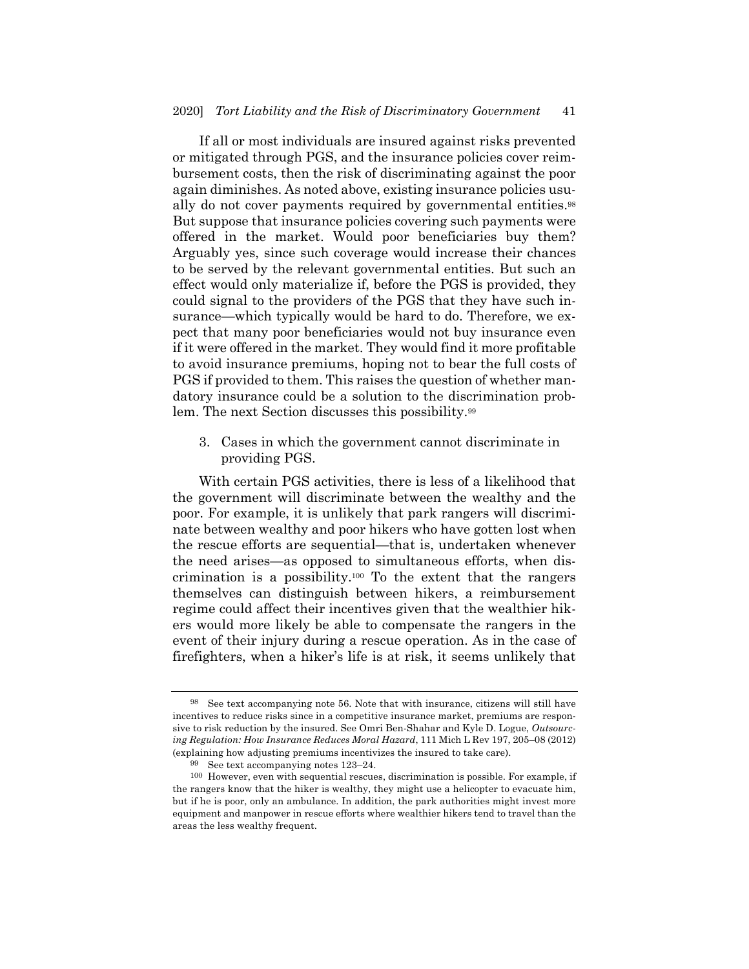If all or most individuals are insured against risks prevented or mitigated through PGS, and the insurance policies cover reimbursement costs, then the risk of discriminating against the poor again diminishes. As noted above, existing insurance policies usually do not cover payments required by governmental entities.<sup>98</sup> But suppose that insurance policies covering such payments were offered in the market. Would poor beneficiaries buy them? Arguably yes, since such coverage would increase their chances to be served by the relevant governmental entities. But such an effect would only materialize if, before the PGS is provided, they could signal to the providers of the PGS that they have such insurance—which typically would be hard to do. Therefore, we expect that many poor beneficiaries would not buy insurance even if it were offered in the market. They would find it more profitable to avoid insurance premiums, hoping not to bear the full costs of PGS if provided to them. This raises the question of whether mandatory insurance could be a solution to the discrimination problem. The next Section discusses this possibility.99

3. Cases in which the government cannot discriminate in providing PGS.

With certain PGS activities, there is less of a likelihood that the government will discriminate between the wealthy and the poor. For example, it is unlikely that park rangers will discriminate between wealthy and poor hikers who have gotten lost when the rescue efforts are sequential—that is, undertaken whenever the need arises—as opposed to simultaneous efforts, when discrimination is a possibility.<sup>100</sup> To the extent that the rangers themselves can distinguish between hikers, a reimbursement regime could affect their incentives given that the wealthier hikers would more likely be able to compensate the rangers in the event of their injury during a rescue operation. As in the case of firefighters, when a hiker's life is at risk, it seems unlikely that

<sup>98</sup> See text accompanying note 56. Note that with insurance, citizens will still have incentives to reduce risks since in a competitive insurance market, premiums are responsive to risk reduction by the insured. See Omri Ben-Shahar and Kyle D. Logue, *Outsourcing Regulation: How Insurance Reduces Moral Hazard*, 111 Mich L Rev 197, 205–08 (2012) (explaining how adjusting premiums incentivizes the insured to take care).

<sup>99</sup> See text accompanying notes 123–24.

<sup>100</sup> However, even with sequential rescues, discrimination is possible. For example, if the rangers know that the hiker is wealthy, they might use a helicopter to evacuate him, but if he is poor, only an ambulance. In addition, the park authorities might invest more equipment and manpower in rescue efforts where wealthier hikers tend to travel than the areas the less wealthy frequent.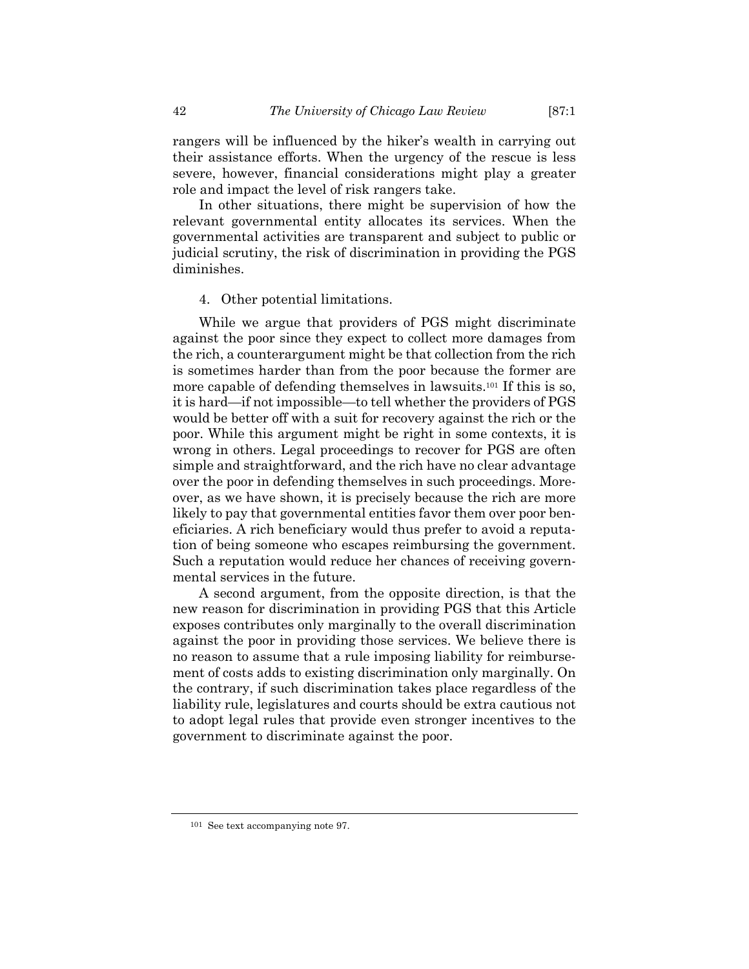rangers will be influenced by the hiker's wealth in carrying out their assistance efforts. When the urgency of the rescue is less severe, however, financial considerations might play a greater role and impact the level of risk rangers take.

In other situations, there might be supervision of how the relevant governmental entity allocates its services. When the governmental activities are transparent and subject to public or judicial scrutiny, the risk of discrimination in providing the PGS diminishes.

#### 4. Other potential limitations.

While we argue that providers of PGS might discriminate against the poor since they expect to collect more damages from the rich, a counterargument might be that collection from the rich is sometimes harder than from the poor because the former are more capable of defending themselves in lawsuits.101 If this is so, it is hard—if not impossible—to tell whether the providers of PGS would be better off with a suit for recovery against the rich or the poor. While this argument might be right in some contexts, it is wrong in others. Legal proceedings to recover for PGS are often simple and straightforward, and the rich have no clear advantage over the poor in defending themselves in such proceedings. Moreover, as we have shown, it is precisely because the rich are more likely to pay that governmental entities favor them over poor beneficiaries. A rich beneficiary would thus prefer to avoid a reputation of being someone who escapes reimbursing the government. Such a reputation would reduce her chances of receiving governmental services in the future.

A second argument, from the opposite direction, is that the new reason for discrimination in providing PGS that this Article exposes contributes only marginally to the overall discrimination against the poor in providing those services. We believe there is no reason to assume that a rule imposing liability for reimbursement of costs adds to existing discrimination only marginally. On the contrary, if such discrimination takes place regardless of the liability rule, legislatures and courts should be extra cautious not to adopt legal rules that provide even stronger incentives to the government to discriminate against the poor.

<sup>101</sup> See text accompanying note 97.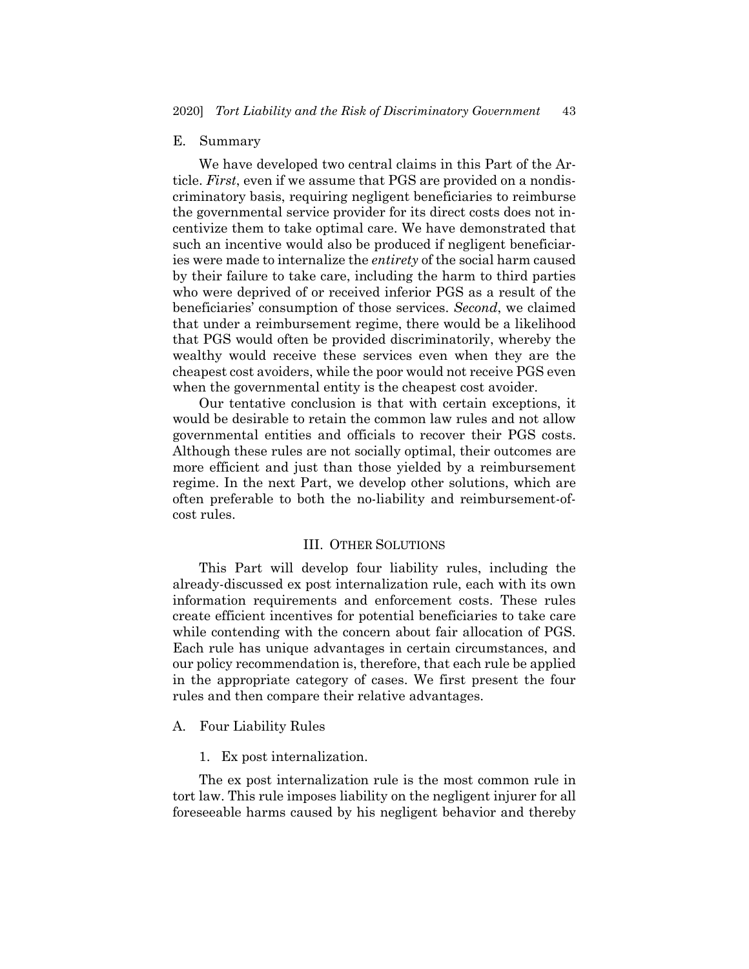#### E. Summary

We have developed two central claims in this Part of the Article. *First*, even if we assume that PGS are provided on a nondiscriminatory basis, requiring negligent beneficiaries to reimburse the governmental service provider for its direct costs does not incentivize them to take optimal care. We have demonstrated that such an incentive would also be produced if negligent beneficiaries were made to internalize the *entirety* of the social harm caused by their failure to take care, including the harm to third parties who were deprived of or received inferior PGS as a result of the beneficiaries' consumption of those services. *Second*, we claimed that under a reimbursement regime, there would be a likelihood that PGS would often be provided discriminatorily, whereby the wealthy would receive these services even when they are the cheapest cost avoiders, while the poor would not receive PGS even when the governmental entity is the cheapest cost avoider.

Our tentative conclusion is that with certain exceptions, it would be desirable to retain the common law rules and not allow governmental entities and officials to recover their PGS costs. Although these rules are not socially optimal, their outcomes are more efficient and just than those yielded by a reimbursement regime. In the next Part, we develop other solutions, which are often preferable to both the no-liability and reimbursement-ofcost rules.

# III. OTHER SOLUTIONS

This Part will develop four liability rules, including the already-discussed ex post internalization rule, each with its own information requirements and enforcement costs. These rules create efficient incentives for potential beneficiaries to take care while contending with the concern about fair allocation of PGS. Each rule has unique advantages in certain circumstances, and our policy recommendation is, therefore, that each rule be applied in the appropriate category of cases. We first present the four rules and then compare their relative advantages.

# A. Four Liability Rules

1. Ex post internalization.

The ex post internalization rule is the most common rule in tort law. This rule imposes liability on the negligent injurer for all foreseeable harms caused by his negligent behavior and thereby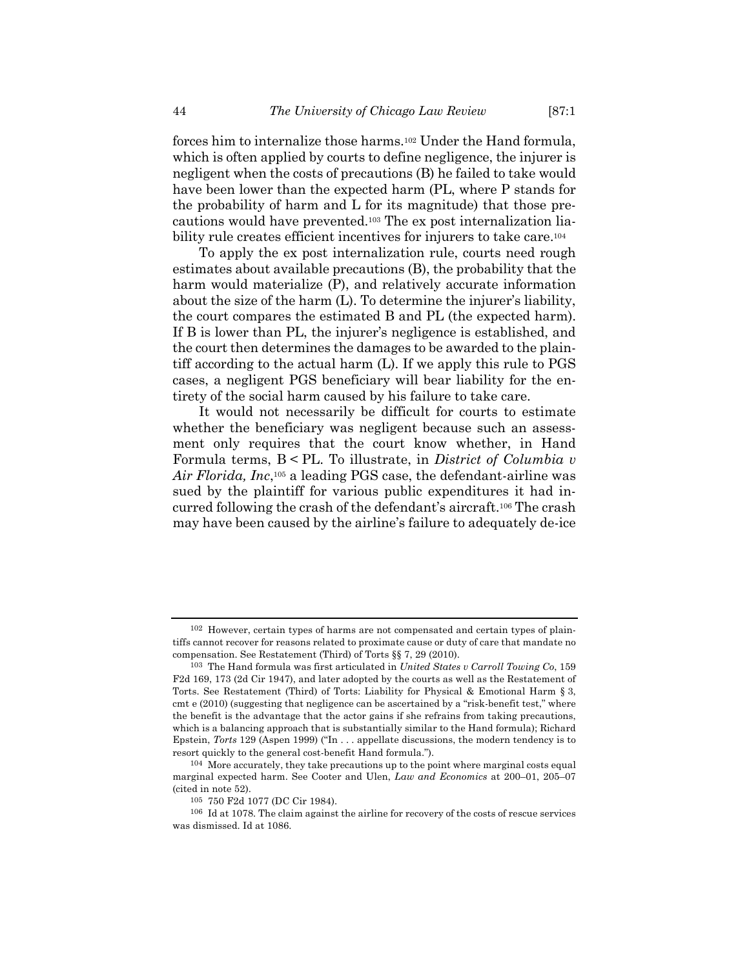forces him to internalize those harms.102 Under the Hand formula, which is often applied by courts to define negligence, the injurer is negligent when the costs of precautions (B) he failed to take would have been lower than the expected harm (PL, where P stands for the probability of harm and L for its magnitude) that those precautions would have prevented.103 The ex post internalization liability rule creates efficient incentives for injurers to take care.104

To apply the ex post internalization rule, courts need rough estimates about available precautions (B), the probability that the harm would materialize (P), and relatively accurate information about the size of the harm (L). To determine the injurer's liability, the court compares the estimated B and PL (the expected harm). If B is lower than PL, the injurer's negligence is established, and the court then determines the damages to be awarded to the plaintiff according to the actual harm (L). If we apply this rule to PGS cases, a negligent PGS beneficiary will bear liability for the entirety of the social harm caused by his failure to take care.

It would not necessarily be difficult for courts to estimate whether the beneficiary was negligent because such an assessment only requires that the court know whether, in Hand Formula terms, B < PL. To illustrate, in *District of Columbia v Air Florida, Inc*,105 a leading PGS case, the defendant-airline was sued by the plaintiff for various public expenditures it had incurred following the crash of the defendant's aircraft.106 The crash may have been caused by the airline's failure to adequately de-ice

<sup>102</sup> However, certain types of harms are not compensated and certain types of plaintiffs cannot recover for reasons related to proximate cause or duty of care that mandate no compensation. See Restatement (Third) of Torts §§ 7, 29 (2010).

<sup>103</sup> The Hand formula was first articulated in *United States v Carroll Towing Co*, 159 F2d 169, 173 (2d Cir 1947), and later adopted by the courts as well as the Restatement of Torts. See Restatement (Third) of Torts: Liability for Physical & Emotional Harm § 3, cmt e (2010) (suggesting that negligence can be ascertained by a "risk-benefit test," where the benefit is the advantage that the actor gains if she refrains from taking precautions, which is a balancing approach that is substantially similar to the Hand formula); Richard Epstein, *Torts* 129 (Aspen 1999) ("In . . . appellate discussions, the modern tendency is to resort quickly to the general cost-benefit Hand formula.").

<sup>104</sup> More accurately, they take precautions up to the point where marginal costs equal marginal expected harm. See Cooter and Ulen, *Law and Economics* at 200–01, 205–07 (cited in note 52).

<sup>105</sup> 750 F2d 1077 (DC Cir 1984).

<sup>106</sup> Id at 1078. The claim against the airline for recovery of the costs of rescue services was dismissed. Id at 1086.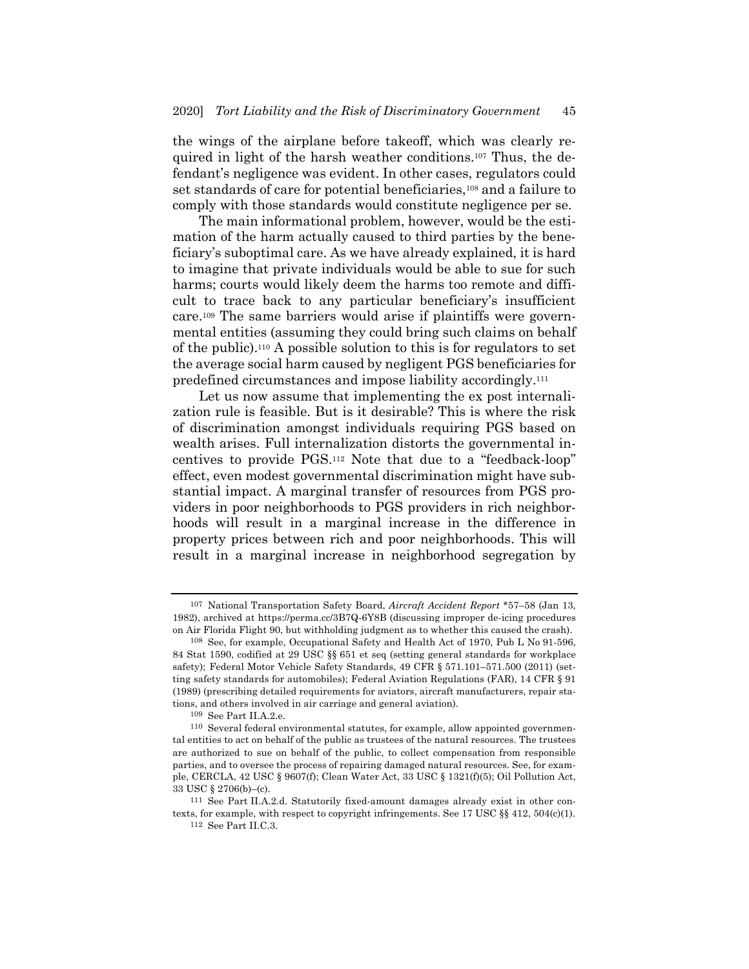the wings of the airplane before takeoff, which was clearly required in light of the harsh weather conditions.107 Thus, the defendant's negligence was evident. In other cases, regulators could set standards of care for potential beneficiaries,108 and a failure to comply with those standards would constitute negligence per se.

The main informational problem, however, would be the estimation of the harm actually caused to third parties by the beneficiary's suboptimal care. As we have already explained, it is hard to imagine that private individuals would be able to sue for such harms; courts would likely deem the harms too remote and difficult to trace back to any particular beneficiary's insufficient care.109 The same barriers would arise if plaintiffs were governmental entities (assuming they could bring such claims on behalf of the public).110 A possible solution to this is for regulators to set the average social harm caused by negligent PGS beneficiaries for predefined circumstances and impose liability accordingly.111

Let us now assume that implementing the ex post internalization rule is feasible. But is it desirable? This is where the risk of discrimination amongst individuals requiring PGS based on wealth arises. Full internalization distorts the governmental incentives to provide PGS.112 Note that due to a "feedback-loop" effect, even modest governmental discrimination might have substantial impact. A marginal transfer of resources from PGS providers in poor neighborhoods to PGS providers in rich neighborhoods will result in a marginal increase in the difference in property prices between rich and poor neighborhoods. This will result in a marginal increase in neighborhood segregation by

<sup>107</sup> National Transportation Safety Board, *Aircraft Accident Report* \*57–58 (Jan 13, 1982), archived at https://perma.cc/3B7Q-6Y8B (discussing improper de-icing procedures on Air Florida Flight 90, but withholding judgment as to whether this caused the crash).

<sup>108</sup> See, for example, Occupational Safety and Health Act of 1970, Pub L No 91-596, 84 Stat 1590, codified at 29 USC §§ 651 et seq (setting general standards for workplace safety); Federal Motor Vehicle Safety Standards, 49 CFR § 571.101–571.500 (2011) (setting safety standards for automobiles); Federal Aviation Regulations (FAR), 14 CFR § 91 (1989) (prescribing detailed requirements for aviators, aircraft manufacturers, repair stations, and others involved in air carriage and general aviation).

<sup>109</sup> See Part II.A.2.e.

<sup>110</sup> Several federal environmental statutes, for example, allow appointed governmental entities to act on behalf of the public as trustees of the natural resources. The trustees are authorized to sue on behalf of the public, to collect compensation from responsible parties, and to oversee the process of repairing damaged natural resources. See, for example, CERCLA, 42 USC § 9607(f); Clean Water Act, 33 USC § 1321(f)(5); Oil Pollution Act, 33 USC § 2706(b)–(c).

<sup>111</sup> See Part II.A.2.d. Statutorily fixed-amount damages already exist in other contexts, for example, with respect to copyright infringements. See 17 USC  $\S § 412$ , 504(c)(1).

 $^{112}\,$  See Part II.C.3.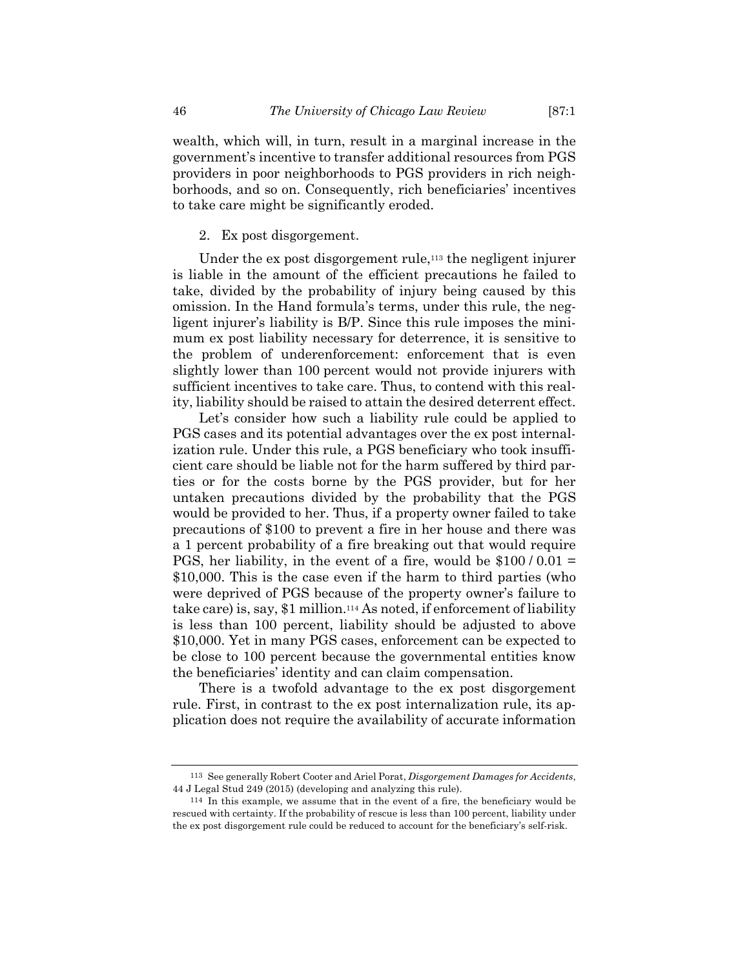wealth, which will, in turn, result in a marginal increase in the government's incentive to transfer additional resources from PGS providers in poor neighborhoods to PGS providers in rich neighborhoods, and so on. Consequently, rich beneficiaries' incentives to take care might be significantly eroded.

## 2. Ex post disgorgement.

Under the ex post disgorgement rule,<sup>113</sup> the negligent injurer is liable in the amount of the efficient precautions he failed to take, divided by the probability of injury being caused by this omission. In the Hand formula's terms, under this rule, the negligent injurer's liability is B/P. Since this rule imposes the minimum ex post liability necessary for deterrence, it is sensitive to the problem of underenforcement: enforcement that is even slightly lower than 100 percent would not provide injurers with sufficient incentives to take care. Thus, to contend with this reality, liability should be raised to attain the desired deterrent effect.

Let's consider how such a liability rule could be applied to PGS cases and its potential advantages over the ex post internalization rule. Under this rule, a PGS beneficiary who took insufficient care should be liable not for the harm suffered by third parties or for the costs borne by the PGS provider, but for her untaken precautions divided by the probability that the PGS would be provided to her. Thus, if a property owner failed to take precautions of \$100 to prevent a fire in her house and there was a 1 percent probability of a fire breaking out that would require PGS, her liability, in the event of a fire, would be  $$100/0.01 =$ \$10,000. This is the case even if the harm to third parties (who were deprived of PGS because of the property owner's failure to take care) is, say, \$1 million.114 As noted, if enforcement of liability is less than 100 percent, liability should be adjusted to above \$10,000. Yet in many PGS cases, enforcement can be expected to be close to 100 percent because the governmental entities know the beneficiaries' identity and can claim compensation.

There is a twofold advantage to the ex post disgorgement rule. First, in contrast to the ex post internalization rule, its application does not require the availability of accurate information

<sup>113</sup> See generally Robert Cooter and Ariel Porat, *Disgorgement Damages for Accidents*, 44 J Legal Stud 249 (2015) (developing and analyzing this rule).

<sup>114</sup> In this example, we assume that in the event of a fire, the beneficiary would be rescued with certainty. If the probability of rescue is less than 100 percent, liability under the ex post disgorgement rule could be reduced to account for the beneficiary's self-risk.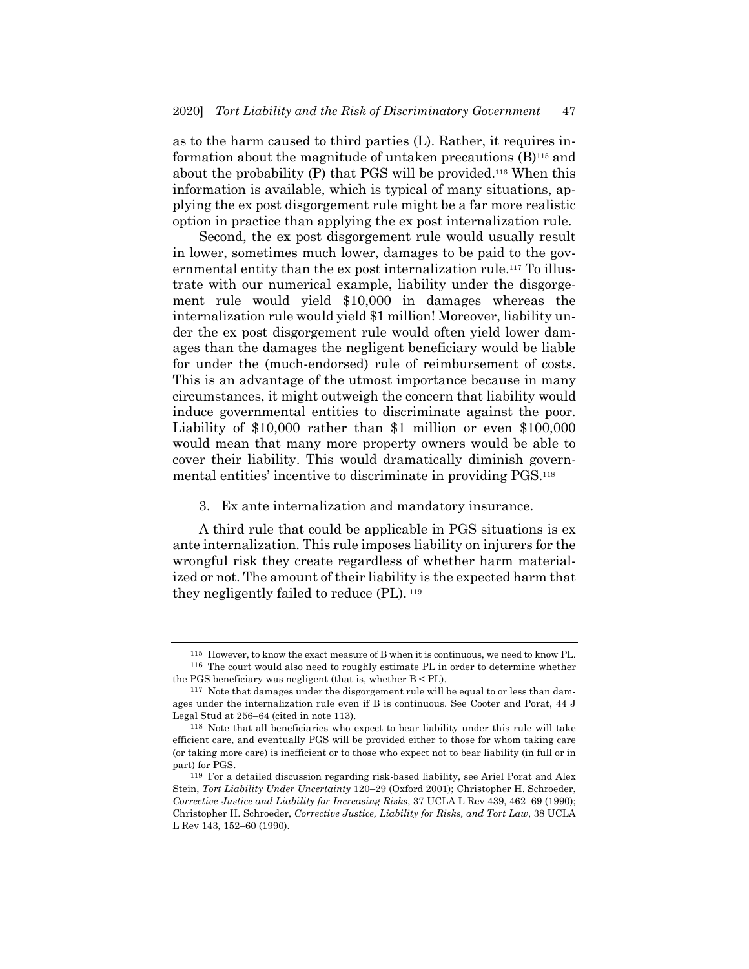as to the harm caused to third parties (L). Rather, it requires information about the magnitude of untaken precautions (B)115 and about the probability (P) that PGS will be provided.116 When this information is available, which is typical of many situations, applying the ex post disgorgement rule might be a far more realistic option in practice than applying the ex post internalization rule.

Second, the ex post disgorgement rule would usually result in lower, sometimes much lower, damages to be paid to the governmental entity than the ex post internalization rule.<sup>117</sup> To illustrate with our numerical example, liability under the disgorgement rule would yield \$10,000 in damages whereas the internalization rule would yield \$1 million! Moreover, liability under the ex post disgorgement rule would often yield lower damages than the damages the negligent beneficiary would be liable for under the (much-endorsed) rule of reimbursement of costs. This is an advantage of the utmost importance because in many circumstances, it might outweigh the concern that liability would induce governmental entities to discriminate against the poor. Liability of \$10,000 rather than \$1 million or even \$100,000 would mean that many more property owners would be able to cover their liability. This would dramatically diminish governmental entities' incentive to discriminate in providing PGS.118

3. Ex ante internalization and mandatory insurance.

A third rule that could be applicable in PGS situations is ex ante internalization. This rule imposes liability on injurers for the wrongful risk they create regardless of whether harm materialized or not. The amount of their liability is the expected harm that they negligently failed to reduce (PL). <sup>119</sup>

<sup>115</sup> However, to know the exact measure of B when it is continuous, we need to know PL. 116 The court would also need to roughly estimate PL in order to determine whether

the PGS beneficiary was negligent (that is, whether B < PL).

<sup>117</sup> Note that damages under the disgorgement rule will be equal to or less than damages under the internalization rule even if B is continuous. See Cooter and Porat, 44 J Legal Stud at 256–64 (cited in note 113).

<sup>118</sup> Note that all beneficiaries who expect to bear liability under this rule will take efficient care, and eventually PGS will be provided either to those for whom taking care (or taking more care) is inefficient or to those who expect not to bear liability (in full or in part) for PGS.

<sup>119</sup> For a detailed discussion regarding risk-based liability, see Ariel Porat and Alex Stein, *Tort Liability Under Uncertainty* 120–29 (Oxford 2001); Christopher H. Schroeder, *Corrective Justice and Liability for Increasing Risks*, 37 UCLA L Rev 439, 462–69 (1990); Christopher H. Schroeder, *Corrective Justice, Liability for Risks, and Tort Law*, 38 UCLA L Rev 143, 152–60 (1990).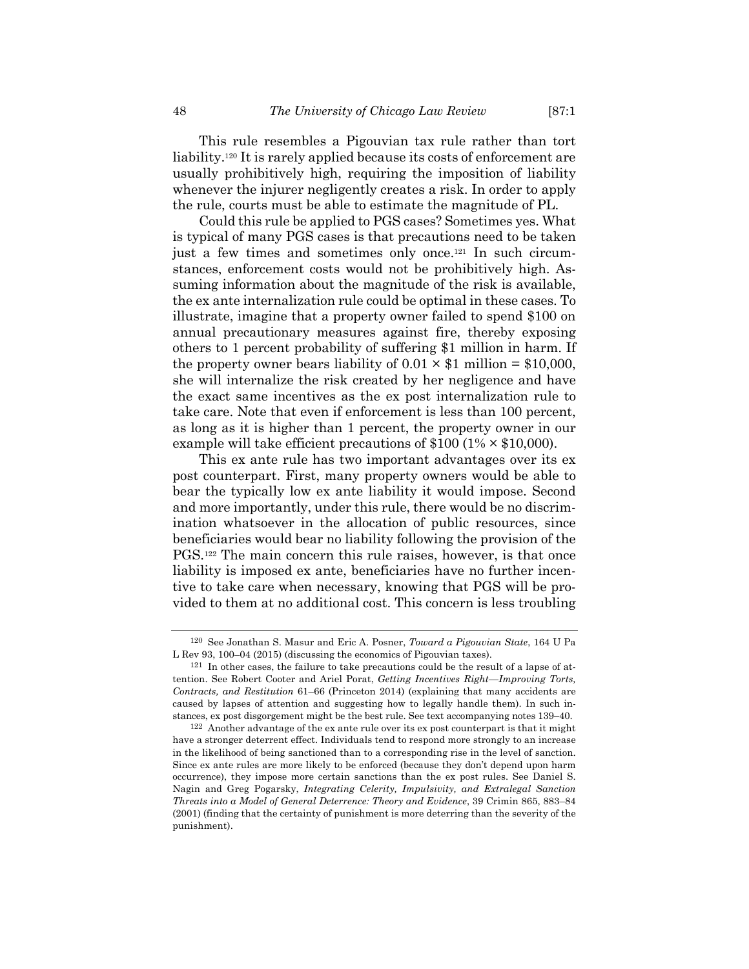This rule resembles a Pigouvian tax rule rather than tort liability.120 It is rarely applied because its costs of enforcement are usually prohibitively high, requiring the imposition of liability whenever the injurer negligently creates a risk. In order to apply the rule, courts must be able to estimate the magnitude of PL.

Could this rule be applied to PGS cases? Sometimes yes. What is typical of many PGS cases is that precautions need to be taken just a few times and sometimes only once.121 In such circumstances, enforcement costs would not be prohibitively high. Assuming information about the magnitude of the risk is available, the ex ante internalization rule could be optimal in these cases. To illustrate, imagine that a property owner failed to spend \$100 on annual precautionary measures against fire, thereby exposing others to 1 percent probability of suffering \$1 million in harm. If the property owner bears liability of  $0.01 \times $1$  million = \$10,000, she will internalize the risk created by her negligence and have the exact same incentives as the ex post internalization rule to take care. Note that even if enforcement is less than 100 percent, as long as it is higher than 1 percent, the property owner in our example will take efficient precautions of  $$100 (1% \times $10,000)$ .

This ex ante rule has two important advantages over its ex post counterpart. First, many property owners would be able to bear the typically low ex ante liability it would impose. Second and more importantly, under this rule, there would be no discrimination whatsoever in the allocation of public resources, since beneficiaries would bear no liability following the provision of the PGS.122 The main concern this rule raises, however, is that once liability is imposed ex ante, beneficiaries have no further incentive to take care when necessary, knowing that PGS will be provided to them at no additional cost. This concern is less troubling

<sup>120</sup> See Jonathan S. Masur and Eric A. Posner, *Toward a Pigouvian State*, 164 U Pa L Rev 93, 100–04 (2015) (discussing the economics of Pigouvian taxes).

<sup>121</sup> In other cases, the failure to take precautions could be the result of a lapse of attention. See Robert Cooter and Ariel Porat, *Getting Incentives Right—Improving Torts, Contracts, and Restitution* 61–66 (Princeton 2014) (explaining that many accidents are caused by lapses of attention and suggesting how to legally handle them). In such instances, ex post disgorgement might be the best rule. See text accompanying notes 139–40.

<sup>122</sup> Another advantage of the ex ante rule over its ex post counterpart is that it might have a stronger deterrent effect. Individuals tend to respond more strongly to an increase in the likelihood of being sanctioned than to a corresponding rise in the level of sanction. Since ex ante rules are more likely to be enforced (because they don't depend upon harm occurrence), they impose more certain sanctions than the ex post rules. See Daniel S. Nagin and Greg Pogarsky, *Integrating Celerity, Impulsivity, and Extralegal Sanction Threats into a Model of General Deterrence: Theory and Evidence*, 39 Crimin 865, 883–84 (2001) (finding that the certainty of punishment is more deterring than the severity of the punishment).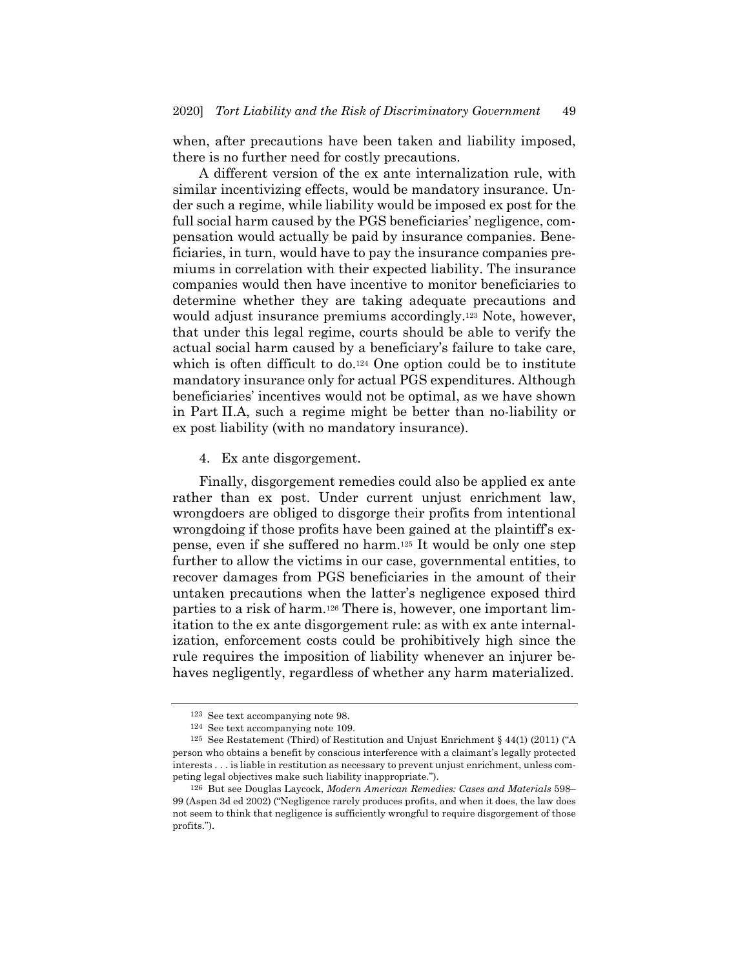when, after precautions have been taken and liability imposed, there is no further need for costly precautions.

A different version of the ex ante internalization rule, with similar incentivizing effects, would be mandatory insurance. Under such a regime, while liability would be imposed ex post for the full social harm caused by the PGS beneficiaries' negligence, compensation would actually be paid by insurance companies. Beneficiaries, in turn, would have to pay the insurance companies premiums in correlation with their expected liability. The insurance companies would then have incentive to monitor beneficiaries to determine whether they are taking adequate precautions and would adjust insurance premiums accordingly.<sup>123</sup> Note, however, that under this legal regime, courts should be able to verify the actual social harm caused by a beneficiary's failure to take care, which is often difficult to do.<sup>124</sup> One option could be to institute mandatory insurance only for actual PGS expenditures. Although beneficiaries' incentives would not be optimal, as we have shown in Part II.A, such a regime might be better than no-liability or ex post liability (with no mandatory insurance).

4. Ex ante disgorgement.

Finally, disgorgement remedies could also be applied ex ante rather than ex post. Under current unjust enrichment law, wrongdoers are obliged to disgorge their profits from intentional wrongdoing if those profits have been gained at the plaintiff's expense, even if she suffered no harm.125 It would be only one step further to allow the victims in our case, governmental entities, to recover damages from PGS beneficiaries in the amount of their untaken precautions when the latter's negligence exposed third parties to a risk of harm.126 There is, however, one important limitation to the ex ante disgorgement rule: as with ex ante internalization, enforcement costs could be prohibitively high since the rule requires the imposition of liability whenever an injurer behaves negligently, regardless of whether any harm materialized.

<sup>123</sup> See text accompanying note 98.

<sup>124</sup> See text accompanying note 109.

<sup>125</sup> See Restatement (Third) of Restitution and Unjust Enrichment § 44(1) (2011) ("A person who obtains a benefit by conscious interference with a claimant's legally protected interests . . . is liable in restitution as necessary to prevent unjust enrichment, unless competing legal objectives make such liability inappropriate.").

<sup>126</sup> But see Douglas Laycock, *Modern American Remedies: Cases and Materials* 598– 99 (Aspen 3d ed 2002) ("Negligence rarely produces profits, and when it does, the law does not seem to think that negligence is sufficiently wrongful to require disgorgement of those profits.").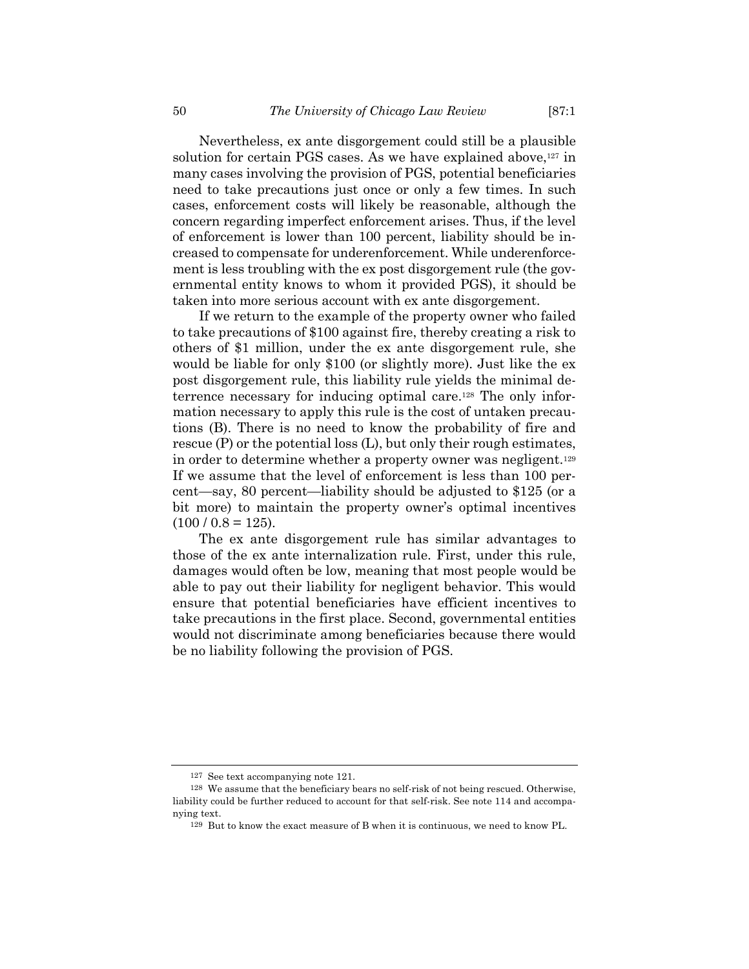Nevertheless, ex ante disgorgement could still be a plausible solution for certain PGS cases. As we have explained above,<sup>127</sup> in many cases involving the provision of PGS, potential beneficiaries need to take precautions just once or only a few times. In such cases, enforcement costs will likely be reasonable, although the concern regarding imperfect enforcement arises. Thus, if the level of enforcement is lower than 100 percent, liability should be increased to compensate for underenforcement. While underenforcement is less troubling with the ex post disgorgement rule (the governmental entity knows to whom it provided PGS), it should be taken into more serious account with ex ante disgorgement.

If we return to the example of the property owner who failed to take precautions of \$100 against fire, thereby creating a risk to others of \$1 million, under the ex ante disgorgement rule, she would be liable for only \$100 (or slightly more). Just like the ex post disgorgement rule, this liability rule yields the minimal deterrence necessary for inducing optimal care.128 The only information necessary to apply this rule is the cost of untaken precautions (B). There is no need to know the probability of fire and rescue (P) or the potential loss (L), but only their rough estimates, in order to determine whether a property owner was negligent.129 If we assume that the level of enforcement is less than 100 percent—say, 80 percent—liability should be adjusted to \$125 (or a bit more) to maintain the property owner's optimal incentives  $(100 / 0.8 = 125).$ 

The ex ante disgorgement rule has similar advantages to those of the ex ante internalization rule. First, under this rule, damages would often be low, meaning that most people would be able to pay out their liability for negligent behavior. This would ensure that potential beneficiaries have efficient incentives to take precautions in the first place. Second, governmental entities would not discriminate among beneficiaries because there would be no liability following the provision of PGS.

<sup>127</sup> See text accompanying note 121.

<sup>128</sup> We assume that the beneficiary bears no self-risk of not being rescued. Otherwise, liability could be further reduced to account for that self-risk. See note 114 and accompanying text.

<sup>129</sup> But to know the exact measure of B when it is continuous, we need to know PL.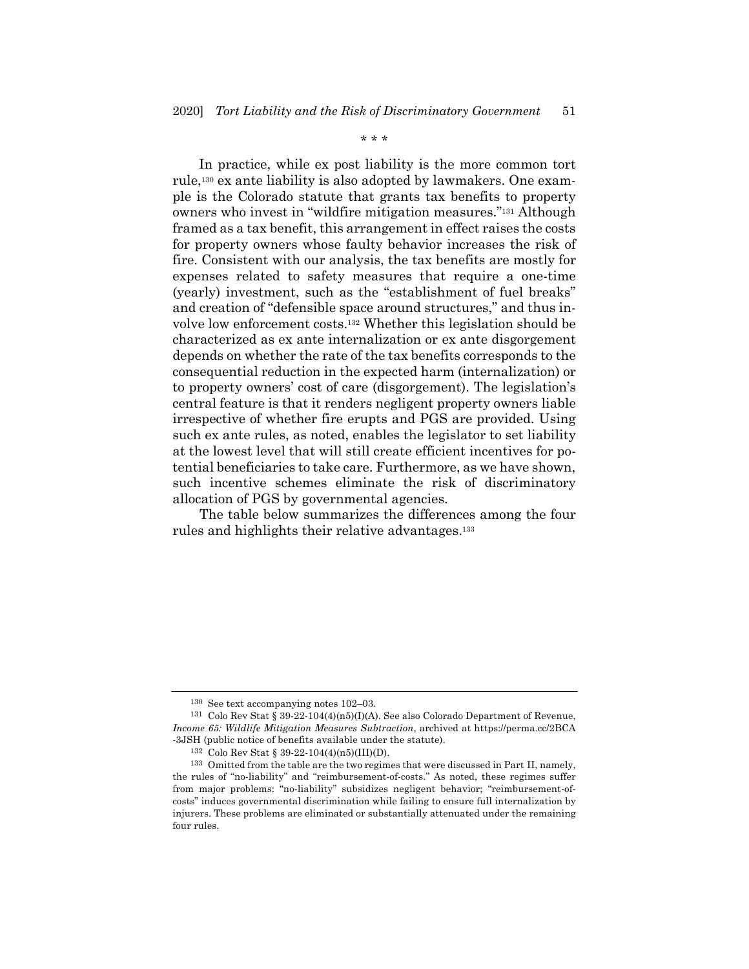\* \* \*

In practice, while ex post liability is the more common tort rule,130 ex ante liability is also adopted by lawmakers. One example is the Colorado statute that grants tax benefits to property owners who invest in "wildfire mitigation measures."131 Although framed as a tax benefit, this arrangement in effect raises the costs for property owners whose faulty behavior increases the risk of fire. Consistent with our analysis, the tax benefits are mostly for expenses related to safety measures that require a one-time (yearly) investment, such as the "establishment of fuel breaks" and creation of "defensible space around structures," and thus involve low enforcement costs.132 Whether this legislation should be characterized as ex ante internalization or ex ante disgorgement depends on whether the rate of the tax benefits corresponds to the consequential reduction in the expected harm (internalization) or to property owners' cost of care (disgorgement). The legislation's central feature is that it renders negligent property owners liable irrespective of whether fire erupts and PGS are provided. Using such ex ante rules, as noted, enables the legislator to set liability at the lowest level that will still create efficient incentives for potential beneficiaries to take care. Furthermore, as we have shown, such incentive schemes eliminate the risk of discriminatory allocation of PGS by governmental agencies.

The table below summarizes the differences among the four rules and highlights their relative advantages.133

<sup>130</sup> See text accompanying notes 102–03.

<sup>131</sup> Colo Rev Stat § 39-22-104(4)(n5)(I)(A). See also Colorado Department of Revenue, *Income 65: Wildlife Mitigation Measures Subtraction*, archived at https://perma.cc/2BCA -3JSH (public notice of benefits available under the statute).

<sup>132</sup> Colo Rev Stat § 39-22-104(4)(n5)(III)(D).

<sup>133</sup> Omitted from the table are the two regimes that were discussed in Part II, namely, the rules of "no-liability" and "reimbursement-of-costs." As noted, these regimes suffer from major problems: "no-liability" subsidizes negligent behavior; "reimbursement-ofcosts" induces governmental discrimination while failing to ensure full internalization by injurers. These problems are eliminated or substantially attenuated under the remaining four rules.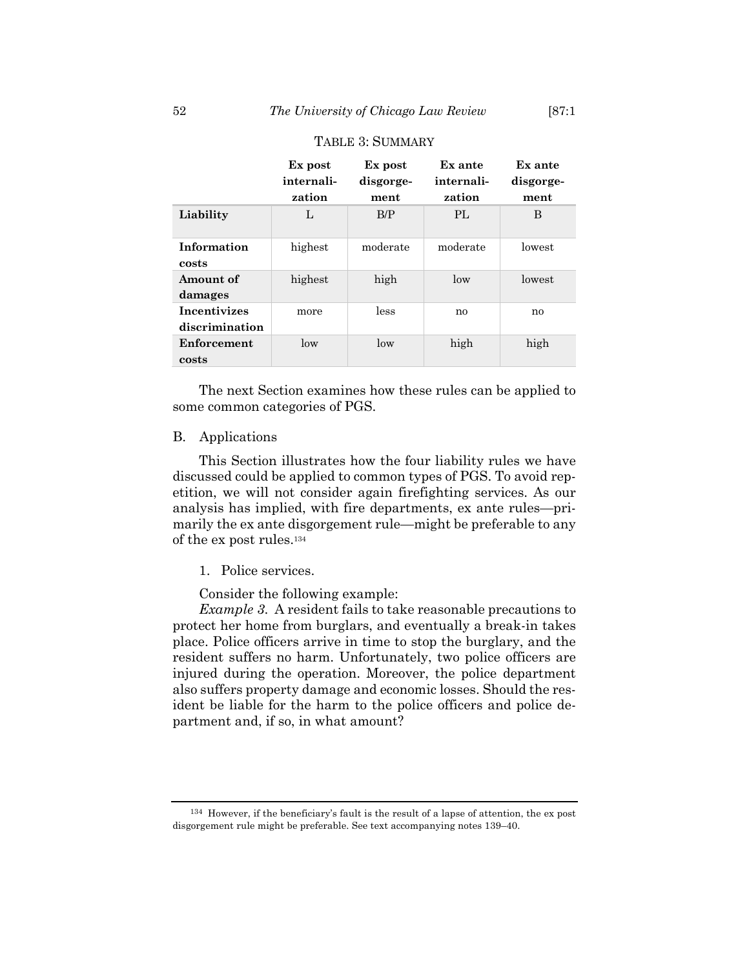|                                       | Ex post<br>internali-<br>zation | Ex post<br>disgorge-<br>ment | Ex ante<br>internali-<br>zation | Ex ante<br>disgorge-<br>ment |
|---------------------------------------|---------------------------------|------------------------------|---------------------------------|------------------------------|
| Liability                             | L                               | B/P                          | PL                              | B                            |
| Information<br>costs                  | highest                         | moderate                     | moderate                        | lowest                       |
| Amount of<br>damages                  | highest                         | high                         | low                             | lowest                       |
| <b>Incentivizes</b><br>discrimination | more                            | less                         | no                              | no                           |
| Enforcement<br>costs                  | low                             | low                          | high                            | high                         |

#### TABLE 3: SUMMARY

The next Section examines how these rules can be applied to some common categories of PGS.

# B. Applications

This Section illustrates how the four liability rules we have discussed could be applied to common types of PGS. To avoid repetition, we will not consider again firefighting services. As our analysis has implied, with fire departments, ex ante rules—primarily the ex ante disgorgement rule—might be preferable to any of the ex post rules.134

#### 1. Police services.

Consider the following example:

*Example 3*. A resident fails to take reasonable precautions to protect her home from burglars, and eventually a break-in takes place. Police officers arrive in time to stop the burglary, and the resident suffers no harm. Unfortunately, two police officers are injured during the operation. Moreover, the police department also suffers property damage and economic losses. Should the resident be liable for the harm to the police officers and police department and, if so, in what amount?

<sup>134</sup> However, if the beneficiary's fault is the result of a lapse of attention, the ex post disgorgement rule might be preferable. See text accompanying notes 139–40.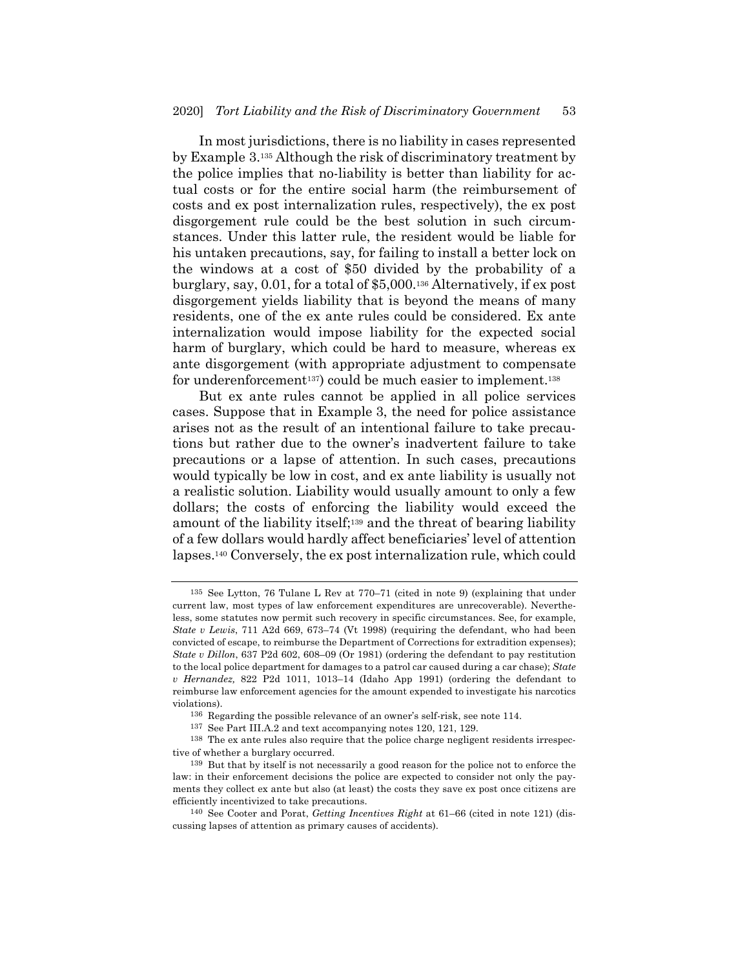In most jurisdictions, there is no liability in cases represented by Example 3.135 Although the risk of discriminatory treatment by the police implies that no-liability is better than liability for actual costs or for the entire social harm (the reimbursement of costs and ex post internalization rules, respectively), the ex post disgorgement rule could be the best solution in such circumstances. Under this latter rule, the resident would be liable for his untaken precautions, say, for failing to install a better lock on the windows at a cost of \$50 divided by the probability of a burglary, say, 0.01, for a total of \$5,000.136 Alternatively, if ex post disgorgement yields liability that is beyond the means of many residents, one of the ex ante rules could be considered. Ex ante internalization would impose liability for the expected social harm of burglary, which could be hard to measure, whereas ex ante disgorgement (with appropriate adjustment to compensate for underenforcement<sup>137</sup>) could be much easier to implement.<sup>138</sup>

But ex ante rules cannot be applied in all police services cases. Suppose that in Example 3, the need for police assistance arises not as the result of an intentional failure to take precautions but rather due to the owner's inadvertent failure to take precautions or a lapse of attention. In such cases, precautions would typically be low in cost, and ex ante liability is usually not a realistic solution. Liability would usually amount to only a few dollars; the costs of enforcing the liability would exceed the amount of the liability itself;139 and the threat of bearing liability of a few dollars would hardly affect beneficiaries' level of attention lapses.140 Conversely, the ex post internalization rule, which could

<sup>135</sup> See Lytton, 76 Tulane L Rev at 770–71 (cited in note 9) (explaining that under current law, most types of law enforcement expenditures are unrecoverable). Nevertheless, some statutes now permit such recovery in specific circumstances. See, for example, *State v Lewis*, 711 A2d 669, 673–74 (Vt 1998) (requiring the defendant, who had been convicted of escape, to reimburse the Department of Corrections for extradition expenses); *State v Dillon*, 637 P2d 602, 608–09 (Or 1981) (ordering the defendant to pay restitution to the local police department for damages to a patrol car caused during a car chase); *State v Hernandez,* 822 P2d 1011, 1013–14 (Idaho App 1991) (ordering the defendant to reimburse law enforcement agencies for the amount expended to investigate his narcotics violations).

<sup>136</sup> Regarding the possible relevance of an owner's self-risk, see note 114.

<sup>137</sup> See Part III.A.2 and text accompanying notes 120, 121, 129.

<sup>138</sup> The ex ante rules also require that the police charge negligent residents irrespective of whether a burglary occurred.

<sup>139</sup> But that by itself is not necessarily a good reason for the police not to enforce the law: in their enforcement decisions the police are expected to consider not only the payments they collect ex ante but also (at least) the costs they save ex post once citizens are efficiently incentivized to take precautions.

<sup>140</sup> See Cooter and Porat, *Getting Incentives Right* at 61–66 (cited in note 121) (discussing lapses of attention as primary causes of accidents).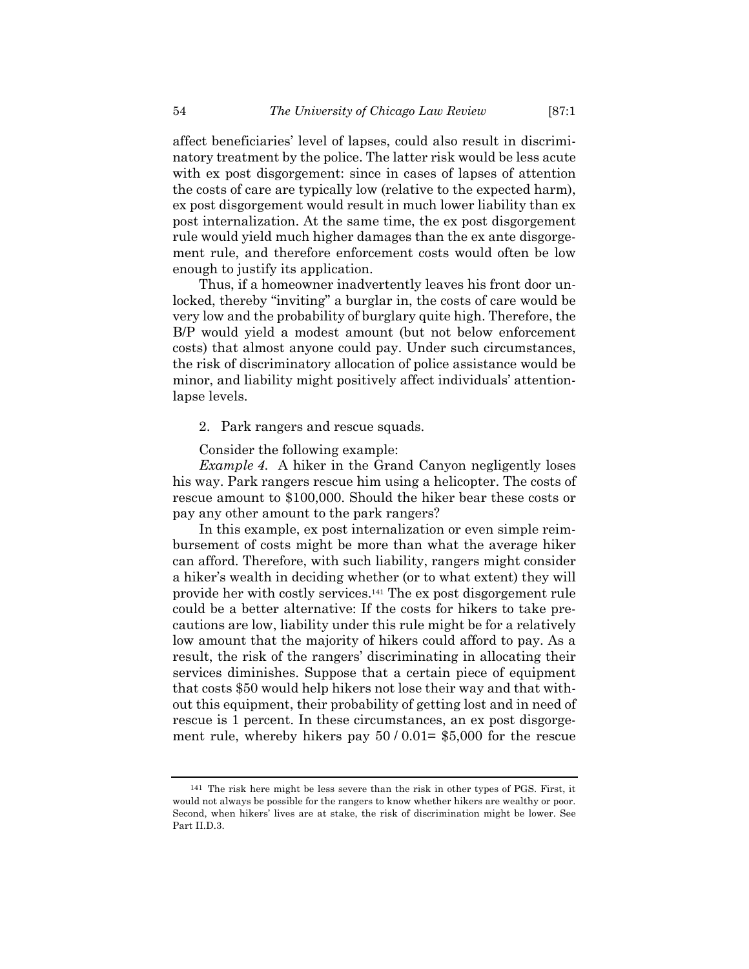affect beneficiaries' level of lapses, could also result in discriminatory treatment by the police. The latter risk would be less acute with ex post disgorgement: since in cases of lapses of attention the costs of care are typically low (relative to the expected harm), ex post disgorgement would result in much lower liability than ex post internalization. At the same time, the ex post disgorgement rule would yield much higher damages than the ex ante disgorgement rule, and therefore enforcement costs would often be low enough to justify its application.

Thus, if a homeowner inadvertently leaves his front door unlocked, thereby "inviting" a burglar in, the costs of care would be very low and the probability of burglary quite high. Therefore, the B/P would yield a modest amount (but not below enforcement costs) that almost anyone could pay. Under such circumstances, the risk of discriminatory allocation of police assistance would be minor, and liability might positively affect individuals' attentionlapse levels.

2. Park rangers and rescue squads.

Consider the following example:

*Example 4*. A hiker in the Grand Canyon negligently loses his way. Park rangers rescue him using a helicopter. The costs of rescue amount to \$100,000. Should the hiker bear these costs or pay any other amount to the park rangers?

In this example, ex post internalization or even simple reimbursement of costs might be more than what the average hiker can afford. Therefore, with such liability, rangers might consider a hiker's wealth in deciding whether (or to what extent) they will provide her with costly services.141 The ex post disgorgement rule could be a better alternative: If the costs for hikers to take precautions are low, liability under this rule might be for a relatively low amount that the majority of hikers could afford to pay. As a result, the risk of the rangers' discriminating in allocating their services diminishes. Suppose that a certain piece of equipment that costs \$50 would help hikers not lose their way and that without this equipment, their probability of getting lost and in need of rescue is 1 percent. In these circumstances, an ex post disgorgement rule, whereby hikers pay  $50/0.01=$  \$5,000 for the rescue

<sup>141</sup> The risk here might be less severe than the risk in other types of PGS. First, it would not always be possible for the rangers to know whether hikers are wealthy or poor. Second, when hikers' lives are at stake, the risk of discrimination might be lower. See Part II.D.3.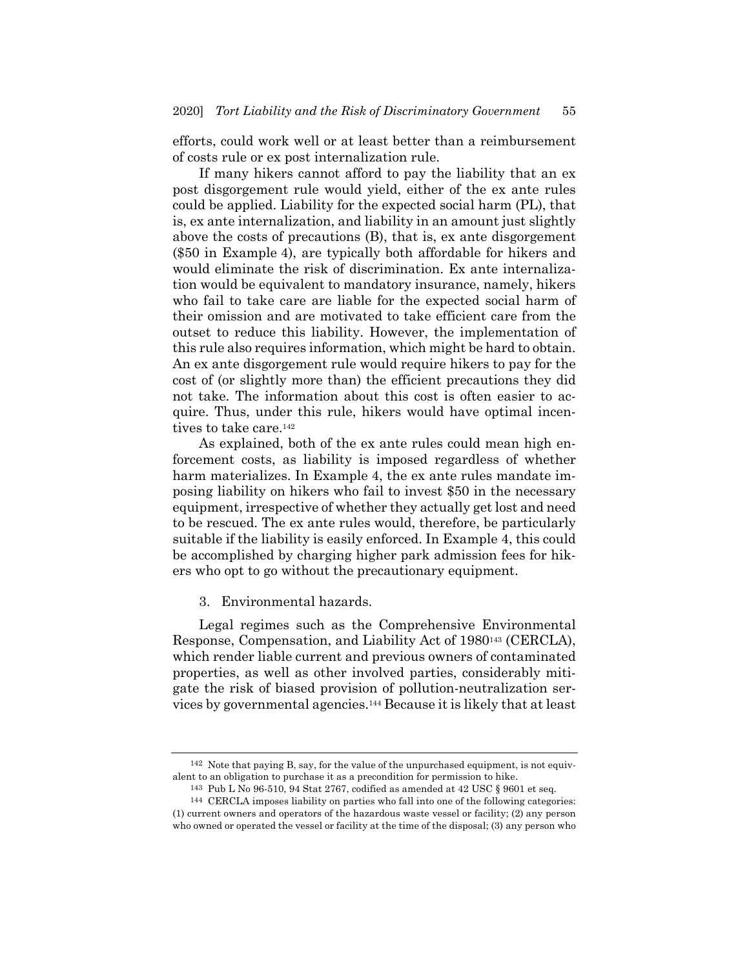efforts, could work well or at least better than a reimbursement of costs rule or ex post internalization rule.

If many hikers cannot afford to pay the liability that an ex post disgorgement rule would yield, either of the ex ante rules could be applied. Liability for the expected social harm (PL), that is, ex ante internalization, and liability in an amount just slightly above the costs of precautions (B), that is, ex ante disgorgement (\$50 in Example 4), are typically both affordable for hikers and would eliminate the risk of discrimination. Ex ante internalization would be equivalent to mandatory insurance, namely, hikers who fail to take care are liable for the expected social harm of their omission and are motivated to take efficient care from the outset to reduce this liability. However, the implementation of this rule also requires information, which might be hard to obtain. An ex ante disgorgement rule would require hikers to pay for the cost of (or slightly more than) the efficient precautions they did not take. The information about this cost is often easier to acquire. Thus, under this rule, hikers would have optimal incentives to take care.142

As explained, both of the ex ante rules could mean high enforcement costs, as liability is imposed regardless of whether harm materializes. In Example 4, the ex ante rules mandate imposing liability on hikers who fail to invest \$50 in the necessary equipment, irrespective of whether they actually get lost and need to be rescued. The ex ante rules would, therefore, be particularly suitable if the liability is easily enforced. In Example 4, this could be accomplished by charging higher park admission fees for hikers who opt to go without the precautionary equipment.

3. Environmental hazards.

Legal regimes such as the Comprehensive Environmental Response, Compensation, and Liability Act of 1980143 (CERCLA), which render liable current and previous owners of contaminated properties, as well as other involved parties, considerably mitigate the risk of biased provision of pollution-neutralization services by governmental agencies.144 Because it is likely that at least

<sup>142</sup> Note that paying B, say, for the value of the unpurchased equipment, is not equivalent to an obligation to purchase it as a precondition for permission to hike.

<sup>143</sup> Pub L No 96-510, 94 Stat 2767, codified as amended at 42 USC § 9601 et seq.

<sup>144</sup> CERCLA imposes liability on parties who fall into one of the following categories: (1) current owners and operators of the hazardous waste vessel or facility; (2) any person who owned or operated the vessel or facility at the time of the disposal; (3) any person who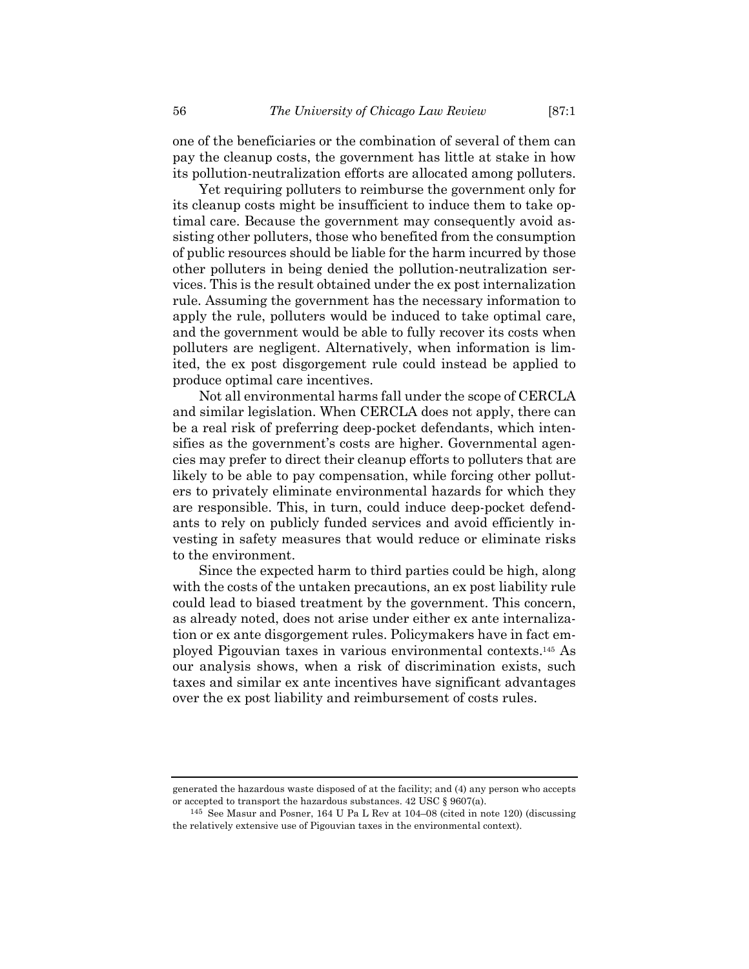one of the beneficiaries or the combination of several of them can pay the cleanup costs, the government has little at stake in how its pollution-neutralization efforts are allocated among polluters.

Yet requiring polluters to reimburse the government only for its cleanup costs might be insufficient to induce them to take optimal care. Because the government may consequently avoid assisting other polluters, those who benefited from the consumption of public resources should be liable for the harm incurred by those other polluters in being denied the pollution-neutralization services. This is the result obtained under the ex post internalization rule. Assuming the government has the necessary information to apply the rule, polluters would be induced to take optimal care, and the government would be able to fully recover its costs when polluters are negligent. Alternatively, when information is limited, the ex post disgorgement rule could instead be applied to produce optimal care incentives.

Not all environmental harms fall under the scope of CERCLA and similar legislation. When CERCLA does not apply, there can be a real risk of preferring deep-pocket defendants, which intensifies as the government's costs are higher. Governmental agencies may prefer to direct their cleanup efforts to polluters that are likely to be able to pay compensation, while forcing other polluters to privately eliminate environmental hazards for which they are responsible. This, in turn, could induce deep-pocket defendants to rely on publicly funded services and avoid efficiently investing in safety measures that would reduce or eliminate risks to the environment.

Since the expected harm to third parties could be high, along with the costs of the untaken precautions, an ex post liability rule could lead to biased treatment by the government. This concern, as already noted, does not arise under either ex ante internalization or ex ante disgorgement rules. Policymakers have in fact employed Pigouvian taxes in various environmental contexts.145 As our analysis shows, when a risk of discrimination exists, such taxes and similar ex ante incentives have significant advantages over the ex post liability and reimbursement of costs rules.

generated the hazardous waste disposed of at the facility; and (4) any person who accepts or accepted to transport the hazardous substances. 42 USC § 9607(a).

<sup>145</sup> See Masur and Posner, 164 U Pa L Rev at 104–08 (cited in note 120) (discussing the relatively extensive use of Pigouvian taxes in the environmental context).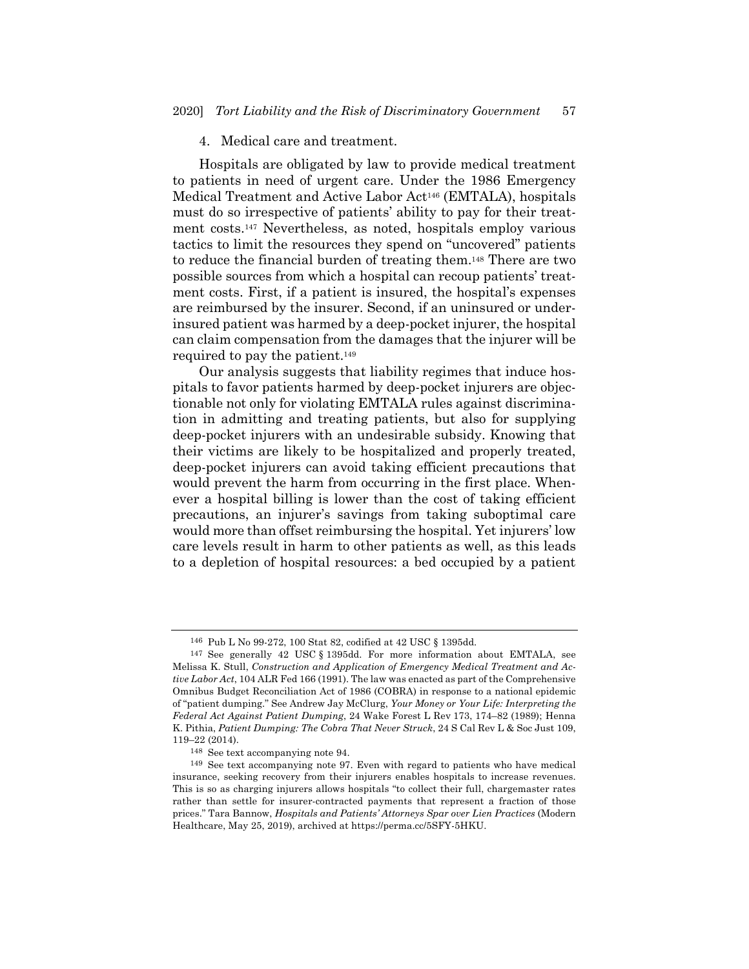#### 4. Medical care and treatment.

Hospitals are obligated by law to provide medical treatment to patients in need of urgent care. Under the 1986 Emergency Medical Treatment and Active Labor Act146 (EMTALA), hospitals must do so irrespective of patients' ability to pay for their treatment costs.147 Nevertheless, as noted, hospitals employ various tactics to limit the resources they spend on "uncovered" patients to reduce the financial burden of treating them.148 There are two possible sources from which a hospital can recoup patients' treatment costs. First, if a patient is insured, the hospital's expenses are reimbursed by the insurer. Second, if an uninsured or underinsured patient was harmed by a deep-pocket injurer, the hospital can claim compensation from the damages that the injurer will be required to pay the patient.149

Our analysis suggests that liability regimes that induce hospitals to favor patients harmed by deep-pocket injurers are objectionable not only for violating EMTALA rules against discrimination in admitting and treating patients, but also for supplying deep-pocket injurers with an undesirable subsidy. Knowing that their victims are likely to be hospitalized and properly treated, deep-pocket injurers can avoid taking efficient precautions that would prevent the harm from occurring in the first place. Whenever a hospital billing is lower than the cost of taking efficient precautions, an injurer's savings from taking suboptimal care would more than offset reimbursing the hospital. Yet injurers' low care levels result in harm to other patients as well, as this leads to a depletion of hospital resources: a bed occupied by a patient

<sup>146</sup> Pub L No 99-272, 100 Stat 82, codified at 42 USC § 1395dd.

<sup>147</sup> See generally 42 USC § 1395dd. For more information about EMTALA, see Melissa K. Stull, *Construction and Application of Emergency Medical Treatment and Active Labor Act*, 104 ALR Fed 166 (1991). The law was enacted as part of the Comprehensive Omnibus Budget Reconciliation Act of 1986 (COBRA) in response to a national epidemic of "patient dumping." See Andrew Jay McClurg, *Your Money or Your Life: Interpreting the Federal Act Against Patient Dumping*, 24 Wake Forest L Rev 173, 174–82 (1989); Henna K. Pithia, *Patient Dumping: The Cobra That Never Struck*, 24 S Cal Rev L & Soc Just 109, 119–22 (2014).

<sup>148</sup> See text accompanying note 94.

<sup>149</sup> See text accompanying note 97. Even with regard to patients who have medical insurance, seeking recovery from their injurers enables hospitals to increase revenues. This is so as charging injurers allows hospitals "to collect their full, chargemaster rates rather than settle for insurer-contracted payments that represent a fraction of those prices." Tara Bannow, *Hospitals and Patients' Attorneys Spar over Lien Practices* (Modern Healthcare, May 25, 2019), archived at https://perma.cc/5SFY-5HKU.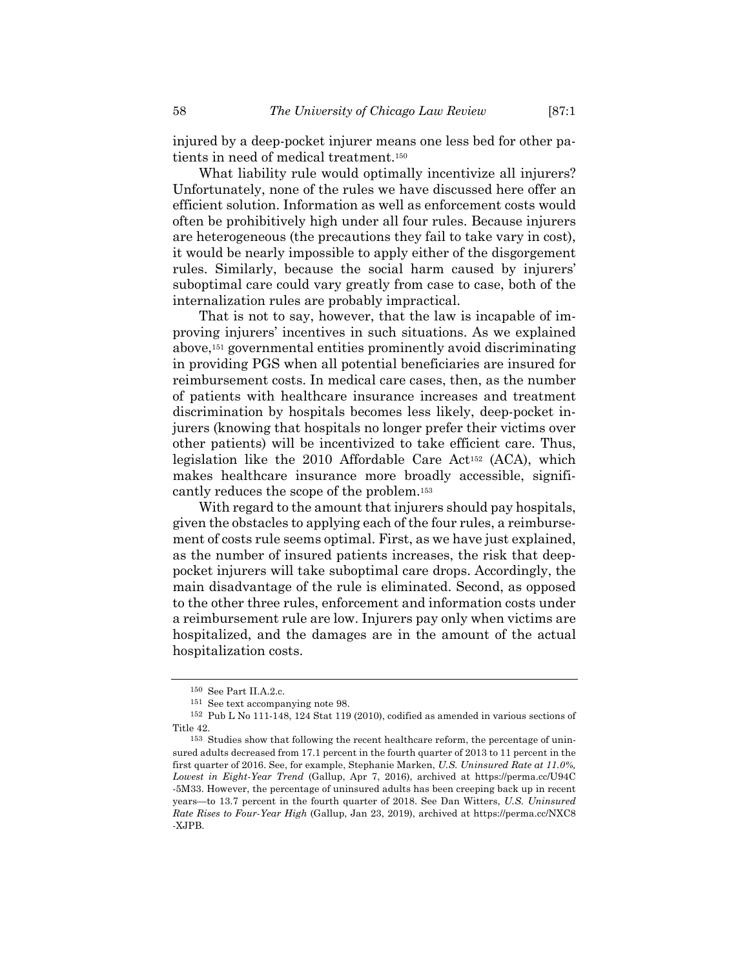injured by a deep-pocket injurer means one less bed for other patients in need of medical treatment.150

What liability rule would optimally incentivize all injurers? Unfortunately, none of the rules we have discussed here offer an efficient solution. Information as well as enforcement costs would often be prohibitively high under all four rules. Because injurers are heterogeneous (the precautions they fail to take vary in cost), it would be nearly impossible to apply either of the disgorgement rules. Similarly, because the social harm caused by injurers' suboptimal care could vary greatly from case to case, both of the internalization rules are probably impractical.

That is not to say, however, that the law is incapable of improving injurers' incentives in such situations. As we explained above,151 governmental entities prominently avoid discriminating in providing PGS when all potential beneficiaries are insured for reimbursement costs. In medical care cases, then, as the number of patients with healthcare insurance increases and treatment discrimination by hospitals becomes less likely, deep-pocket injurers (knowing that hospitals no longer prefer their victims over other patients) will be incentivized to take efficient care. Thus, legislation like the 2010 Affordable Care Act152 (ACA), which makes healthcare insurance more broadly accessible, significantly reduces the scope of the problem.153

With regard to the amount that injurers should pay hospitals, given the obstacles to applying each of the four rules, a reimbursement of costs rule seems optimal. First, as we have just explained, as the number of insured patients increases, the risk that deeppocket injurers will take suboptimal care drops. Accordingly, the main disadvantage of the rule is eliminated. Second, as opposed to the other three rules, enforcement and information costs under a reimbursement rule are low. Injurers pay only when victims are hospitalized, and the damages are in the amount of the actual hospitalization costs.

<sup>150</sup> See Part II.A.2.c.

<sup>151</sup> See text accompanying note 98.

<sup>152</sup> Pub L No 111-148, 124 Stat 119 (2010), codified as amended in various sections of Title 42.

<sup>153</sup> Studies show that following the recent healthcare reform, the percentage of uninsured adults decreased from 17.1 percent in the fourth quarter of 2013 to 11 percent in the first quarter of 2016. See, for example, Stephanie Marken, *U.S. Uninsured Rate at 11.0%, Lowest in Eight-Year Trend* (Gallup, Apr 7, 2016), archived at https://perma.cc/U94C -5M33. However, the percentage of uninsured adults has been creeping back up in recent years—to 13.7 percent in the fourth quarter of 2018. See Dan Witters, *U.S. Uninsured Rate Rises to Four-Year High* (Gallup, Jan 23, 2019), archived at https://perma.cc/NXC8 -XJPB.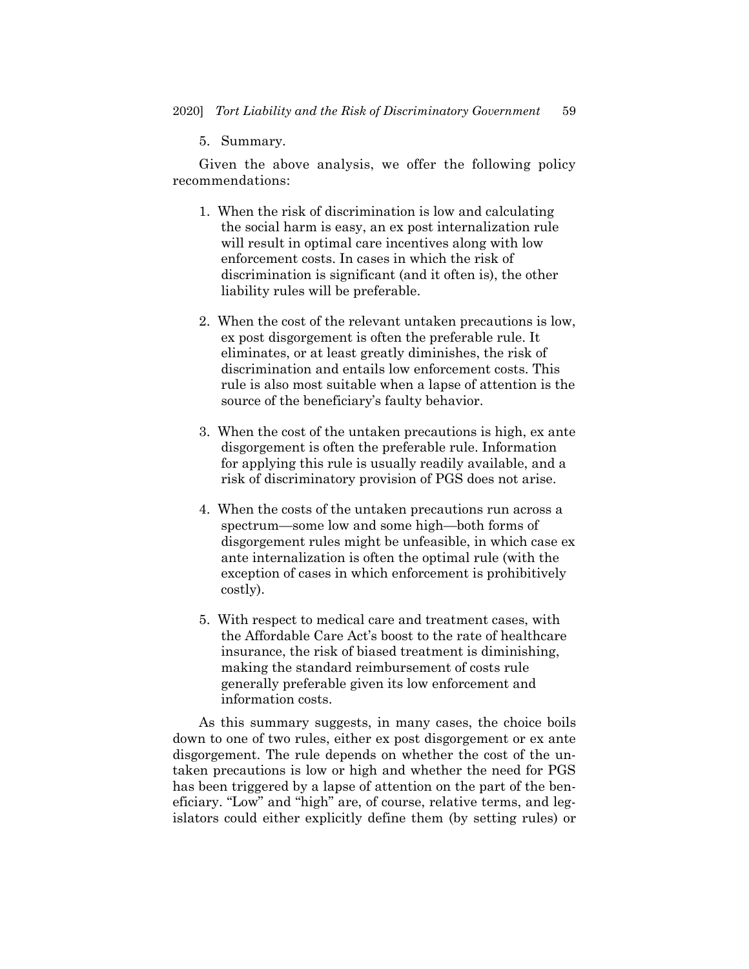5. Summary.

Given the above analysis, we offer the following policy recommendations:

- 1. When the risk of discrimination is low and calculating the social harm is easy, an ex post internalization rule will result in optimal care incentives along with low enforcement costs. In cases in which the risk of discrimination is significant (and it often is), the other liability rules will be preferable.
- 2. When the cost of the relevant untaken precautions is low, ex post disgorgement is often the preferable rule. It eliminates, or at least greatly diminishes, the risk of discrimination and entails low enforcement costs. This rule is also most suitable when a lapse of attention is the source of the beneficiary's faulty behavior.
- 3. When the cost of the untaken precautions is high, ex ante disgorgement is often the preferable rule. Information for applying this rule is usually readily available, and a risk of discriminatory provision of PGS does not arise.
- 4. When the costs of the untaken precautions run across a spectrum—some low and some high—both forms of disgorgement rules might be unfeasible, in which case ex ante internalization is often the optimal rule (with the exception of cases in which enforcement is prohibitively costly).
- 5. With respect to medical care and treatment cases, with the Affordable Care Act's boost to the rate of healthcare insurance, the risk of biased treatment is diminishing, making the standard reimbursement of costs rule generally preferable given its low enforcement and information costs.

As this summary suggests, in many cases, the choice boils down to one of two rules, either ex post disgorgement or ex ante disgorgement. The rule depends on whether the cost of the untaken precautions is low or high and whether the need for PGS has been triggered by a lapse of attention on the part of the beneficiary. "Low" and "high" are, of course, relative terms, and legislators could either explicitly define them (by setting rules) or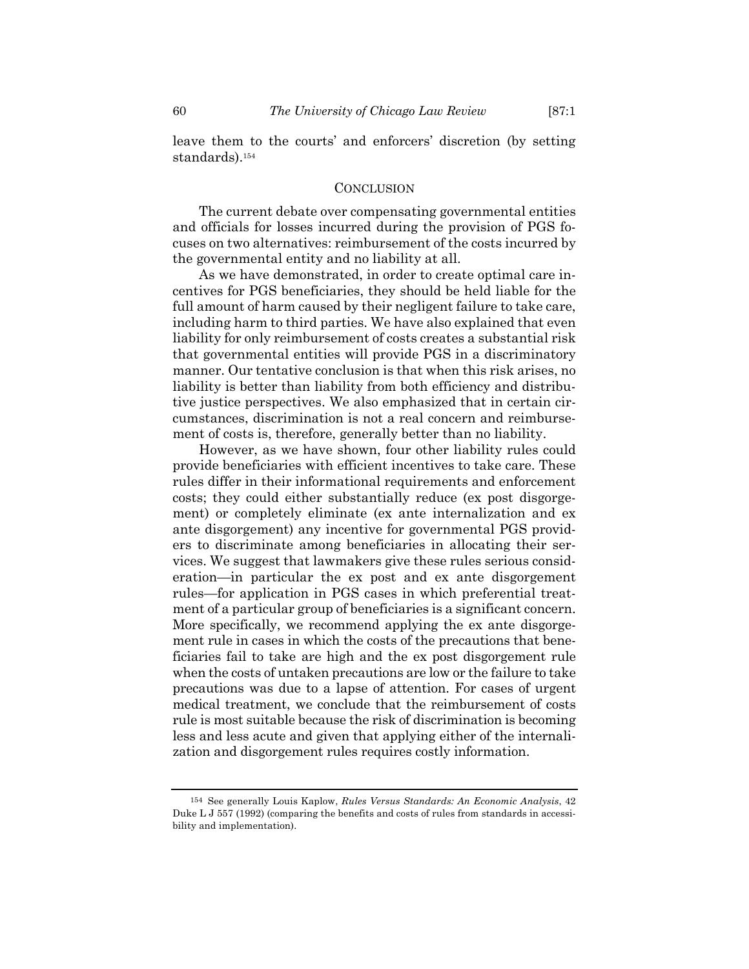leave them to the courts' and enforcers' discretion (by setting standards).154

### **CONCLUSION**

The current debate over compensating governmental entities and officials for losses incurred during the provision of PGS focuses on two alternatives: reimbursement of the costs incurred by the governmental entity and no liability at all.

As we have demonstrated, in order to create optimal care incentives for PGS beneficiaries, they should be held liable for the full amount of harm caused by their negligent failure to take care, including harm to third parties. We have also explained that even liability for only reimbursement of costs creates a substantial risk that governmental entities will provide PGS in a discriminatory manner. Our tentative conclusion is that when this risk arises, no liability is better than liability from both efficiency and distributive justice perspectives. We also emphasized that in certain circumstances, discrimination is not a real concern and reimbursement of costs is, therefore, generally better than no liability.

However, as we have shown, four other liability rules could provide beneficiaries with efficient incentives to take care. These rules differ in their informational requirements and enforcement costs; they could either substantially reduce (ex post disgorgement) or completely eliminate (ex ante internalization and ex ante disgorgement) any incentive for governmental PGS providers to discriminate among beneficiaries in allocating their services. We suggest that lawmakers give these rules serious consideration—in particular the ex post and ex ante disgorgement rules—for application in PGS cases in which preferential treatment of a particular group of beneficiaries is a significant concern. More specifically, we recommend applying the ex ante disgorgement rule in cases in which the costs of the precautions that beneficiaries fail to take are high and the ex post disgorgement rule when the costs of untaken precautions are low or the failure to take precautions was due to a lapse of attention. For cases of urgent medical treatment, we conclude that the reimbursement of costs rule is most suitable because the risk of discrimination is becoming less and less acute and given that applying either of the internalization and disgorgement rules requires costly information.

<sup>154</sup> See generally Louis Kaplow, *Rules Versus Standards: An Economic Analysis*, 42 Duke L J 557 (1992) (comparing the benefits and costs of rules from standards in accessibility and implementation).